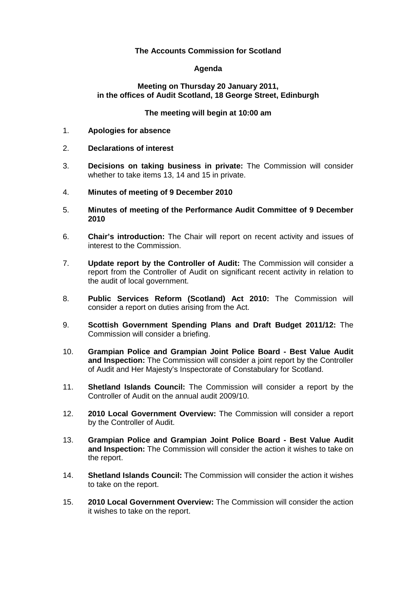## **The Accounts Commission for Scotland**

## **Agenda**

#### **Meeting on Thursday 20 January 2011, in the offices of Audit Scotland, 18 George Street, Edinburgh**

## **The meeting will begin at 10:00 am**

- 1. **Apologies for absence**
- 2. **Declarations of interest**
- 3. **Decisions on taking business in private:** The Commission will consider whether to take items 13, 14 and 15 in private.
- 4. **Minutes of meeting of 9 December 2010**
- 5. **Minutes of meeting of the Performance Audit Committee of 9 December 2010**
- 6. **Chair's introduction:** The Chair will report on recent activity and issues of interest to the Commission.
- 7. **Update report by the Controller of Audit:** The Commission will consider a report from the Controller of Audit on significant recent activity in relation to the audit of local government.
- 8. **Public Services Reform (Scotland) Act 2010:** The Commission will consider a report on duties arising from the Act.
- 9. **Scottish Government Spending Plans and Draft Budget 2011/12:** The Commission will consider a briefing.
- 10. **Grampian Police and Grampian Joint Police Board Best Value Audit and Inspection:** The Commission will consider a joint report by the Controller of Audit and Her Majesty's Inspectorate of Constabulary for Scotland.
- 11. **Shetland Islands Council:** The Commission will consider a report by the Controller of Audit on the annual audit 2009/10.
- 12. **2010 Local Government Overview:** The Commission will consider a report by the Controller of Audit.
- 13. **Grampian Police and Grampian Joint Police Board Best Value Audit and Inspection:** The Commission will consider the action it wishes to take on the report.
- 14. **Shetland Islands Council:** The Commission will consider the action it wishes to take on the report.
- 15. **2010 Local Government Overview:** The Commission will consider the action it wishes to take on the report.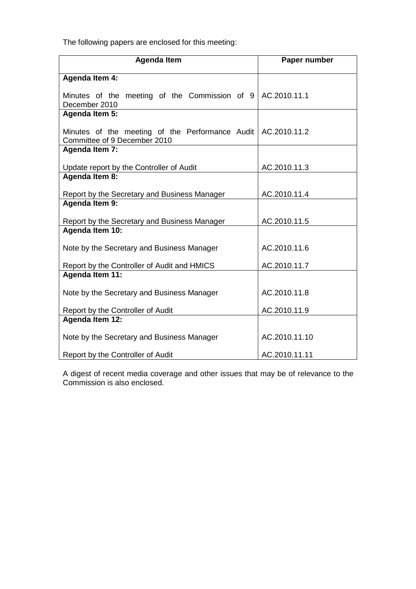The following papers are enclosed for this meeting:

| <b>Agenda Item</b>                                             | Paper number  |
|----------------------------------------------------------------|---------------|
| Agenda Item 4:                                                 |               |
| Minutes of the meeting of the Commission of 9 AC.2010.11.1     |               |
| December 2010                                                  |               |
| <b>Agenda Item 5:</b>                                          |               |
| Minutes of the meeting of the Performance Audit   AC.2010.11.2 |               |
| Committee of 9 December 2010<br><b>Agenda Item 7:</b>          |               |
|                                                                |               |
| Update report by the Controller of Audit                       | AC.2010.11.3  |
| <b>Agenda Item 8:</b>                                          |               |
| Report by the Secretary and Business Manager                   | AC.2010.11.4  |
| Agenda Item 9:                                                 |               |
| Report by the Secretary and Business Manager                   | AC.2010.11.5  |
| Agenda Item 10:                                                |               |
| Note by the Secretary and Business Manager                     | AC.2010.11.6  |
| Report by the Controller of Audit and HMICS                    | AC.2010.11.7  |
| <b>Agenda Item 11:</b>                                         |               |
| Note by the Secretary and Business Manager                     | AC.2010.11.8  |
| Report by the Controller of Audit                              | AC.2010.11.9  |
| <b>Agenda Item 12:</b>                                         |               |
| Note by the Secretary and Business Manager                     | AC.2010.11.10 |
| Report by the Controller of Audit                              | AC.2010.11.11 |

A digest of recent media coverage and other issues that may be of relevance to the Commission is also enclosed.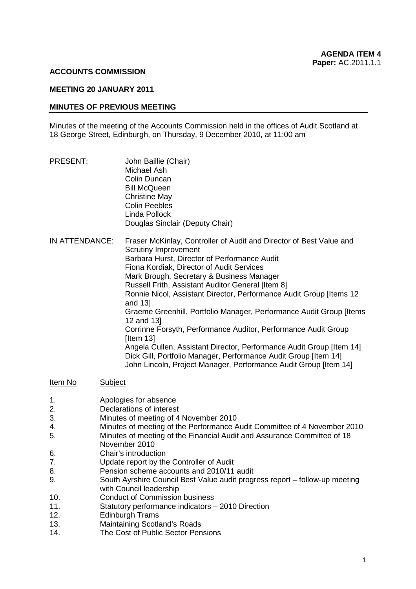#### **ACCOUNTS COMMISSION**

## **MEETING 20 JANUARY 2011**

### **MINUTES OF PREVIOUS MEETING**

Minutes of the meeting of the Accounts Commission held in the offices of Audit Scotland at 18 George Street, Edinburgh, on Thursday, 9 December 2010, at 11:00 am

| PRESENT:       | John Baillie (Chair)<br>Michael Ash<br>Colin Duncan<br><b>Bill McQueen</b><br><b>Christine May</b><br><b>Colin Peebles</b><br>Linda Pollock<br>Douglas Sinclair (Deputy Chair)                                                                                                                                                                                                                                                                                                                                                                                                                                                                                                                                                                                            |
|----------------|---------------------------------------------------------------------------------------------------------------------------------------------------------------------------------------------------------------------------------------------------------------------------------------------------------------------------------------------------------------------------------------------------------------------------------------------------------------------------------------------------------------------------------------------------------------------------------------------------------------------------------------------------------------------------------------------------------------------------------------------------------------------------|
| IN ATTENDANCE: | Fraser McKinlay, Controller of Audit and Director of Best Value and<br><b>Scrutiny Improvement</b><br>Barbara Hurst, Director of Performance Audit<br>Fiona Kordiak, Director of Audit Services<br>Mark Brough, Secretary & Business Manager<br>Russell Frith, Assistant Auditor General [Item 8]<br>Ronnie Nicol, Assistant Director, Performance Audit Group [Items 12<br>and 13]<br>Graeme Greenhill, Portfolio Manager, Performance Audit Group [Items<br>12 and 13]<br>Corrinne Forsyth, Performance Auditor, Performance Audit Group<br>[Item $13$ ]<br>Angela Cullen, Assistant Director, Performance Audit Group [Item 14]<br>Dick Gill, Portfolio Manager, Performance Audit Group [Item 14]<br>John Lincoln, Project Manager, Performance Audit Group [Item 14] |

Item No Subject

- 1. Apologies for absence
- 2. Declarations of interest
- 3. Minutes of meeting of 4 November 2010
- 4. Minutes of meeting of the Performance Audit Committee of 4 November 2010
- 5. Minutes of meeting of the Financial Audit and Assurance Committee of 18 November 2010
- 6. Chair's introduction
- 7. Update report by the Controller of Audit
- 8. Pension scheme accounts and 2010/11 audit
- 9. South Ayrshire Council Best Value audit progress report follow-up meeting with Council leadership
- 10. Conduct of Commission business
- 11. Statutory performance indicators 2010 Direction<br>12. Fdinburgh Trams
- Edinburgh Trams
- 13. Maintaining Scotland's Roads
- 14. The Cost of Public Sector Pensions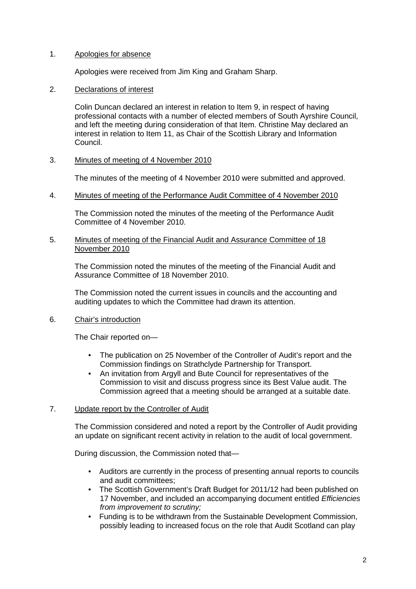## 1. Apologies for absence

Apologies were received from Jim King and Graham Sharp.

## 2. Declarations of interest

 Colin Duncan declared an interest in relation to Item 9, in respect of having professional contacts with a number of elected members of South Ayrshire Council, and left the meeting during consideration of that Item. Christine May declared an interest in relation to Item 11, as Chair of the Scottish Library and Information Council.

## 3. Minutes of meeting of 4 November 2010

The minutes of the meeting of 4 November 2010 were submitted and approved.

#### 4. Minutes of meeting of the Performance Audit Committee of 4 November 2010

The Commission noted the minutes of the meeting of the Performance Audit Committee of 4 November 2010.

#### 5. Minutes of meeting of the Financial Audit and Assurance Committee of 18 November 2010

The Commission noted the minutes of the meeting of the Financial Audit and Assurance Committee of 18 November 2010.

The Commission noted the current issues in councils and the accounting and auditing updates to which the Committee had drawn its attention.

## 6. Chair's introduction

The Chair reported on—

- The publication on 25 November of the Controller of Audit's report and the Commission findings on Strathclyde Partnership for Transport.
- An invitation from Argyll and Bute Council for representatives of the Commission to visit and discuss progress since its Best Value audit. The Commission agreed that a meeting should be arranged at a suitable date.

## 7. Update report by the Controller of Audit

The Commission considered and noted a report by the Controller of Audit providing an update on significant recent activity in relation to the audit of local government.

During discussion, the Commission noted that—

- Auditors are currently in the process of presenting annual reports to councils and audit committees;
- The Scottish Government's Draft Budget for 2011/12 had been published on 17 November, and included an accompanying document entitled *Efficiencies from improvement to scrutiny;*
- Funding is to be withdrawn from the Sustainable Development Commission, possibly leading to increased focus on the role that Audit Scotland can play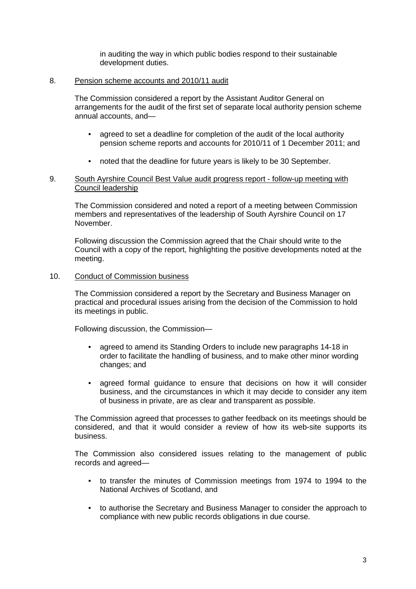in auditing the way in which public bodies respond to their sustainable development duties.

#### 8. Pension scheme accounts and 2010/11 audit

The Commission considered a report by the Assistant Auditor General on arrangements for the audit of the first set of separate local authority pension scheme annual accounts, and—

- agreed to set a deadline for completion of the audit of the local authority pension scheme reports and accounts for 2010/11 of 1 December 2011; and
- noted that the deadline for future years is likely to be 30 September.

#### 9. South Ayrshire Council Best Value audit progress report - follow-up meeting with Council leadership

 The Commission considered and noted a report of a meeting between Commission members and representatives of the leadership of South Ayrshire Council on 17 November.

 Following discussion the Commission agreed that the Chair should write to the Council with a copy of the report, highlighting the positive developments noted at the meeting.

#### 10. Conduct of Commission business

The Commission considered a report by the Secretary and Business Manager on practical and procedural issues arising from the decision of the Commission to hold its meetings in public.

Following discussion, the Commission—

- agreed to amend its Standing Orders to include new paragraphs 14-18 in order to facilitate the handling of business, and to make other minor wording changes; and
- agreed formal guidance to ensure that decisions on how it will consider business, and the circumstances in which it may decide to consider any item of business in private, are as clear and transparent as possible.

The Commission agreed that processes to gather feedback on its meetings should be considered, and that it would consider a review of how its web-site supports its business.

The Commission also considered issues relating to the management of public records and agreed—

- to transfer the minutes of Commission meetings from 1974 to 1994 to the National Archives of Scotland, and
- to authorise the Secretary and Business Manager to consider the approach to compliance with new public records obligations in due course.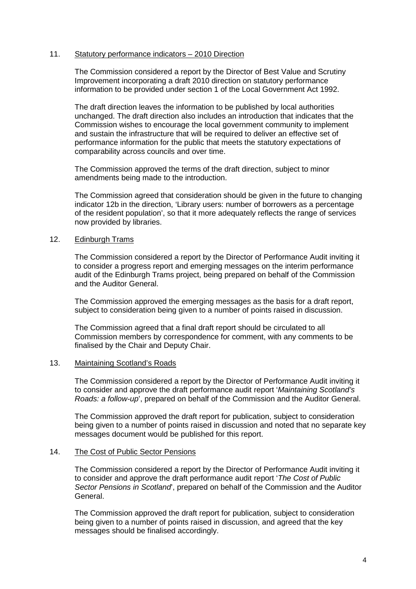#### 11. Statutory performance indicators – 2010 Direction

The Commission considered a report by the Director of Best Value and Scrutiny Improvement incorporating a draft 2010 direction on statutory performance information to be provided under section 1 of the Local Government Act 1992.

The draft direction leaves the information to be published by local authorities unchanged. The draft direction also includes an introduction that indicates that the Commission wishes to encourage the local government community to implement and sustain the infrastructure that will be required to deliver an effective set of performance information for the public that meets the statutory expectations of comparability across councils and over time.

The Commission approved the terms of the draft direction, subject to minor amendments being made to the introduction.

The Commission agreed that consideration should be given in the future to changing indicator 12b in the direction, 'Library users: number of borrowers as a percentage of the resident population', so that it more adequately reflects the range of services now provided by libraries.

#### 12. Edinburgh Trams

The Commission considered a report by the Director of Performance Audit inviting it to consider a progress report and emerging messages on the interim performance audit of the Edinburgh Trams project, being prepared on behalf of the Commission and the Auditor General.

The Commission approved the emerging messages as the basis for a draft report, subject to consideration being given to a number of points raised in discussion.

The Commission agreed that a final draft report should be circulated to all Commission members by correspondence for comment, with any comments to be finalised by the Chair and Deputy Chair.

#### 13. Maintaining Scotland's Roads

The Commission considered a report by the Director of Performance Audit inviting it to consider and approve the draft performance audit report '*Maintaining Scotland's Roads: a follow-up*', prepared on behalf of the Commission and the Auditor General.

The Commission approved the draft report for publication, subject to consideration being given to a number of points raised in discussion and noted that no separate key messages document would be published for this report.

#### 14. The Cost of Public Sector Pensions

The Commission considered a report by the Director of Performance Audit inviting it to consider and approve the draft performance audit report '*The Cost of Public Sector Pensions in Scotland*', prepared on behalf of the Commission and the Auditor General.

The Commission approved the draft report for publication, subject to consideration being given to a number of points raised in discussion, and agreed that the key messages should be finalised accordingly.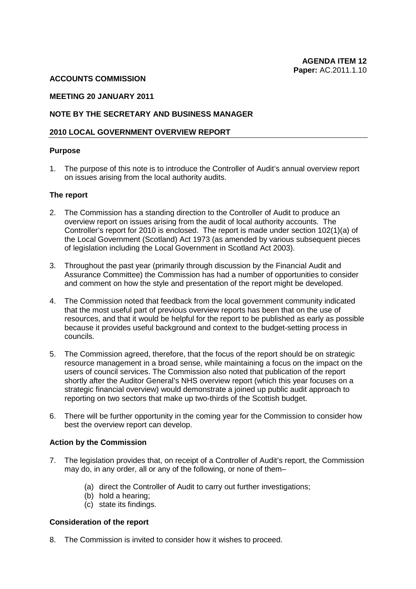## **ACCOUNTS COMMISSION**

#### **MEETING 20 JANUARY 2011**

#### **NOTE BY THE SECRETARY AND BUSINESS MANAGER**

#### **2010 LOCAL GOVERNMENT OVERVIEW REPORT**

#### **Purpose**

1. The purpose of this note is to introduce the Controller of Audit's annual overview report on issues arising from the local authority audits.

#### **The report**

- 2. The Commission has a standing direction to the Controller of Audit to produce an overview report on issues arising from the audit of local authority accounts. The Controller's report for 2010 is enclosed. The report is made under section 102(1)(a) of the Local Government (Scotland) Act 1973 (as amended by various subsequent pieces of legislation including the Local Government in Scotland Act 2003).
- 3. Throughout the past year (primarily through discussion by the Financial Audit and Assurance Committee) the Commission has had a number of opportunities to consider and comment on how the style and presentation of the report might be developed.
- 4. The Commission noted that feedback from the local government community indicated that the most useful part of previous overview reports has been that on the use of resources, and that it would be helpful for the report to be published as early as possible because it provides useful background and context to the budget-setting process in councils.
- 5. The Commission agreed, therefore, that the focus of the report should be on strategic resource management in a broad sense, while maintaining a focus on the impact on the users of council services. The Commission also noted that publication of the report shortly after the Auditor General's NHS overview report (which this year focuses on a strategic financial overview) would demonstrate a joined up public audit approach to reporting on two sectors that make up two-thirds of the Scottish budget.
- 6. There will be further opportunity in the coming year for the Commission to consider how best the overview report can develop.

#### **Action by the Commission**

- 7. The legislation provides that, on receipt of a Controller of Audit's report, the Commission may do, in any order, all or any of the following, or none of them–
	- (a) direct the Controller of Audit to carry out further investigations;
	- (b) hold a hearing;
	- (c) state its findings.

#### **Consideration of the report**

8. The Commission is invited to consider how it wishes to proceed.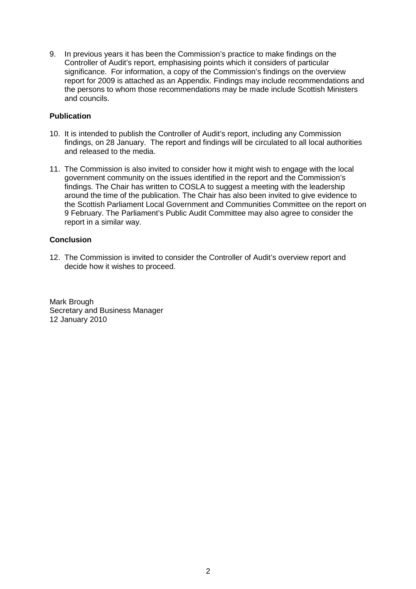9. In previous years it has been the Commission's practice to make findings on the Controller of Audit's report, emphasising points which it considers of particular significance. For information, a copy of the Commission's findings on the overview report for 2009 is attached as an Appendix. Findings may include recommendations and the persons to whom those recommendations may be made include Scottish Ministers and councils.

## **Publication**

- 10. It is intended to publish the Controller of Audit's report, including any Commission findings, on 28 January. The report and findings will be circulated to all local authorities and released to the media.
- 11. The Commission is also invited to consider how it might wish to engage with the local government community on the issues identified in the report and the Commission's findings. The Chair has written to COSLA to suggest a meeting with the leadership around the time of the publication. The Chair has also been invited to give evidence to the Scottish Parliament Local Government and Communities Committee on the report on 9 February. The Parliament's Public Audit Committee may also agree to consider the report in a similar way.

## **Conclusion**

12. The Commission is invited to consider the Controller of Audit's overview report and decide how it wishes to proceed.

Mark Brough Secretary and Business Manager 12 January 2010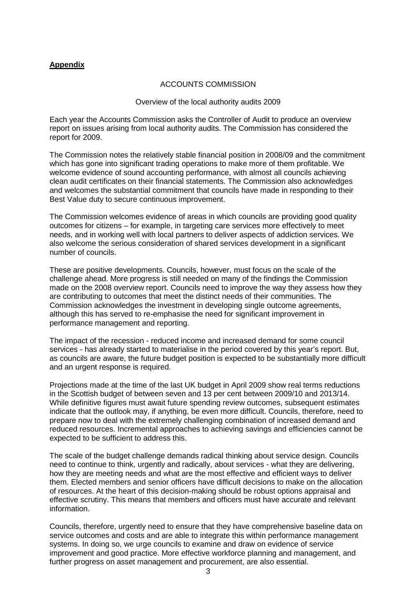## **Appendix**

## ACCOUNTS COMMISSION

#### Overview of the local authority audits 2009

Each year the Accounts Commission asks the Controller of Audit to produce an overview report on issues arising from local authority audits. The Commission has considered the report for 2009.

The Commission notes the relatively stable financial position in 2008/09 and the commitment which has gone into significant trading operations to make more of them profitable. We welcome evidence of sound accounting performance, with almost all councils achieving clean audit certificates on their financial statements. The Commission also acknowledges and welcomes the substantial commitment that councils have made in responding to their Best Value duty to secure continuous improvement.

The Commission welcomes evidence of areas in which councils are providing good quality outcomes for citizens – for example, in targeting care services more effectively to meet needs, and in working well with local partners to deliver aspects of addiction services. We also welcome the serious consideration of shared services development in a significant number of councils.

These are positive developments. Councils, however, must focus on the scale of the challenge ahead. More progress is still needed on many of the findings the Commission made on the 2008 overview report. Councils need to improve the way they assess how they are contributing to outcomes that meet the distinct needs of their communities. The Commission acknowledges the investment in developing single outcome agreements, although this has served to re-emphasise the need for significant improvement in performance management and reporting.

The impact of the recession - reduced income and increased demand for some council services - has already started to materialise in the period covered by this year's report. But, as councils are aware, the future budget position is expected to be substantially more difficult and an urgent response is required.

Projections made at the time of the last UK budget in April 2009 show real terms reductions in the Scottish budget of between seven and 13 per cent between 2009/10 and 2013/14. While definitive figures must await future spending review outcomes, subsequent estimates indicate that the outlook may, if anything, be even more difficult. Councils, therefore, need to prepare now to deal with the extremely challenging combination of increased demand and reduced resources. Incremental approaches to achieving savings and efficiencies cannot be expected to be sufficient to address this.

The scale of the budget challenge demands radical thinking about service design. Councils need to continue to think, urgently and radically, about services - what they are delivering, how they are meeting needs and what are the most effective and efficient ways to deliver them. Elected members and senior officers have difficult decisions to make on the allocation of resources. At the heart of this decision-making should be robust options appraisal and effective scrutiny. This means that members and officers must have accurate and relevant information.

Councils, therefore, urgently need to ensure that they have comprehensive baseline data on service outcomes and costs and are able to integrate this within performance management systems. In doing so, we urge councils to examine and draw on evidence of service improvement and good practice. More effective workforce planning and management, and further progress on asset management and procurement, are also essential.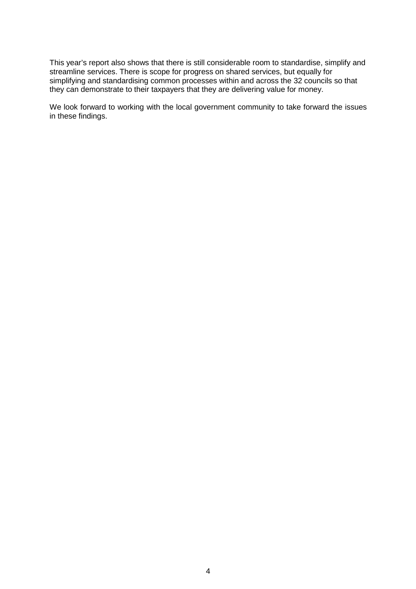This year's report also shows that there is still considerable room to standardise, simplify and streamline services. There is scope for progress on shared services, but equally for simplifying and standardising common processes within and across the 32 councils so that they can demonstrate to their taxpayers that they are delivering value for money.

We look forward to working with the local government community to take forward the issues in these findings.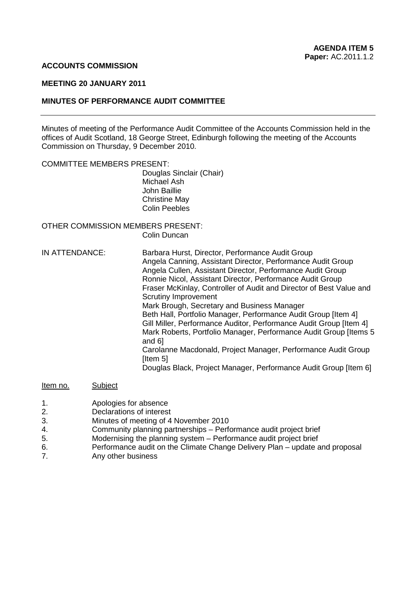#### **ACCOUNTS COMMISSION**

#### **MEETING 20 JANUARY 2011**

#### **MINUTES OF PERFORMANCE AUDIT COMMITTEE**

Minutes of meeting of the Performance Audit Committee of the Accounts Commission held in the offices of Audit Scotland, 18 George Street, Edinburgh following the meeting of the Accounts Commission on Thursday, 9 December 2010.

#### COMMITTEE MEMBERS PRESENT:

Douglas Sinclair (Chair) Michael Ash John Baillie Christine May Colin Peebles

#### OTHER COMMISSION MEMBERS PRESENT: Colin Duncan

IN ATTENDANCE: Barbara Hurst, Director, Performance Audit Group Angela Canning, Assistant Director, Performance Audit Group Angela Cullen, Assistant Director, Performance Audit Group Ronnie Nicol, Assistant Director, Performance Audit Group Fraser McKinlay, Controller of Audit and Director of Best Value and Scrutiny Improvement Mark Brough, Secretary and Business Manager Beth Hall, Portfolio Manager, Performance Audit Group [Item 4] Gill Miller, Performance Auditor, Performance Audit Group [Item 4] Mark Roberts, Portfolio Manager, Performance Audit Group [Items 5 and 6] Carolanne Macdonald, Project Manager, Performance Audit Group [Item 5] Douglas Black, Project Manager, Performance Audit Group [Item 6]

## Item no. Subject

- 1. Apologies for absence
- 2. Declarations of interest
- 3. Minutes of meeting of 4 November 2010
- 4. Community planning partnerships Performance audit project brief
- 5. Modernising the planning system Performance audit project brief
- 6. Performance audit on the Climate Change Delivery Plan update and proposal
- 7. Any other business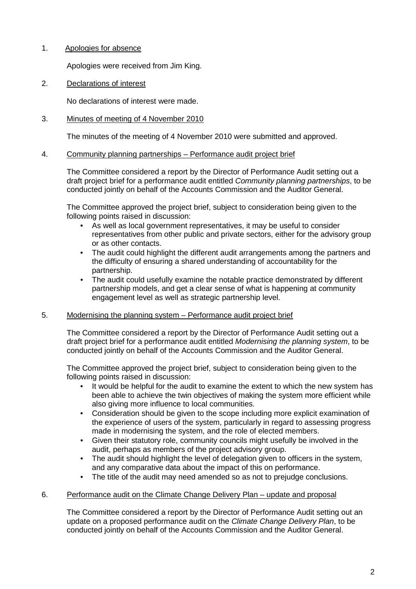## 1. Apologies for absence

Apologies were received from Jim King.

2. Declarations of interest

No declarations of interest were made.

## 3. Minutes of meeting of 4 November 2010

The minutes of the meeting of 4 November 2010 were submitted and approved.

## 4. Community planning partnerships – Performance audit project brief

 The Committee considered a report by the Director of Performance Audit setting out a draft project brief for a performance audit entitled *Community planning partnerships*, to be conducted jointly on behalf of the Accounts Commission and the Auditor General.

The Committee approved the project brief, subject to consideration being given to the following points raised in discussion:

- As well as local government representatives, it may be useful to consider representatives from other public and private sectors, either for the advisory group or as other contacts.
- The audit could highlight the different audit arrangements among the partners and the difficulty of ensuring a shared understanding of accountability for the partnership.
- The audit could usefully examine the notable practice demonstrated by different partnership models, and get a clear sense of what is happening at community engagement level as well as strategic partnership level.

## 5. Modernising the planning system – Performance audit project brief

 The Committee considered a report by the Director of Performance Audit setting out a draft project brief for a performance audit entitled *Modernising the planning system*, to be conducted jointly on behalf of the Accounts Commission and the Auditor General.

The Committee approved the project brief, subject to consideration being given to the following points raised in discussion:

- It would be helpful for the audit to examine the extent to which the new system has been able to achieve the twin objectives of making the system more efficient while also giving more influence to local communities.
- Consideration should be given to the scope including more explicit examination of the experience of users of the system, particularly in regard to assessing progress made in modernising the system, and the role of elected members.
- Given their statutory role, community councils might usefully be involved in the audit, perhaps as members of the project advisory group.
- The audit should highlight the level of delegation given to officers in the system, and any comparative data about the impact of this on performance.
- The title of the audit may need amended so as not to prejudge conclusions.

## 6. Performance audit on the Climate Change Delivery Plan – update and proposal

 The Committee considered a report by the Director of Performance Audit setting out an update on a proposed performance audit on the *Climate Change Delivery Plan*, to be conducted jointly on behalf of the Accounts Commission and the Auditor General.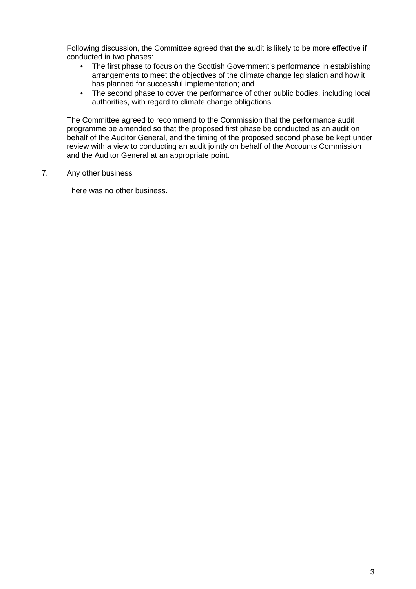Following discussion, the Committee agreed that the audit is likely to be more effective if conducted in two phases:

- The first phase to focus on the Scottish Government's performance in establishing arrangements to meet the objectives of the climate change legislation and how it has planned for successful implementation; and
- The second phase to cover the performance of other public bodies, including local authorities, with regard to climate change obligations.

The Committee agreed to recommend to the Commission that the performance audit programme be amended so that the proposed first phase be conducted as an audit on behalf of the Auditor General, and the timing of the proposed second phase be kept under review with a view to conducting an audit jointly on behalf of the Accounts Commission and the Auditor General at an appropriate point.

## 7. Any other business

There was no other business.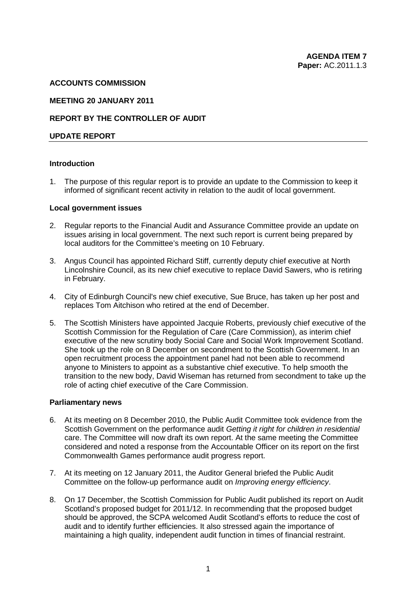#### **ACCOUNTS COMMISSION**

#### **MEETING 20 JANUARY 2011**

## **REPORT BY THE CONTROLLER OF AUDIT**

#### **UPDATE REPORT**

#### **Introduction**

1. The purpose of this regular report is to provide an update to the Commission to keep it informed of significant recent activity in relation to the audit of local government.

#### **Local government issues**

- 2. Regular reports to the Financial Audit and Assurance Committee provide an update on issues arising in local government. The next such report is current being prepared by local auditors for the Committee's meeting on 10 February.
- 3. Angus Council has appointed Richard Stiff, currently deputy chief executive at North Lincolnshire Council, as its new chief executive to replace David Sawers, who is retiring in February.
- 4. City of Edinburgh Council's new chief executive, Sue Bruce, has taken up her post and replaces Tom Aitchison who retired at the end of December.
- 5. The Scottish Ministers have appointed Jacquie Roberts, previously chief executive of the Scottish Commission for the Regulation of Care (Care Commission), as interim chief executive of the new scrutiny body Social Care and Social Work Improvement Scotland. She took up the role on 8 December on secondment to the Scottish Government. In an open recruitment process the appointment panel had not been able to recommend anyone to Ministers to appoint as a substantive chief executive. To help smooth the transition to the new body, David Wiseman has returned from secondment to take up the role of acting chief executive of the Care Commission.

#### **Parliamentary news**

- 6. At its meeting on 8 December 2010, the Public Audit Committee took evidence from the Scottish Government on the performance audit *Getting it right for children in residential*  care. The Committee will now draft its own report. At the same meeting the Committee considered and noted a response from the Accountable Officer on its report on the first Commonwealth Games performance audit progress report.
- 7. At its meeting on 12 January 2011, the Auditor General briefed the Public Audit Committee on the follow-up performance audit on *Improving energy efficiency*.
- 8. On 17 December, the Scottish Commission for Public Audit published its report on Audit Scotland's proposed budget for 2011/12. In recommending that the proposed budget should be approved, the SCPA welcomed Audit Scotland's efforts to reduce the cost of audit and to identify further efficiencies. It also stressed again the importance of maintaining a high quality, independent audit function in times of financial restraint.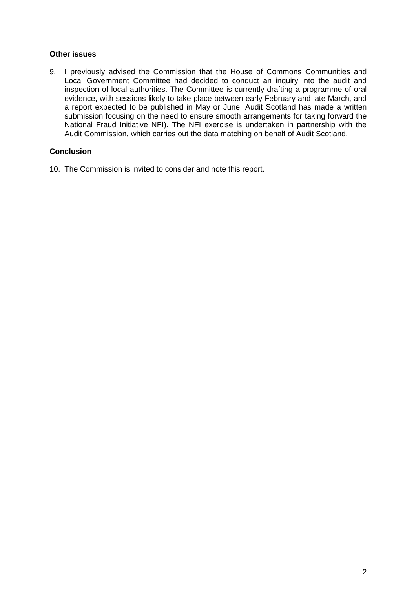## **Other issues**

9. I previously advised the Commission that the House of Commons Communities and Local Government Committee had decided to conduct an inquiry into the audit and inspection of local authorities. The Committee is currently drafting a programme of oral evidence, with sessions likely to take place between early February and late March, and a report expected to be published in May or June. Audit Scotland has made a written submission focusing on the need to ensure smooth arrangements for taking forward the National Fraud Initiative NFI). The NFI exercise is undertaken in partnership with the Audit Commission, which carries out the data matching on behalf of Audit Scotland.

## **Conclusion**

10. The Commission is invited to consider and note this report.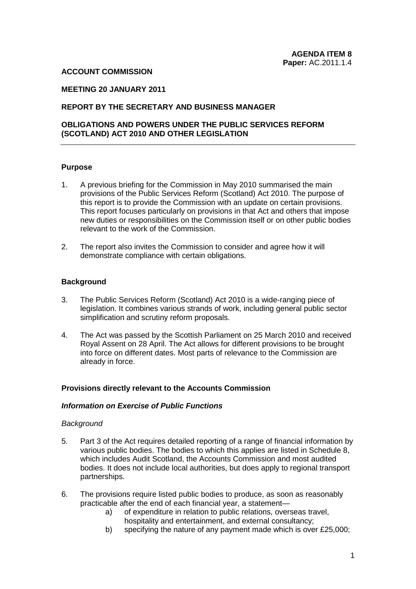#### **ACCOUNT COMMISSION**

## **MEETING 20 JANUARY 2011**

## **REPORT BY THE SECRETARY AND BUSINESS MANAGER**

## **OBLIGATIONS AND POWERS UNDER THE PUBLIC SERVICES REFORM (SCOTLAND) ACT 2010 AND OTHER LEGISLATION**

#### **Purpose**

- 1. A previous briefing for the Commission in May 2010 summarised the main provisions of the Public Services Reform (Scotland) Act 2010. The purpose of this report is to provide the Commission with an update on certain provisions. This report focuses particularly on provisions in that Act and others that impose new duties or responsibilities on the Commission itself or on other public bodies relevant to the work of the Commission.
- 2. The report also invites the Commission to consider and agree how it will demonstrate compliance with certain obligations.

#### **Background**

- 3. The Public Services Reform (Scotland) Act 2010 is a wide-ranging piece of legislation. It combines various strands of work, including general public sector simplification and scrutiny reform proposals.
- 4. The Act was passed by the Scottish Parliament on 25 March 2010 and received Royal Assent on 28 April. The Act allows for different provisions to be brought into force on different dates. Most parts of relevance to the Commission are already in force.

#### **Provisions directly relevant to the Accounts Commission**

#### *Information on Exercise of Public Functions*

#### *Background*

- 5. Part 3 of the Act requires detailed reporting of a range of financial information by various public bodies. The bodies to which this applies are listed in Schedule 8, which includes Audit Scotland, the Accounts Commission and most audited bodies. It does not include local authorities, but does apply to regional transport partnerships.
- 6. The provisions require listed public bodies to produce, as soon as reasonably practicable after the end of each financial year, a statement
	- a) of expenditure in relation to public relations, overseas travel, hospitality and entertainment, and external consultancy;
	- b) specifying the nature of any payment made which is over £25,000;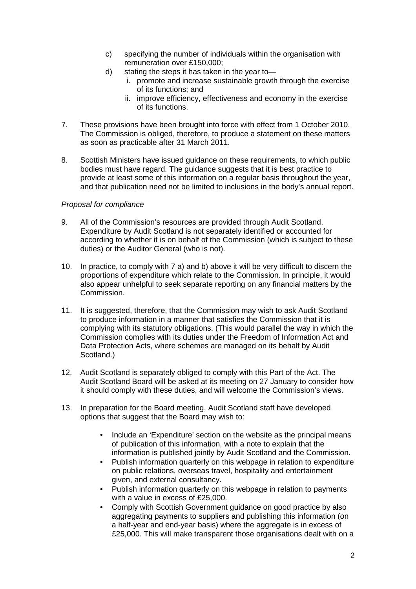- c) specifying the number of individuals within the organisation with remuneration over £150,000;
- d) stating the steps it has taken in the year to
	- i. promote and increase sustainable growth through the exercise of its functions; and
	- ii. improve efficiency, effectiveness and economy in the exercise of its functions.
- 7. These provisions have been brought into force with effect from 1 October 2010. The Commission is obliged, therefore, to produce a statement on these matters as soon as practicable after 31 March 2011.
- 8. Scottish Ministers have issued guidance on these requirements, to which public bodies must have regard. The guidance suggests that it is best practice to provide at least some of this information on a regular basis throughout the year, and that publication need not be limited to inclusions in the body's annual report.

## *Proposal for compliance*

- 9. All of the Commission's resources are provided through Audit Scotland. Expenditure by Audit Scotland is not separately identified or accounted for according to whether it is on behalf of the Commission (which is subject to these duties) or the Auditor General (who is not).
- 10. In practice, to comply with 7 a) and b) above it will be very difficult to discern the proportions of expenditure which relate to the Commission. In principle, it would also appear unhelpful to seek separate reporting on any financial matters by the Commission.
- 11. It is suggested, therefore, that the Commission may wish to ask Audit Scotland to produce information in a manner that satisfies the Commission that it is complying with its statutory obligations. (This would parallel the way in which the Commission complies with its duties under the Freedom of Information Act and Data Protection Acts, where schemes are managed on its behalf by Audit Scotland.)
- 12. Audit Scotland is separately obliged to comply with this Part of the Act. The Audit Scotland Board will be asked at its meeting on 27 January to consider how it should comply with these duties, and will welcome the Commission's views.
- 13. In preparation for the Board meeting, Audit Scotland staff have developed options that suggest that the Board may wish to:
	- Include an 'Expenditure' section on the website as the principal means of publication of this information, with a note to explain that the information is published jointly by Audit Scotland and the Commission.
	- Publish information quarterly on this webpage in relation to expenditure on public relations, overseas travel, hospitality and entertainment given, and external consultancy.
	- Publish information quarterly on this webpage in relation to payments with a value in excess of £25,000.
	- Comply with Scottish Government guidance on good practice by also aggregating payments to suppliers and publishing this information (on a half-year and end-year basis) where the aggregate is in excess of £25,000. This will make transparent those organisations dealt with on a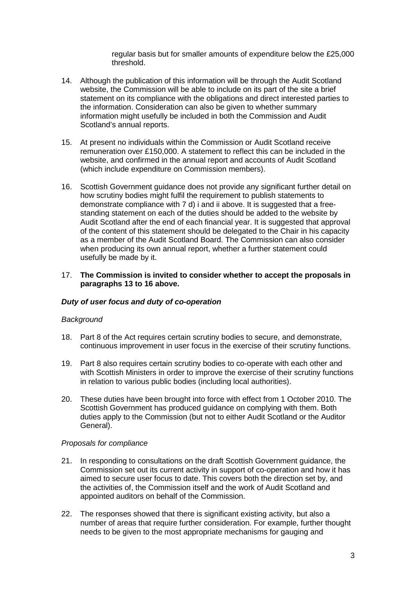regular basis but for smaller amounts of expenditure below the £25,000 threshold.

- 14. Although the publication of this information will be through the Audit Scotland website, the Commission will be able to include on its part of the site a brief statement on its compliance with the obligations and direct interested parties to the information. Consideration can also be given to whether summary information might usefully be included in both the Commission and Audit Scotland's annual reports.
- 15. At present no individuals within the Commission or Audit Scotland receive remuneration over £150,000. A statement to reflect this can be included in the website, and confirmed in the annual report and accounts of Audit Scotland (which include expenditure on Commission members).
- 16. Scottish Government guidance does not provide any significant further detail on how scrutiny bodies might fulfil the requirement to publish statements to demonstrate compliance with 7 d) i and ii above. It is suggested that a freestanding statement on each of the duties should be added to the website by Audit Scotland after the end of each financial year. It is suggested that approval of the content of this statement should be delegated to the Chair in his capacity as a member of the Audit Scotland Board. The Commission can also consider when producing its own annual report, whether a further statement could usefully be made by it.

#### 17. **The Commission is invited to consider whether to accept the proposals in paragraphs 13 to 16 above.**

## *Duty of user focus and duty of co-operation*

## *Background*

- 18. Part 8 of the Act requires certain scrutiny bodies to secure, and demonstrate, continuous improvement in user focus in the exercise of their scrutiny functions.
- 19. Part 8 also requires certain scrutiny bodies to co-operate with each other and with Scottish Ministers in order to improve the exercise of their scrutiny functions in relation to various public bodies (including local authorities).
- 20. These duties have been brought into force with effect from 1 October 2010. The Scottish Government has produced guidance on complying with them. Both duties apply to the Commission (but not to either Audit Scotland or the Auditor General).

## *Proposals for compliance*

- 21. In responding to consultations on the draft Scottish Government guidance, the Commission set out its current activity in support of co-operation and how it has aimed to secure user focus to date. This covers both the direction set by, and the activities of, the Commission itself and the work of Audit Scotland and appointed auditors on behalf of the Commission.
- 22. The responses showed that there is significant existing activity, but also a number of areas that require further consideration. For example, further thought needs to be given to the most appropriate mechanisms for gauging and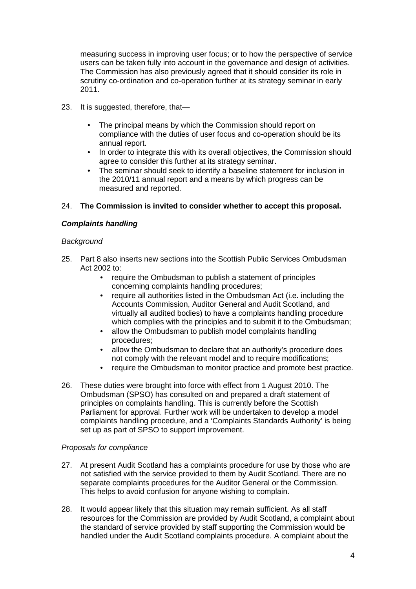measuring success in improving user focus; or to how the perspective of service users can be taken fully into account in the governance and design of activities. The Commission has also previously agreed that it should consider its role in scrutiny co-ordination and co-operation further at its strategy seminar in early 2011.

- 23. It is suggested, therefore, that—
	- The principal means by which the Commission should report on compliance with the duties of user focus and co-operation should be its annual report.
	- In order to integrate this with its overall objectives, the Commission should agree to consider this further at its strategy seminar.
	- The seminar should seek to identify a baseline statement for inclusion in the 2010/11 annual report and a means by which progress can be measured and reported.

## 24. **The Commission is invited to consider whether to accept this proposal.**

## *Complaints handling*

## *Background*

- 25. Part 8 also inserts new sections into the Scottish Public Services Ombudsman Act 2002 to:
	- require the Ombudsman to publish a statement of principles concerning complaints handling procedures;
	- require all authorities listed in the Ombudsman Act (i.e. including the Accounts Commission, Auditor General and Audit Scotland, and virtually all audited bodies) to have a complaints handling procedure which complies with the principles and to submit it to the Ombudsman;
	- allow the Ombudsman to publish model complaints handling procedures;
	- allow the Ombudsman to declare that an authority's procedure does not comply with the relevant model and to require modifications;
	- require the Ombudsman to monitor practice and promote best practice.
- 26. These duties were brought into force with effect from 1 August 2010. The Ombudsman (SPSO) has consulted on and prepared a draft statement of principles on complaints handling. This is currently before the Scottish Parliament for approval. Further work will be undertaken to develop a model complaints handling procedure, and a 'Complaints Standards Authority' is being set up as part of SPSO to support improvement.

## *Proposals for compliance*

- 27. At present Audit Scotland has a complaints procedure for use by those who are not satisfied with the service provided to them by Audit Scotland. There are no separate complaints procedures for the Auditor General or the Commission. This helps to avoid confusion for anyone wishing to complain.
- 28. It would appear likely that this situation may remain sufficient. As all staff resources for the Commission are provided by Audit Scotland, a complaint about the standard of service provided by staff supporting the Commission would be handled under the Audit Scotland complaints procedure. A complaint about the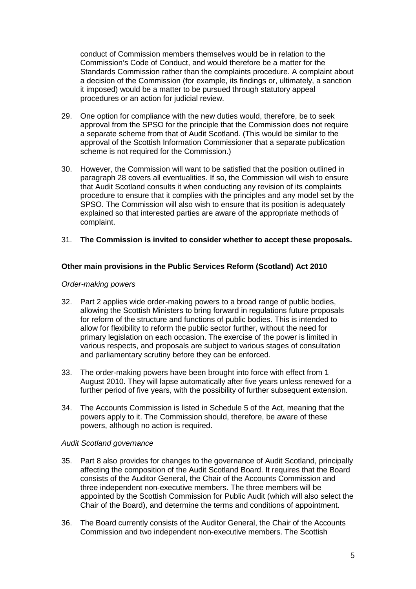conduct of Commission members themselves would be in relation to the Commission's Code of Conduct, and would therefore be a matter for the Standards Commission rather than the complaints procedure. A complaint about a decision of the Commission (for example, its findings or, ultimately, a sanction it imposed) would be a matter to be pursued through statutory appeal procedures or an action for judicial review.

- 29. One option for compliance with the new duties would, therefore, be to seek approval from the SPSO for the principle that the Commission does not require a separate scheme from that of Audit Scotland. (This would be similar to the approval of the Scottish Information Commissioner that a separate publication scheme is not required for the Commission.)
- 30. However, the Commission will want to be satisfied that the position outlined in paragraph 28 covers all eventualities. If so, the Commission will wish to ensure that Audit Scotland consults it when conducting any revision of its complaints procedure to ensure that it complies with the principles and any model set by the SPSO. The Commission will also wish to ensure that its position is adequately explained so that interested parties are aware of the appropriate methods of complaint.

## 31. **The Commission is invited to consider whether to accept these proposals.**

## **Other main provisions in the Public Services Reform (Scotland) Act 2010**

#### *Order-making powers*

- 32. Part 2 applies wide order-making powers to a broad range of public bodies, allowing the Scottish Ministers to bring forward in regulations future proposals for reform of the structure and functions of public bodies. This is intended to allow for flexibility to reform the public sector further, without the need for primary legislation on each occasion. The exercise of the power is limited in various respects, and proposals are subject to various stages of consultation and parliamentary scrutiny before they can be enforced.
- 33. The order-making powers have been brought into force with effect from 1 August 2010. They will lapse automatically after five years unless renewed for a further period of five years, with the possibility of further subsequent extension.
- 34. The Accounts Commission is listed in Schedule 5 of the Act, meaning that the powers apply to it. The Commission should, therefore, be aware of these powers, although no action is required.

#### *Audit Scotland governance*

- 35. Part 8 also provides for changes to the governance of Audit Scotland, principally affecting the composition of the Audit Scotland Board. It requires that the Board consists of the Auditor General, the Chair of the Accounts Commission and three independent non-executive members. The three members will be appointed by the Scottish Commission for Public Audit (which will also select the Chair of the Board), and determine the terms and conditions of appointment.
- 36. The Board currently consists of the Auditor General, the Chair of the Accounts Commission and two independent non-executive members. The Scottish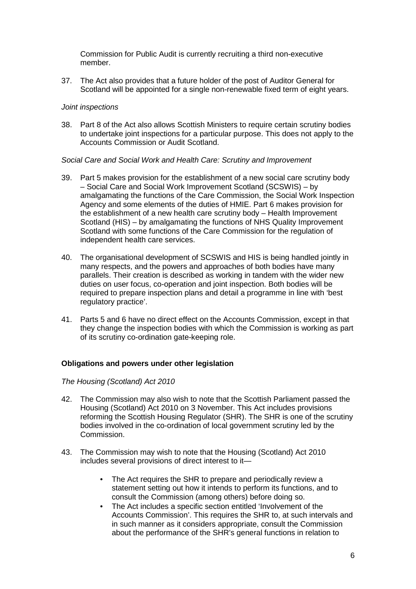Commission for Public Audit is currently recruiting a third non-executive member.

37. The Act also provides that a future holder of the post of Auditor General for Scotland will be appointed for a single non-renewable fixed term of eight years.

#### *Joint inspections*

38. Part 8 of the Act also allows Scottish Ministers to require certain scrutiny bodies to undertake joint inspections for a particular purpose. This does not apply to the Accounts Commission or Audit Scotland.

#### *Social Care and Social Work and Health Care: Scrutiny and Improvement*

- 39. Part 5 makes provision for the establishment of a new social care scrutiny body – Social Care and Social Work Improvement Scotland (SCSWIS) – by amalgamating the functions of the Care Commission, the Social Work Inspection Agency and some elements of the duties of HMIE. Part 6 makes provision for the establishment of a new health care scrutiny body – Health Improvement Scotland (HIS) – by amalgamating the functions of NHS Quality Improvement Scotland with some functions of the Care Commission for the regulation of independent health care services.
- 40. The organisational development of SCSWIS and HIS is being handled jointly in many respects, and the powers and approaches of both bodies have many parallels. Their creation is described as working in tandem with the wider new duties on user focus, co-operation and joint inspection. Both bodies will be required to prepare inspection plans and detail a programme in line with 'best regulatory practice'.
- 41. Parts 5 and 6 have no direct effect on the Accounts Commission, except in that they change the inspection bodies with which the Commission is working as part of its scrutiny co-ordination gate-keeping role.

## **Obligations and powers under other legislation**

## *The Housing (Scotland) Act 2010*

- 42. The Commission may also wish to note that the Scottish Parliament passed the Housing (Scotland) Act 2010 on 3 November. This Act includes provisions reforming the Scottish Housing Regulator (SHR). The SHR is one of the scrutiny bodies involved in the co-ordination of local government scrutiny led by the Commission.
- 43. The Commission may wish to note that the Housing (Scotland) Act 2010 includes several provisions of direct interest to it—
	- The Act requires the SHR to prepare and periodically review a statement setting out how it intends to perform its functions, and to consult the Commission (among others) before doing so.
	- The Act includes a specific section entitled 'Involvement of the Accounts Commission'. This requires the SHR to, at such intervals and in such manner as it considers appropriate, consult the Commission about the performance of the SHR's general functions in relation to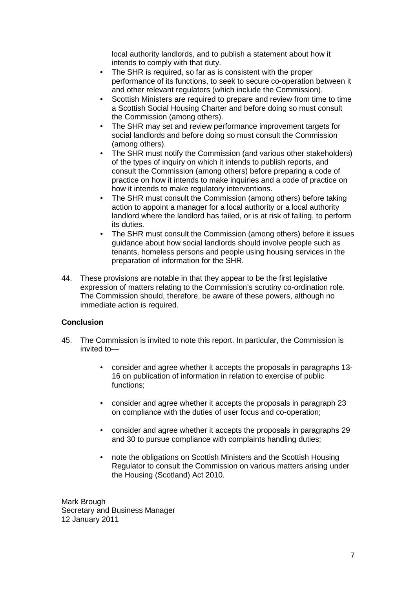local authority landlords, and to publish a statement about how it intends to comply with that duty.

- The SHR is required, so far as is consistent with the proper performance of its functions, to seek to secure co-operation between it and other relevant regulators (which include the Commission).
- Scottish Ministers are required to prepare and review from time to time a Scottish Social Housing Charter and before doing so must consult the Commission (among others).
- The SHR may set and review performance improvement targets for social landlords and before doing so must consult the Commission (among others).
- The SHR must notify the Commission (and various other stakeholders) of the types of inquiry on which it intends to publish reports, and consult the Commission (among others) before preparing a code of practice on how it intends to make inquiries and a code of practice on how it intends to make regulatory interventions.
- The SHR must consult the Commission (among others) before taking action to appoint a manager for a local authority or a local authority landlord where the landlord has failed, or is at risk of failing, to perform its duties.
- The SHR must consult the Commission (among others) before it issues guidance about how social landlords should involve people such as tenants, homeless persons and people using housing services in the preparation of information for the SHR.
- 44. These provisions are notable in that they appear to be the first legislative expression of matters relating to the Commission's scrutiny co-ordination role. The Commission should, therefore, be aware of these powers, although no immediate action is required.

## **Conclusion**

- 45. The Commission is invited to note this report. In particular, the Commission is invited to—
	- consider and agree whether it accepts the proposals in paragraphs 13- 16 on publication of information in relation to exercise of public functions;
	- consider and agree whether it accepts the proposals in paragraph 23 on compliance with the duties of user focus and co-operation;
	- consider and agree whether it accepts the proposals in paragraphs 29 and 30 to pursue compliance with complaints handling duties;
	- note the obligations on Scottish Ministers and the Scottish Housing Regulator to consult the Commission on various matters arising under the Housing (Scotland) Act 2010.

Mark Brough Secretary and Business Manager 12 January 2011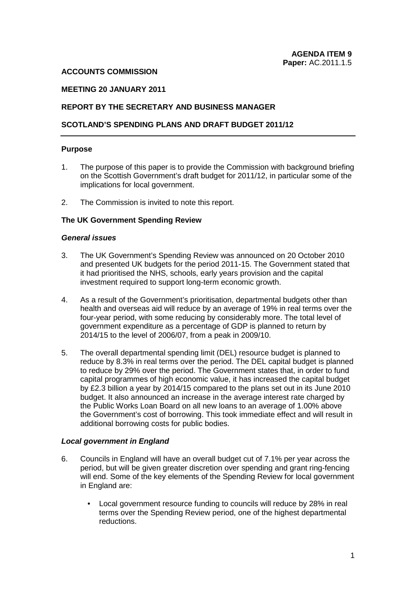#### **ACCOUNTS COMMISSION**

## **MEETING 20 JANUARY 2011**

### **REPORT BY THE SECRETARY AND BUSINESS MANAGER**

#### **SCOTLAND'S SPENDING PLANS AND DRAFT BUDGET 2011/12**

#### **Purpose**

- 1. The purpose of this paper is to provide the Commission with background briefing on the Scottish Government's draft budget for 2011/12, in particular some of the implications for local government.
- 2. The Commission is invited to note this report.

#### **The UK Government Spending Review**

#### *General issues*

- 3. The UK Government's Spending Review was announced on 20 October 2010 and presented UK budgets for the period 2011-15. The Government stated that it had prioritised the NHS, schools, early years provision and the capital investment required to support long-term economic growth.
- 4. As a result of the Government's prioritisation, departmental budgets other than health and overseas aid will reduce by an average of 19% in real terms over the four-year period, with some reducing by considerably more. The total level of government expenditure as a percentage of GDP is planned to return by 2014/15 to the level of 2006/07, from a peak in 2009/10.
- 5. The overall departmental spending limit (DEL) resource budget is planned to reduce by 8.3% in real terms over the period. The DEL capital budget is planned to reduce by 29% over the period. The Government states that, in order to fund capital programmes of high economic value, it has increased the capital budget by £2.3 billion a year by 2014/15 compared to the plans set out in its June 2010 budget. It also announced an increase in the average interest rate charged by the Public Works Loan Board on all new loans to an average of 1.00% above the Government's cost of borrowing. This took immediate effect and will result in additional borrowing costs for public bodies.

#### *Local government in England*

- 6. Councils in England will have an overall budget cut of 7.1% per year across the period, but will be given greater discretion over spending and grant ring-fencing will end. Some of the key elements of the Spending Review for local government in England are:
	- Local government resource funding to councils will reduce by 28% in real terms over the Spending Review period, one of the highest departmental reductions.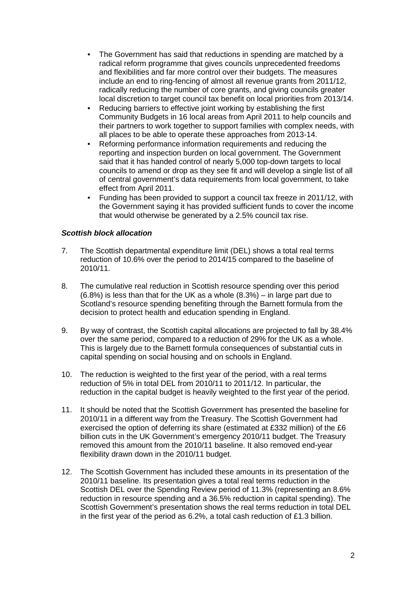- The Government has said that reductions in spending are matched by a radical reform programme that gives councils unprecedented freedoms and flexibilities and far more control over their budgets. The measures include an end to ring-fencing of almost all revenue grants from 2011/12, radically reducing the number of core grants, and giving councils greater local discretion to target council tax benefit on local priorities from 2013/14.
- Reducing barriers to effective joint working by establishing the first Community Budgets in 16 local areas from April 2011 to help councils and their partners to work together to support families with complex needs, with all places to be able to operate these approaches from 2013-14.
- Reforming performance information requirements and reducing the reporting and inspection burden on local government. The Government said that it has handed control of nearly 5,000 top-down targets to local councils to amend or drop as they see fit and will develop a single list of all of central government's data requirements from local government, to take effect from April 2011.
- Funding has been provided to support a council tax freeze in 2011/12, with the Government saying it has provided sufficient funds to cover the income that would otherwise be generated by a 2.5% council tax rise.

## *Scottish block allocation*

- 7. The Scottish departmental expenditure limit (DEL) shows a total real terms reduction of 10.6% over the period to 2014/15 compared to the baseline of 2010/11.
- 8. The cumulative real reduction in Scottish resource spending over this period (6.8%) is less than that for the UK as a whole (8.3%) – in large part due to Scotland's resource spending benefiting through the Barnett formula from the decision to protect health and education spending in England.
- 9. By way of contrast, the Scottish capital allocations are projected to fall by 38.4% over the same period, compared to a reduction of 29% for the UK as a whole. This is largely due to the Barnett formula consequences of substantial cuts in capital spending on social housing and on schools in England.
- 10. The reduction is weighted to the first year of the period, with a real terms reduction of 5% in total DEL from 2010/11 to 2011/12. In particular, the reduction in the capital budget is heavily weighted to the first year of the period.
- 11. It should be noted that the Scottish Government has presented the baseline for 2010/11 in a different way from the Treasury. The Scottish Government had exercised the option of deferring its share (estimated at £332 million) of the £6 billion cuts in the UK Government's emergency 2010/11 budget. The Treasury removed this amount from the 2010/11 baseline. It also removed end-year flexibility drawn down in the 2010/11 budget.
- 12. The Scottish Government has included these amounts in its presentation of the 2010/11 baseline. Its presentation gives a total real terms reduction in the Scottish DEL over the Spending Review period of 11.3% (representing an 8.6% reduction in resource spending and a 36.5% reduction in capital spending). The Scottish Government's presentation shows the real terms reduction in total DEL in the first year of the period as 6.2%, a total cash reduction of £1.3 billion.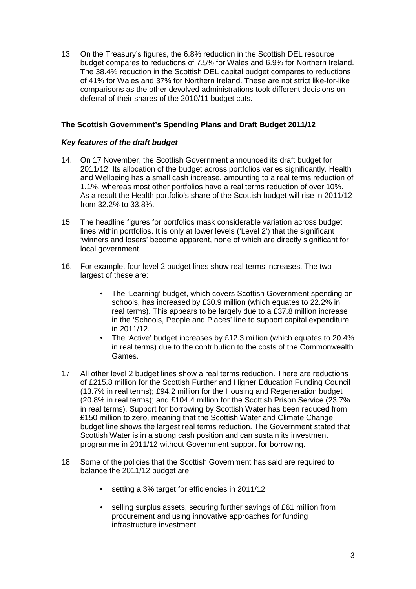13. On the Treasury's figures, the 6.8% reduction in the Scottish DEL resource budget compares to reductions of 7.5% for Wales and 6.9% for Northern Ireland. The 38.4% reduction in the Scottish DEL capital budget compares to reductions of 41% for Wales and 37% for Northern Ireland. These are not strict like-for-like comparisons as the other devolved administrations took different decisions on deferral of their shares of the 2010/11 budget cuts.

## **The Scottish Government's Spending Plans and Draft Budget 2011/12**

## *Key features of the draft budget*

- 14. On 17 November, the Scottish Government announced its draft budget for 2011/12. Its allocation of the budget across portfolios varies significantly. Health and Wellbeing has a small cash increase, amounting to a real terms reduction of 1.1%, whereas most other portfolios have a real terms reduction of over 10%. As a result the Health portfolio's share of the Scottish budget will rise in 2011/12 from 32.2% to 33.8%.
- 15. The headline figures for portfolios mask considerable variation across budget lines within portfolios. It is only at lower levels ('Level 2') that the significant 'winners and losers' become apparent, none of which are directly significant for local government.
- 16. For example, four level 2 budget lines show real terms increases. The two largest of these are:
	- The 'Learning' budget, which covers Scottish Government spending on schools, has increased by £30.9 million (which equates to 22.2% in real terms). This appears to be largely due to a £37.8 million increase in the 'Schools, People and Places' line to support capital expenditure in 2011/12.
	- The 'Active' budget increases by £12.3 million (which equates to 20.4% in real terms) due to the contribution to the costs of the Commonwealth Games.
- 17. All other level 2 budget lines show a real terms reduction. There are reductions of £215.8 million for the Scottish Further and Higher Education Funding Council (13.7% in real terms); £94.2 million for the Housing and Regeneration budget (20.8% in real terms); and £104.4 million for the Scottish Prison Service (23.7% in real terms). Support for borrowing by Scottish Water has been reduced from £150 million to zero, meaning that the Scottish Water and Climate Change budget line shows the largest real terms reduction. The Government stated that Scottish Water is in a strong cash position and can sustain its investment programme in 2011/12 without Government support for borrowing.
- 18. Some of the policies that the Scottish Government has said are required to balance the 2011/12 budget are:
	- setting a 3% target for efficiencies in 2011/12
	- selling surplus assets, securing further savings of £61 million from procurement and using innovative approaches for funding infrastructure investment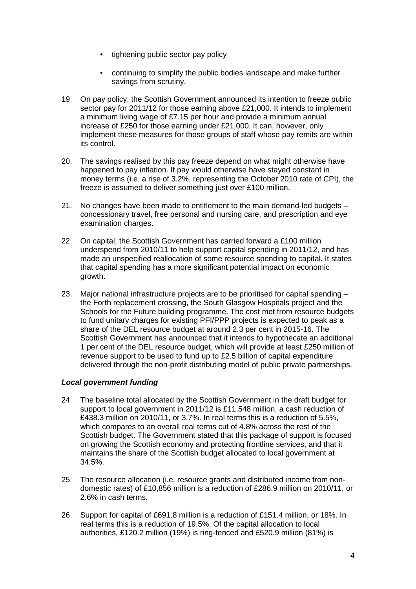- tightening public sector pay policy
- continuing to simplify the public bodies landscape and make further savings from scrutiny.
- 19. On pay policy, the Scottish Government announced its intention to freeze public sector pay for 2011/12 for those earning above £21,000. It intends to implement a minimum living wage of £7.15 per hour and provide a minimum annual increase of £250 for those earning under £21,000. It can, however, only implement these measures for those groups of staff whose pay remits are within its control.
- 20. The savings realised by this pay freeze depend on what might otherwise have happened to pay inflation. If pay would otherwise have stayed constant in money terms (i.e. a rise of 3.2%, representing the October 2010 rate of CPI), the freeze is assumed to deliver something just over £100 million.
- 21. No changes have been made to entitlement to the main demand-led budgets concessionary travel, free personal and nursing care, and prescription and eye examination charges.
- 22. On capital, the Scottish Government has carried forward a £100 million underspend from 2010/11 to help support capital spending in 2011/12, and has made an unspecified reallocation of some resource spending to capital. It states that capital spending has a more significant potential impact on economic growth.
- 23. Major national infrastructure projects are to be prioritised for capital spending the Forth replacement crossing, the South Glasgow Hospitals project and the Schools for the Future building programme. The cost met from resource budgets to fund unitary charges for existing PFI/PPP projects is expected to peak as a share of the DEL resource budget at around 2.3 per cent in 2015-16. The Scottish Government has announced that it intends to hypothecate an additional 1 per cent of the DEL resource budget, which will provide at least £250 million of revenue support to be used to fund up to £2.5 billion of capital expenditure delivered through the non-profit distributing model of public private partnerships.

## *Local government funding*

- 24. The baseline total allocated by the Scottish Government in the draft budget for support to local government in 2011/12 is £11,548 million, a cash reduction of £438.3 million on 2010/11, or 3.7%. In real terms this is a reduction of 5.5%, which compares to an overall real terms cut of 4.8% across the rest of the Scottish budget. The Government stated that this package of support is focused on growing the Scottish economy and protecting frontline services, and that it maintains the share of the Scottish budget allocated to local government at 34.5%.
- 25. The resource allocation (i.e. resource grants and distributed income from nondomestic rates) of £10,856 million is a reduction of £286.9 million on 2010/11, or 2.6% in cash terms.
- 26. Support for capital of £691.8 million is a reduction of £151.4 million, or 18%. In real terms this is a reduction of 19.5%. Of the capital allocation to local authorities, £120.2 million (19%) is ring-fenced and £520.9 million (81%) is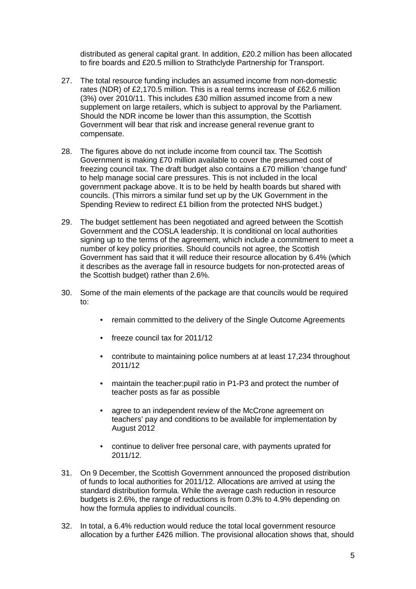distributed as general capital grant. In addition, £20.2 million has been allocated to fire boards and £20.5 million to Strathclyde Partnership for Transport.

- 27. The total resource funding includes an assumed income from non-domestic rates (NDR) of £2,170.5 million. This is a real terms increase of £62.6 million (3%) over 2010/11. This includes £30 million assumed income from a new supplement on large retailers, which is subject to approval by the Parliament. Should the NDR income be lower than this assumption, the Scottish Government will bear that risk and increase general revenue grant to compensate.
- 28. The figures above do not include income from council tax. The Scottish Government is making £70 million available to cover the presumed cost of freezing council tax. The draft budget also contains a £70 million 'change fund' to help manage social care pressures. This is not included in the local government package above. It is to be held by health boards but shared with councils. (This mirrors a similar fund set up by the UK Government in the Spending Review to redirect £1 billion from the protected NHS budget.)
- 29. The budget settlement has been negotiated and agreed between the Scottish Government and the COSLA leadership. It is conditional on local authorities signing up to the terms of the agreement, which include a commitment to meet a number of key policy priorities. Should councils not agree, the Scottish Government has said that it will reduce their resource allocation by 6.4% (which it describes as the average fall in resource budgets for non-protected areas of the Scottish budget) rather than 2.6%.
- 30. Some of the main elements of the package are that councils would be required to:
	- remain committed to the delivery of the Single Outcome Agreements
	- freeze council tax for 2011/12
	- contribute to maintaining police numbers at at least 17,234 throughout 2011/12
	- maintain the teacher:pupil ratio in P1-P3 and protect the number of teacher posts as far as possible
	- agree to an independent review of the McCrone agreement on teachers' pay and conditions to be available for implementation by August 2012
	- continue to deliver free personal care, with payments uprated for 2011/12.
- 31. On 9 December, the Scottish Government announced the proposed distribution of funds to local authorities for 2011/12. Allocations are arrived at using the standard distribution formula. While the average cash reduction in resource budgets is 2.6%, the range of reductions is from 0.3% to 4.9% depending on how the formula applies to individual councils.
- 32. In total, a 6.4% reduction would reduce the total local government resource allocation by a further £426 million. The provisional allocation shows that, should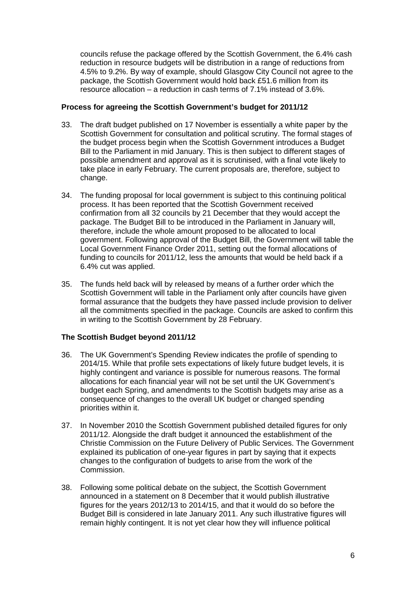councils refuse the package offered by the Scottish Government, the 6.4% cash reduction in resource budgets will be distribution in a range of reductions from 4.5% to 9.2%. By way of example, should Glasgow City Council not agree to the package, the Scottish Government would hold back £51.6 million from its resource allocation – a reduction in cash terms of 7.1% instead of 3.6%.

## **Process for agreeing the Scottish Government's budget for 2011/12**

- 33. The draft budget published on 17 November is essentially a white paper by the Scottish Government for consultation and political scrutiny. The formal stages of the budget process begin when the Scottish Government introduces a Budget Bill to the Parliament in mid January. This is then subject to different stages of possible amendment and approval as it is scrutinised, with a final vote likely to take place in early February. The current proposals are, therefore, subject to change.
- 34. The funding proposal for local government is subject to this continuing political process. It has been reported that the Scottish Government received confirmation from all 32 councils by 21 December that they would accept the package. The Budget Bill to be introduced in the Parliament in January will, therefore, include the whole amount proposed to be allocated to local government. Following approval of the Budget Bill, the Government will table the Local Government Finance Order 2011, setting out the formal allocations of funding to councils for 2011/12, less the amounts that would be held back if a 6.4% cut was applied.
- 35. The funds held back will by released by means of a further order which the Scottish Government will table in the Parliament only after councils have given formal assurance that the budgets they have passed include provision to deliver all the commitments specified in the package. Councils are asked to confirm this in writing to the Scottish Government by 28 February.

## **The Scottish Budget beyond 2011/12**

- 36. The UK Government's Spending Review indicates the profile of spending to 2014/15. While that profile sets expectations of likely future budget levels, it is highly contingent and variance is possible for numerous reasons. The formal allocations for each financial year will not be set until the UK Government's budget each Spring, and amendments to the Scottish budgets may arise as a consequence of changes to the overall UK budget or changed spending priorities within it.
- 37. In November 2010 the Scottish Government published detailed figures for only 2011/12. Alongside the draft budget it announced the establishment of the Christie Commission on the Future Delivery of Public Services. The Government explained its publication of one-year figures in part by saying that it expects changes to the configuration of budgets to arise from the work of the Commission.
- 38. Following some political debate on the subject, the Scottish Government announced in a statement on 8 December that it would publish illustrative figures for the years 2012/13 to 2014/15, and that it would do so before the Budget Bill is considered in late January 2011. Any such illustrative figures will remain highly contingent. It is not yet clear how they will influence political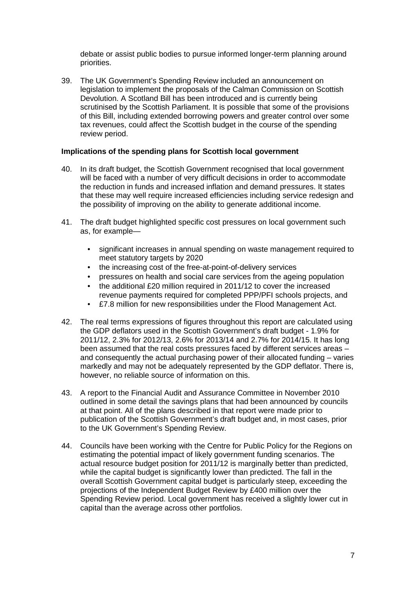debate or assist public bodies to pursue informed longer-term planning around priorities.

39. The UK Government's Spending Review included an announcement on legislation to implement the proposals of the Calman Commission on Scottish Devolution. A Scotland Bill has been introduced and is currently being scrutinised by the Scottish Parliament. It is possible that some of the provisions of this Bill, including extended borrowing powers and greater control over some tax revenues, could affect the Scottish budget in the course of the spending review period.

#### **Implications of the spending plans for Scottish local government**

- 40. In its draft budget, the Scottish Government recognised that local government will be faced with a number of very difficult decisions in order to accommodate the reduction in funds and increased inflation and demand pressures. It states that these may well require increased efficiencies including service redesign and the possibility of improving on the ability to generate additional income.
- 41. The draft budget highlighted specific cost pressures on local government such as, for example—
	- significant increases in annual spending on waste management required to meet statutory targets by 2020
	- the increasing cost of the free-at-point-of-delivery services
	- pressures on health and social care services from the ageing population
	- the additional £20 million required in 2011/12 to cover the increased revenue payments required for completed PPP/PFI schools projects, and
	- £7.8 million for new responsibilities under the Flood Management Act.
- 42. The real terms expressions of figures throughout this report are calculated using the GDP deflators used in the Scottish Government's draft budget - 1.9% for 2011/12, 2.3% for 2012/13, 2.6% for 2013/14 and 2.7% for 2014/15. It has long been assumed that the real costs pressures faced by different services areas – and consequently the actual purchasing power of their allocated funding – varies markedly and may not be adequately represented by the GDP deflator. There is, however, no reliable source of information on this.
- 43. A report to the Financial Audit and Assurance Committee in November 2010 outlined in some detail the savings plans that had been announced by councils at that point. All of the plans described in that report were made prior to publication of the Scottish Government's draft budget and, in most cases, prior to the UK Government's Spending Review.
- 44. Councils have been working with the Centre for Public Policy for the Regions on estimating the potential impact of likely government funding scenarios. The actual resource budget position for 2011/12 is marginally better than predicted, while the capital budget is significantly lower than predicted. The fall in the overall Scottish Government capital budget is particularly steep, exceeding the projections of the Independent Budget Review by £400 million over the Spending Review period. Local government has received a slightly lower cut in capital than the average across other portfolios.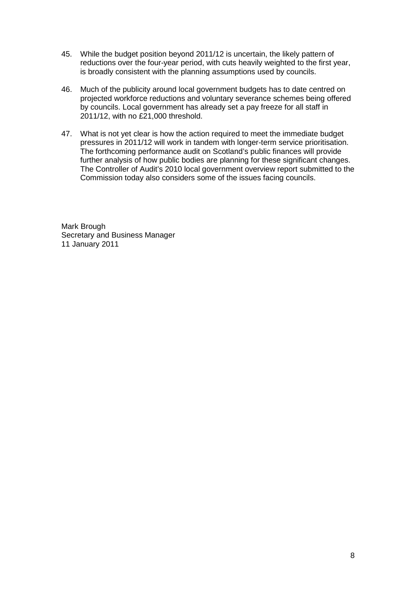- 45. While the budget position beyond 2011/12 is uncertain, the likely pattern of reductions over the four-year period, with cuts heavily weighted to the first year, is broadly consistent with the planning assumptions used by councils.
- 46. Much of the publicity around local government budgets has to date centred on projected workforce reductions and voluntary severance schemes being offered by councils. Local government has already set a pay freeze for all staff in 2011/12, with no £21,000 threshold.
- 47. What is not yet clear is how the action required to meet the immediate budget pressures in 2011/12 will work in tandem with longer-term service prioritisation. The forthcoming performance audit on Scotland's public finances will provide further analysis of how public bodies are planning for these significant changes. The Controller of Audit's 2010 local government overview report submitted to the Commission today also considers some of the issues facing councils.

Mark Brough Secretary and Business Manager 11 January 2011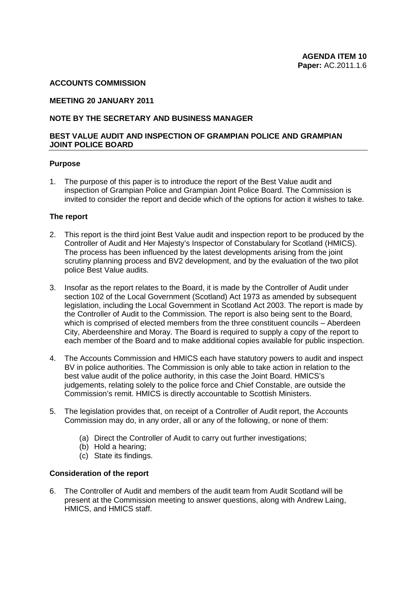#### **ACCOUNTS COMMISSION**

#### **MEETING 20 JANUARY 2011**

## **NOTE BY THE SECRETARY AND BUSINESS MANAGER**

#### **BEST VALUE AUDIT AND INSPECTION OF GRAMPIAN POLICE AND GRAMPIAN JOINT POLICE BOARD**

#### **Purpose**

1. The purpose of this paper is to introduce the report of the Best Value audit and inspection of Grampian Police and Grampian Joint Police Board. The Commission is invited to consider the report and decide which of the options for action it wishes to take.

#### **The report**

- 2. This report is the third joint Best Value audit and inspection report to be produced by the Controller of Audit and Her Majesty's Inspector of Constabulary for Scotland (HMICS). The process has been influenced by the latest developments arising from the joint scrutiny planning process and BV2 development, and by the evaluation of the two pilot police Best Value audits.
- 3. Insofar as the report relates to the Board, it is made by the Controller of Audit under section 102 of the Local Government (Scotland) Act 1973 as amended by subsequent legislation, including the Local Government in Scotland Act 2003. The report is made by the Controller of Audit to the Commission. The report is also being sent to the Board, which is comprised of elected members from the three constituent councils – Aberdeen City, Aberdeenshire and Moray. The Board is required to supply a copy of the report to each member of the Board and to make additional copies available for public inspection.
- 4. The Accounts Commission and HMICS each have statutory powers to audit and inspect BV in police authorities. The Commission is only able to take action in relation to the best value audit of the police authority, in this case the Joint Board. HMICS's judgements, relating solely to the police force and Chief Constable, are outside the Commission's remit. HMICS is directly accountable to Scottish Ministers.
- 5. The legislation provides that, on receipt of a Controller of Audit report, the Accounts Commission may do, in any order, all or any of the following, or none of them:
	- (a) Direct the Controller of Audit to carry out further investigations;
	- (b) Hold a hearing;
	- (c) State its findings.

#### **Consideration of the report**

6. The Controller of Audit and members of the audit team from Audit Scotland will be present at the Commission meeting to answer questions, along with Andrew Laing, HMICS, and HMICS staff.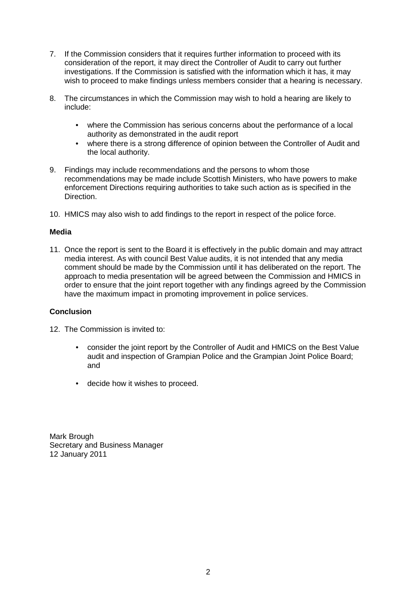- 7. If the Commission considers that it requires further information to proceed with its consideration of the report, it may direct the Controller of Audit to carry out further investigations. If the Commission is satisfied with the information which it has, it may wish to proceed to make findings unless members consider that a hearing is necessary.
- 8. The circumstances in which the Commission may wish to hold a hearing are likely to include:
	- where the Commission has serious concerns about the performance of a local authority as demonstrated in the audit report
	- where there is a strong difference of opinion between the Controller of Audit and the local authority.
- 9. Findings may include recommendations and the persons to whom those recommendations may be made include Scottish Ministers, who have powers to make enforcement Directions requiring authorities to take such action as is specified in the Direction.
- 10. HMICS may also wish to add findings to the report in respect of the police force.

## **Media**

11. Once the report is sent to the Board it is effectively in the public domain and may attract media interest. As with council Best Value audits, it is not intended that any media comment should be made by the Commission until it has deliberated on the report. The approach to media presentation will be agreed between the Commission and HMICS in order to ensure that the joint report together with any findings agreed by the Commission have the maximum impact in promoting improvement in police services.

## **Conclusion**

- 12. The Commission is invited to:
	- consider the joint report by the Controller of Audit and HMICS on the Best Value audit and inspection of Grampian Police and the Grampian Joint Police Board; and
	- decide how it wishes to proceed.

Mark Brough Secretary and Business Manager 12 January 2011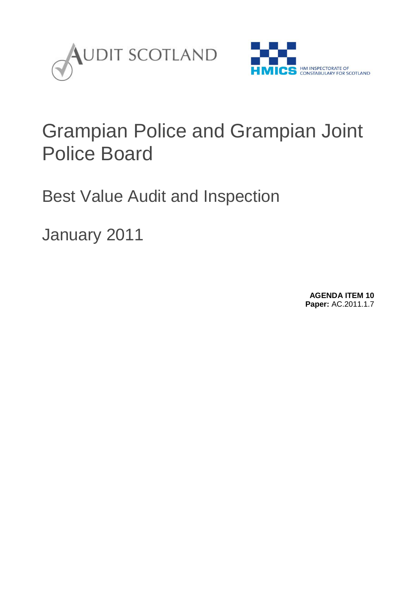



## Grampian Police and Grampian Joint Police Board

Best Value Audit and Inspection

January 2011

**AGENDA ITEM 10 Paper:** AC.2011.1.7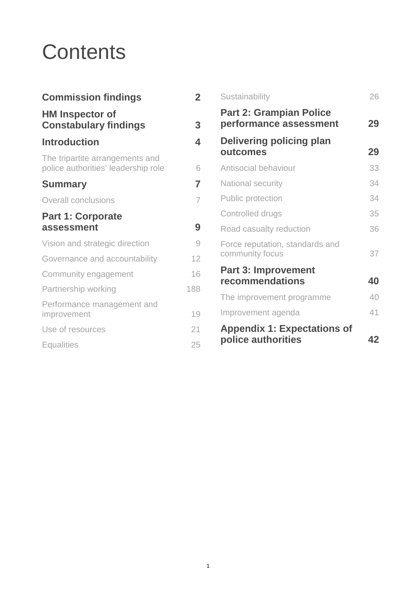# **Contents**

| <b>Commission findings</b>                                             | $\overline{\mathbf{2}}$ |
|------------------------------------------------------------------------|-------------------------|
| <b>HM Inspector of</b><br><b>Constabulary findings</b>                 | 3                       |
| <b>Introduction</b>                                                    | 4                       |
| The tripartite arrangements and<br>police authorities' leadership role | 6                       |
| <b>Summary</b>                                                         | 7                       |
| <b>Overall conclusions</b>                                             | $\overline{7}$          |
| <b>Part 1: Corporate</b><br>assessment                                 | 9                       |
| Vision and strategic direction                                         | 9                       |
| Governance and accountability                                          | 12                      |
| Community engagement                                                   | 16                      |
| Partnership working                                                    | 188                     |
| Performance management and<br>improvement                              | 19                      |
| Use of resources                                                       | 21                      |
| <b>Equalities</b>                                                      | 25                      |
|                                                                        |                         |

| Sustainability                                           | 26 |
|----------------------------------------------------------|----|
| <b>Part 2: Grampian Police</b><br>performance assessment | 29 |
| Delivering policing plan<br>outcomes                     | 29 |
| Antisocial behaviour                                     | 33 |
| <b>National security</b>                                 | 34 |
| <b>Public protection</b>                                 | 34 |
| Controlled drugs                                         | 35 |
| Road casualty reduction                                  | 36 |
| Force reputation, standards and<br>community focus       | 37 |
| <b>Part 3: Improvement</b><br>recommendations            | 40 |
| The improvement programme                                | 40 |
| Improvement agenda                                       | 41 |
| <b>Appendix 1: Expectations of</b><br>police authorities | 42 |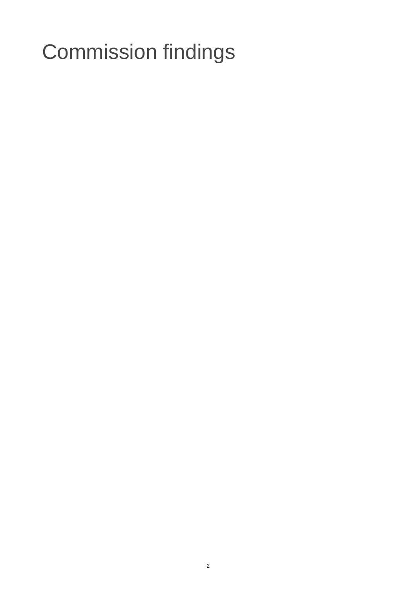# Commission findings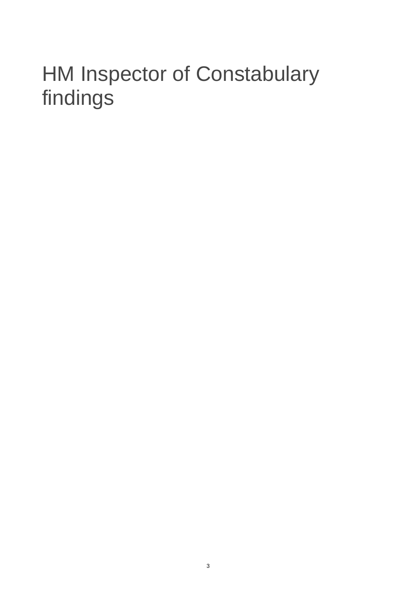# HM Inspector of Constabulary findings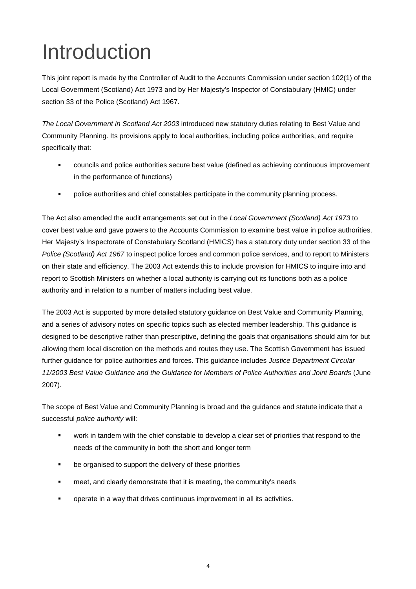# Introduction

This joint report is made by the Controller of Audit to the Accounts Commission under section 102(1) of the Local Government (Scotland) Act 1973 and by Her Majesty's Inspector of Constabulary (HMIC) under section 33 of the Police (Scotland) Act 1967.

*The Local Government in Scotland Act 2003* introduced new statutory duties relating to Best Value and Community Planning. Its provisions apply to local authorities, including police authorities, and require specifically that:

- councils and police authorities secure best value (defined as achieving continuous improvement in the performance of functions)
- **•** police authorities and chief constables participate in the community planning process.

The Act also amended the audit arrangements set out in the *Local Government (Scotland) Act 1973* to cover best value and gave powers to the Accounts Commission to examine best value in police authorities. Her Majesty's Inspectorate of Constabulary Scotland (HMICS) has a statutory duty under section 33 of the *Police (Scotland) Act 1967* to inspect police forces and common police services, and to report to Ministers on their state and efficiency. The 2003 Act extends this to include provision for HMICS to inquire into and report to Scottish Ministers on whether a local authority is carrying out its functions both as a police authority and in relation to a number of matters including best value.

The 2003 Act is supported by more detailed statutory guidance on Best Value and Community Planning, and a series of advisory notes on specific topics such as elected member leadership. This guidance is designed to be descriptive rather than prescriptive, defining the goals that organisations should aim for but allowing them local discretion on the methods and routes they use. The Scottish Government has issued further guidance for police authorities and forces. This guidance includes *Justice Department Circular 11/2003 Best Value Guidance and the Guidance for Members of Police Authorities and Joint Boards* (June 2007).

The scope of Best Value and Community Planning is broad and the guidance and statute indicate that a successful *police authority* will:

- work in tandem with the chief constable to develop a clear set of priorities that respond to the needs of the community in both the short and longer term
- be organised to support the delivery of these priorities
- meet, and clearly demonstrate that it is meeting, the community's needs
- operate in a way that drives continuous improvement in all its activities.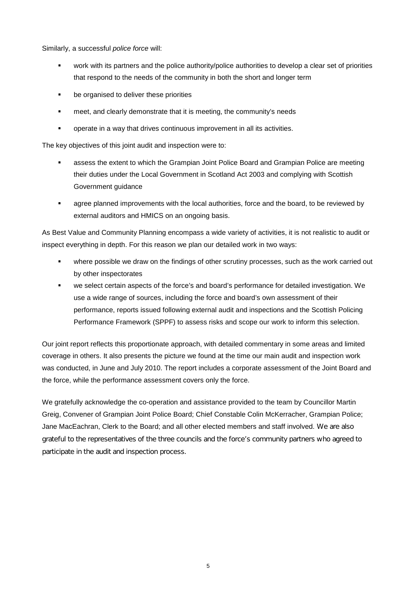Similarly, a successful *police force* will:

- work with its partners and the police authority/police authorities to develop a clear set of priorities that respond to the needs of the community in both the short and longer term
- be organised to deliver these priorities
- meet, and clearly demonstrate that it is meeting, the community's needs
- operate in a way that drives continuous improvement in all its activities.

The key objectives of this joint audit and inspection were to:

- assess the extent to which the Grampian Joint Police Board and Grampian Police are meeting their duties under the Local Government in Scotland Act 2003 and complying with Scottish Government guidance
- agree planned improvements with the local authorities, force and the board, to be reviewed by external auditors and HMICS on an ongoing basis.

As Best Value and Community Planning encompass a wide variety of activities, it is not realistic to audit or inspect everything in depth. For this reason we plan our detailed work in two ways:

- where possible we draw on the findings of other scrutiny processes, such as the work carried out by other inspectorates
- we select certain aspects of the force's and board's performance for detailed investigation. We use a wide range of sources, including the force and board's own assessment of their performance, reports issued following external audit and inspections and the Scottish Policing Performance Framework (SPPF) to assess risks and scope our work to inform this selection.

Our joint report reflects this proportionate approach, with detailed commentary in some areas and limited coverage in others. It also presents the picture we found at the time our main audit and inspection work was conducted, in June and July 2010. The report includes a corporate assessment of the Joint Board and the force, while the performance assessment covers only the force.

We gratefully acknowledge the co-operation and assistance provided to the team by Councillor Martin Greig, Convener of Grampian Joint Police Board; Chief Constable Colin McKerracher, Grampian Police; Jane MacEachran, Clerk to the Board; and all other elected members and staff involved. We are also grateful to the representatives of the three councils and the force's community partners who agreed to participate in the audit and inspection process.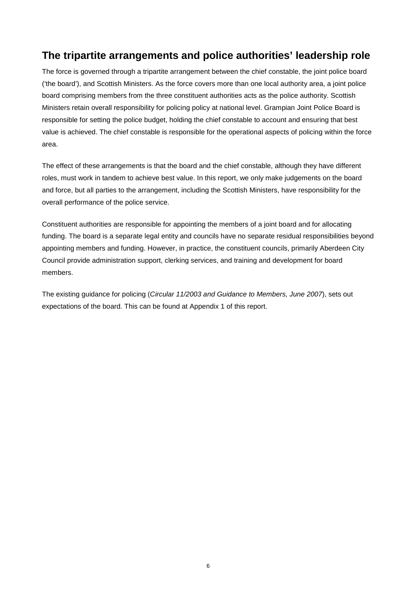# **The tripartite arrangements and police authorities' leadership role**

The force is governed through a tripartite arrangement between the chief constable, the joint police board ('the board'), and Scottish Ministers. As the force covers more than one local authority area, a joint police board comprising members from the three constituent authorities acts as the police authority. Scottish Ministers retain overall responsibility for policing policy at national level. Grampian Joint Police Board is responsible for setting the police budget, holding the chief constable to account and ensuring that best value is achieved. The chief constable is responsible for the operational aspects of policing within the force area.

The effect of these arrangements is that the board and the chief constable, although they have different roles, must work in tandem to achieve best value. In this report, we only make judgements on the board and force, but all parties to the arrangement, including the Scottish Ministers, have responsibility for the overall performance of the police service.

Constituent authorities are responsible for appointing the members of a joint board and for allocating funding. The board is a separate legal entity and councils have no separate residual responsibilities beyond appointing members and funding. However, in practice, the constituent councils, primarily Aberdeen City Council provide administration support, clerking services, and training and development for board members.

The existing guidance for policing (*Circular 11/2003 and Guidance to Members, June 2007*), sets out expectations of the board. This can be found at Appendix 1 of this report.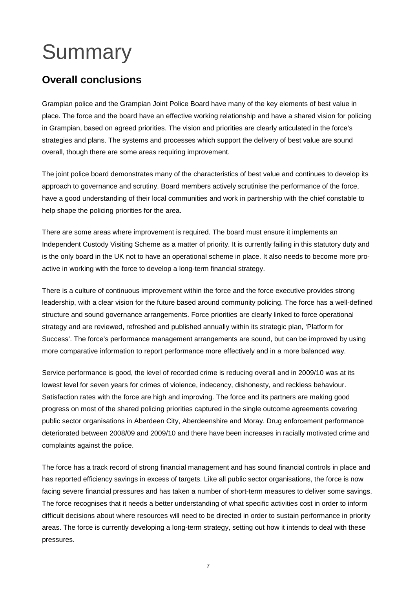# **Summary**

# **Overall conclusions**

Grampian police and the Grampian Joint Police Board have many of the key elements of best value in place. The force and the board have an effective working relationship and have a shared vision for policing in Grampian, based on agreed priorities. The vision and priorities are clearly articulated in the force's strategies and plans. The systems and processes which support the delivery of best value are sound overall, though there are some areas requiring improvement.

The joint police board demonstrates many of the characteristics of best value and continues to develop its approach to governance and scrutiny. Board members actively scrutinise the performance of the force, have a good understanding of their local communities and work in partnership with the chief constable to help shape the policing priorities for the area.

There are some areas where improvement is required. The board must ensure it implements an Independent Custody Visiting Scheme as a matter of priority. It is currently failing in this statutory duty and is the only board in the UK not to have an operational scheme in place. It also needs to become more proactive in working with the force to develop a long-term financial strategy.

There is a culture of continuous improvement within the force and the force executive provides strong leadership, with a clear vision for the future based around community policing. The force has a well-defined structure and sound governance arrangements. Force priorities are clearly linked to force operational strategy and are reviewed, refreshed and published annually within its strategic plan, 'Platform for Success'. The force's performance management arrangements are sound, but can be improved by using more comparative information to report performance more effectively and in a more balanced way.

Service performance is good, the level of recorded crime is reducing overall and in 2009/10 was at its lowest level for seven years for crimes of violence, indecency, dishonesty, and reckless behaviour. Satisfaction rates with the force are high and improving. The force and its partners are making good progress on most of the shared policing priorities captured in the single outcome agreements covering public sector organisations in Aberdeen City, Aberdeenshire and Moray. Drug enforcement performance deteriorated between 2008/09 and 2009/10 and there have been increases in racially motivated crime and complaints against the police.

The force has a track record of strong financial management and has sound financial controls in place and has reported efficiency savings in excess of targets. Like all public sector organisations, the force is now facing severe financial pressures and has taken a number of short-term measures to deliver some savings. The force recognises that it needs a better understanding of what specific activities cost in order to inform difficult decisions about where resources will need to be directed in order to sustain performance in priority areas. The force is currently developing a long-term strategy, setting out how it intends to deal with these pressures.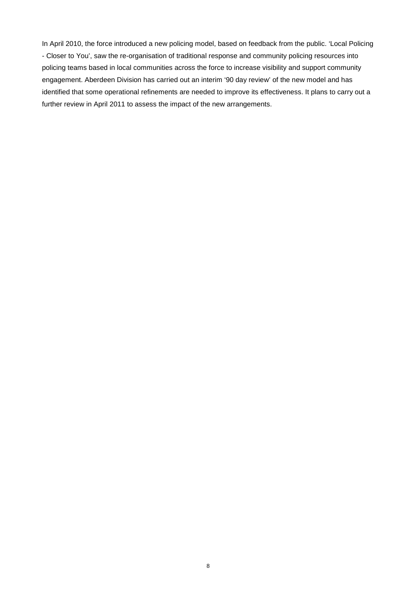In April 2010, the force introduced a new policing model, based on feedback from the public. 'Local Policing - Closer to You', saw the re-organisation of traditional response and community policing resources into policing teams based in local communities across the force to increase visibility and support community engagement. Aberdeen Division has carried out an interim '90 day review' of the new model and has identified that some operational refinements are needed to improve its effectiveness. It plans to carry out a further review in April 2011 to assess the impact of the new arrangements.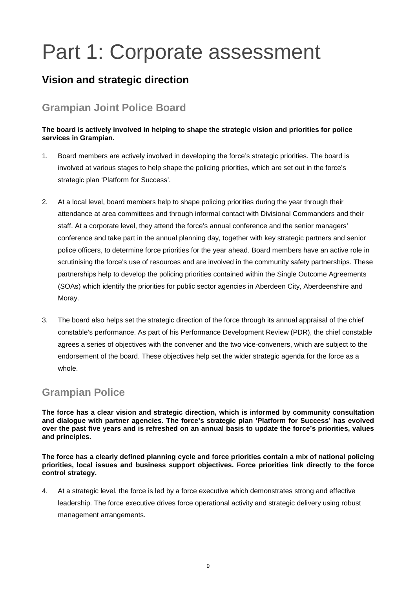# Part 1: Corporate assessment

# **Vision and strategic direction**

# **Grampian Joint Police Board**

## **The board is actively involved in helping to shape the strategic vision and priorities for police services in Grampian.**

- 1. Board members are actively involved in developing the force's strategic priorities. The board is involved at various stages to help shape the policing priorities, which are set out in the force's strategic plan 'Platform for Success'.
- 2. At a local level, board members help to shape policing priorities during the year through their attendance at area committees and through informal contact with Divisional Commanders and their staff. At a corporate level, they attend the force's annual conference and the senior managers' conference and take part in the annual planning day, together with key strategic partners and senior police officers, to determine force priorities for the year ahead. Board members have an active role in scrutinising the force's use of resources and are involved in the community safety partnerships. These partnerships help to develop the policing priorities contained within the Single Outcome Agreements (SOAs) which identify the priorities for public sector agencies in Aberdeen City, Aberdeenshire and Moray.
- 3. The board also helps set the strategic direction of the force through its annual appraisal of the chief constable's performance. As part of his Performance Development Review (PDR), the chief constable agrees a series of objectives with the convener and the two vice-conveners, which are subject to the endorsement of the board. These objectives help set the wider strategic agenda for the force as a whole.

# **Grampian Police**

**The force has a clear vision and strategic direction, which is informed by community consultation and dialogue with partner agencies. The force's strategic plan 'Platform for Success' has evolved over the past five years and is refreshed on an annual basis to update the force's priorities, values and principles.** 

**The force has a clearly defined planning cycle and force priorities contain a mix of national policing priorities, local issues and business support objectives. Force priorities link directly to the force control strategy.**

4. At a strategic level, the force is led by a force executive which demonstrates strong and effective leadership. The force executive drives force operational activity and strategic delivery using robust management arrangements.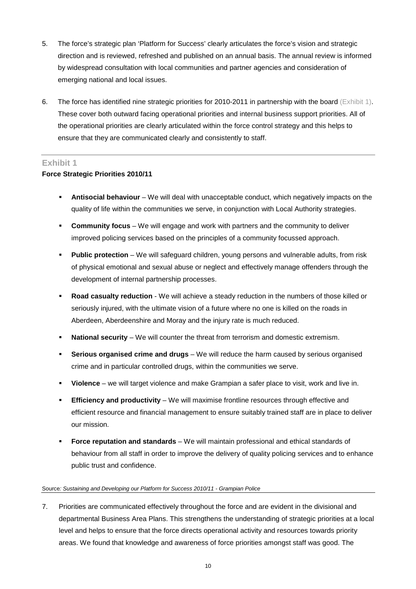- 5. The force's strategic plan 'Platform for Success' clearly articulates the force's vision and strategic direction and is reviewed, refreshed and published on an annual basis. The annual review is informed by widespread consultation with local communities and partner agencies and consideration of emerging national and local issues.
- 6. The force has identified nine strategic priorities for 2010-2011 in partnership with the board (Exhibit 1). These cover both outward facing operational priorities and internal business support priorities. All of the operational priorities are clearly articulated within the force control strategy and this helps to ensure that they are communicated clearly and consistently to staff.

## **Exhibit 1**

## **Force Strategic Priorities 2010/11**

- **Antisocial behaviour** We will deal with unacceptable conduct, which negatively impacts on the quality of life within the communities we serve, in conjunction with Local Authority strategies.
- **Community focus** We will engage and work with partners and the community to deliver improved policing services based on the principles of a community focussed approach.
- **Public protection** We will safeguard children, young persons and vulnerable adults, from risk of physical emotional and sexual abuse or neglect and effectively manage offenders through the development of internal partnership processes.
- **Road casualty reduction** We will achieve a steady reduction in the numbers of those killed or seriously injured, with the ultimate vision of a future where no one is killed on the roads in Aberdeen, Aberdeenshire and Moray and the injury rate is much reduced.
- **National security** We will counter the threat from terrorism and domestic extremism.
- **Serious organised crime and drugs** We will reduce the harm caused by serious organised crime and in particular controlled drugs, within the communities we serve.
- **Violence** we will target violence and make Grampian a safer place to visit, work and live in.
- **Efficiency and productivity** We will maximise frontline resources through effective and efficient resource and financial management to ensure suitably trained staff are in place to deliver our mission.
- **Force reputation and standards** We will maintain professional and ethical standards of behaviour from all staff in order to improve the delivery of quality policing services and to enhance public trust and confidence.

#### Source*: Sustaining and Developing our Platform for Success 2010/11 - Grampian Police*

7. Priorities are communicated effectively throughout the force and are evident in the divisional and departmental Business Area Plans. This strengthens the understanding of strategic priorities at a local level and helps to ensure that the force directs operational activity and resources towards priority areas. We found that knowledge and awareness of force priorities amongst staff was good. The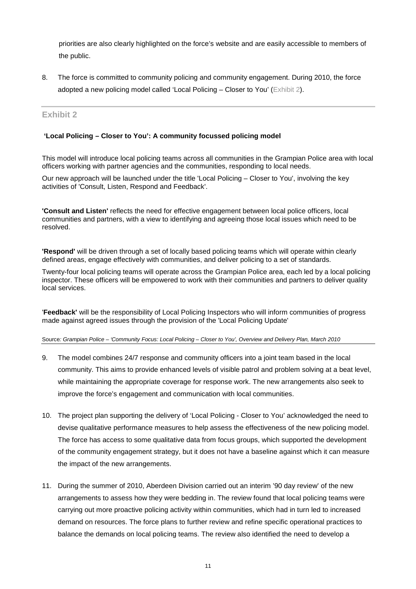priorities are also clearly highlighted on the force's website and are easily accessible to members of the public.

8. The force is committed to community policing and community engagement. During 2010, the force adopted a new policing model called 'Local Policing – Closer to You' (Exhibit 2).

## **Exhibit 2**

### **'Local Policing – Closer to You': A community focussed policing model**

This model will introduce local policing teams across all communities in the Grampian Police area with local officers working with partner agencies and the communities, responding to local needs.

Our new approach will be launched under the title 'Local Policing – Closer to You', involving the key activities of 'Consult, Listen, Respond and Feedback'.

**'Consult and Listen'** reflects the need for effective engagement between local police officers, local communities and partners, with a view to identifying and agreeing those local issues which need to be resolved.

**'Respond'** will be driven through a set of locally based policing teams which will operate within clearly defined areas, engage effectively with communities, and deliver policing to a set of standards.

Twenty-four local policing teams will operate across the Grampian Police area, each led by a local policing inspector. These officers will be empowered to work with their communities and partners to deliver quality local services.

'**Feedback'** will be the responsibility of Local Policing Inspectors who will inform communities of progress made against agreed issues through the provision of the 'Local Policing Update'

Source*: Grampian Police – 'Community Focus: Local Policing – Closer to You', Overview and Delivery Plan, March 2010* 

- 9. The model combines 24/7 response and community officers into a joint team based in the local community. This aims to provide enhanced levels of visible patrol and problem solving at a beat level, while maintaining the appropriate coverage for response work. The new arrangements also seek to improve the force's engagement and communication with local communities.
- 10. The project plan supporting the delivery of 'Local Policing Closer to You' acknowledged the need to devise qualitative performance measures to help assess the effectiveness of the new policing model. The force has access to some qualitative data from focus groups, which supported the development of the community engagement strategy, but it does not have a baseline against which it can measure the impact of the new arrangements.
- 11. During the summer of 2010, Aberdeen Division carried out an interim '90 day review' of the new arrangements to assess how they were bedding in. The review found that local policing teams were carrying out more proactive policing activity within communities, which had in turn led to increased demand on resources. The force plans to further review and refine specific operational practices to balance the demands on local policing teams. The review also identified the need to develop a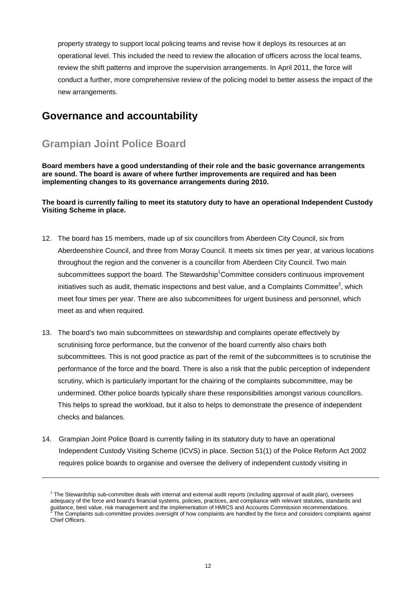property strategy to support local policing teams and revise how it deploys its resources at an operational level. This included the need to review the allocation of officers across the local teams, review the shift patterns and improve the supervision arrangements. In April 2011, the force will conduct a further, more comprehensive review of the policing model to better assess the impact of the new arrangements.

## **Governance and accountability**

# **Grampian Joint Police Board**

**Board members have a good understanding of their role and the basic governance arrangements are sound. The board is aware of where further improvements are required and has been implementing changes to its governance arrangements during 2010.** 

### **The board is currently failing to meet its statutory duty to have an operational Independent Custody Visiting Scheme in place.**

- 12. The board has 15 members, made up of six councillors from Aberdeen City Council, six from Aberdeenshire Council, and three from Moray Council. It meets six times per year, at various locations throughout the region and the convener is a councillor from Aberdeen City Council. Two main subcommittees support the board. The Stewardship<sup>1</sup> Committee considers continuous improvement initiatives such as audit, thematic inspections and best value, and a Complaints Committee<sup>2</sup>, which meet four times per year. There are also subcommittees for urgent business and personnel, which meet as and when required.
- 13. The board's two main subcommittees on stewardship and complaints operate effectively by scrutinising force performance, but the convenor of the board currently also chairs both subcommittees. This is not good practice as part of the remit of the subcommittees is to scrutinise the performance of the force and the board. There is also a risk that the public perception of independent scrutiny, which is particularly important for the chairing of the complaints subcommittee, may be undermined. Other police boards typically share these responsibilities amongst various councillors. This helps to spread the workload, but it also to helps to demonstrate the presence of independent checks and balances.
- 14. Grampian Joint Police Board is currently failing in its statutory duty to have an operational Independent Custody Visiting Scheme (ICVS) in place. Section 51(1) of the Police Reform Act 2002 requires police boards to organise and oversee the delivery of independent custody visiting in

<sup>&</sup>lt;sup>1</sup> The Stewardship sub-committee deals with internal and external audit reports (including approval of audit plan), oversees adequacy of the force and board's financial systems, policies, practices, and compliance with relevant statutes, standards and guidance, best value, risk management and the implementation of HMICS and Accounts Commission recommendations.<br><sup>2</sup> The Complaints sub-committee provides oversight of how complaints are handled by the force and considers co Chief Officers.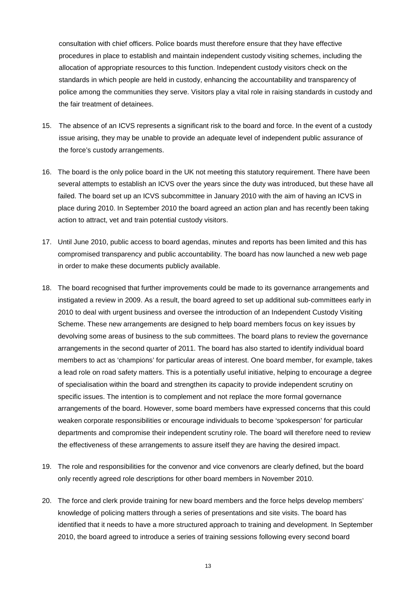consultation with chief officers. Police boards must therefore ensure that they have effective procedures in place to establish and maintain independent custody visiting schemes, including the allocation of appropriate resources to this function. Independent custody visitors check on the standards in which people are held in custody, enhancing the accountability and transparency of police among the communities they serve. Visitors play a vital role in raising standards in custody and the fair treatment of detainees.

- 15. The absence of an ICVS represents a significant risk to the board and force. In the event of a custody issue arising, they may be unable to provide an adequate level of independent public assurance of the force's custody arrangements.
- 16. The board is the only police board in the UK not meeting this statutory requirement. There have been several attempts to establish an ICVS over the years since the duty was introduced, but these have all failed. The board set up an ICVS subcommittee in January 2010 with the aim of having an ICVS in place during 2010. In September 2010 the board agreed an action plan and has recently been taking action to attract, vet and train potential custody visitors.
- 17. Until June 2010, public access to board agendas, minutes and reports has been limited and this has compromised transparency and public accountability. The board has now launched a new web page in order to make these documents publicly available.
- 18. The board recognised that further improvements could be made to its governance arrangements and instigated a review in 2009. As a result, the board agreed to set up additional sub-committees early in 2010 to deal with urgent business and oversee the introduction of an Independent Custody Visiting Scheme. These new arrangements are designed to help board members focus on key issues by devolving some areas of business to the sub committees. The board plans to review the governance arrangements in the second quarter of 2011. The board has also started to identify individual board members to act as 'champions' for particular areas of interest. One board member, for example, takes a lead role on road safety matters. This is a potentially useful initiative, helping to encourage a degree of specialisation within the board and strengthen its capacity to provide independent scrutiny on specific issues. The intention is to complement and not replace the more formal governance arrangements of the board. However, some board members have expressed concerns that this could weaken corporate responsibilities or encourage individuals to become 'spokesperson' for particular departments and compromise their independent scrutiny role. The board will therefore need to review the effectiveness of these arrangements to assure itself they are having the desired impact.
- 19. The role and responsibilities for the convenor and vice convenors are clearly defined, but the board only recently agreed role descriptions for other board members in November 2010.
- 20. The force and clerk provide training for new board members and the force helps develop members' knowledge of policing matters through a series of presentations and site visits. The board has identified that it needs to have a more structured approach to training and development. In September 2010, the board agreed to introduce a series of training sessions following every second board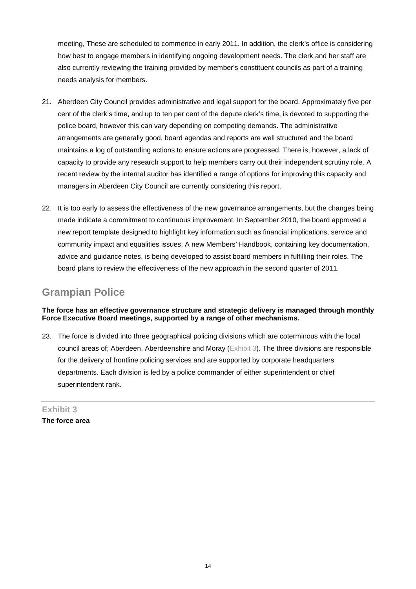meeting, These are scheduled to commence in early 2011. In addition, the clerk's office is considering how best to engage members in identifying ongoing development needs. The clerk and her staff are also currently reviewing the training provided by member's constituent councils as part of a training needs analysis for members.

- 21. Aberdeen City Council provides administrative and legal support for the board. Approximately five per cent of the clerk's time, and up to ten per cent of the depute clerk's time, is devoted to supporting the police board, however this can vary depending on competing demands. The administrative arrangements are generally good, board agendas and reports are well structured and the board maintains a log of outstanding actions to ensure actions are progressed. There is, however, a lack of capacity to provide any research support to help members carry out their independent scrutiny role. A recent review by the internal auditor has identified a range of options for improving this capacity and managers in Aberdeen City Council are currently considering this report.
- 22. It is too early to assess the effectiveness of the new governance arrangements, but the changes being made indicate a commitment to continuous improvement. In September 2010, the board approved a new report template designed to highlight key information such as financial implications, service and community impact and equalities issues. A new Members' Handbook, containing key documentation, advice and guidance notes, is being developed to assist board members in fulfilling their roles. The board plans to review the effectiveness of the new approach in the second quarter of 2011.

# **Grampian Police**

## **The force has an effective governance structure and strategic delivery is managed through monthly Force Executive Board meetings, supported by a range of other mechanisms.**

23. The force is divided into three geographical policing divisions which are coterminous with the local council areas of; Aberdeen, Aberdeenshire and Moray (Exhibit 3). The three divisions are responsible for the delivery of frontline policing services and are supported by corporate headquarters departments. Each division is led by a police commander of either superintendent or chief superintendent rank.

**Exhibit 3 The force area**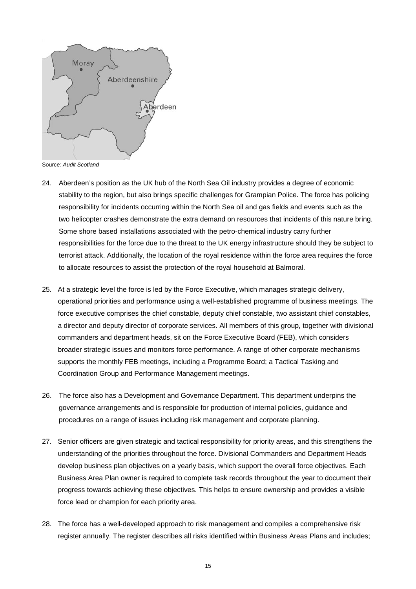

- 24. Aberdeen's position as the UK hub of the North Sea Oil industry provides a degree of economic stability to the region, but also brings specific challenges for Grampian Police. The force has policing responsibility for incidents occurring within the North Sea oil and gas fields and events such as the two helicopter crashes demonstrate the extra demand on resources that incidents of this nature bring. Some shore based installations associated with the petro-chemical industry carry further responsibilities for the force due to the threat to the UK energy infrastructure should they be subject to terrorist attack. Additionally, the location of the royal residence within the force area requires the force to allocate resources to assist the protection of the royal household at Balmoral.
- 25. At a strategic level the force is led by the Force Executive, which manages strategic delivery, operational priorities and performance using a well-established programme of business meetings. The force executive comprises the chief constable, deputy chief constable, two assistant chief constables, a director and deputy director of corporate services. All members of this group, together with divisional commanders and department heads, sit on the Force Executive Board (FEB), which considers broader strategic issues and monitors force performance. A range of other corporate mechanisms supports the monthly FEB meetings, including a Programme Board; a Tactical Tasking and Coordination Group and Performance Management meetings.
- 26. The force also has a Development and Governance Department. This department underpins the governance arrangements and is responsible for production of internal policies, guidance and procedures on a range of issues including risk management and corporate planning.
- 27. Senior officers are given strategic and tactical responsibility for priority areas, and this strengthens the understanding of the priorities throughout the force. Divisional Commanders and Department Heads develop business plan objectives on a yearly basis, which support the overall force objectives. Each Business Area Plan owner is required to complete task records throughout the year to document their progress towards achieving these objectives. This helps to ensure ownership and provides a visible force lead or champion for each priority area.
- 28. The force has a well-developed approach to risk management and compiles a comprehensive risk register annually. The register describes all risks identified within Business Areas Plans and includes;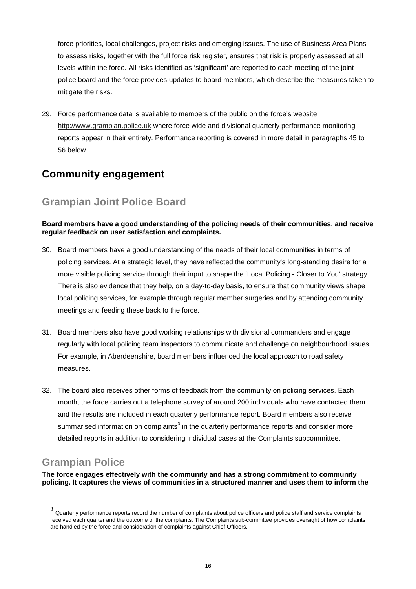force priorities, local challenges, project risks and emerging issues. The use of Business Area Plans to assess risks, together with the full force risk register, ensures that risk is properly assessed at all levels within the force. All risks identified as 'significant' are reported to each meeting of the joint police board and the force provides updates to board members, which describe the measures taken to mitigate the risks.

29. Force performance data is available to members of the public on the force's website http://www.grampian.police.uk where force wide and divisional quarterly performance monitoring reports appear in their entirety. Performance reporting is covered in more detail in paragraphs 45 to 56 below.

# **Community engagement**

# **Grampian Joint Police Board**

## **Board members have a good understanding of the policing needs of their communities, and receive regular feedback on user satisfaction and complaints.**

- 30. Board members have a good understanding of the needs of their local communities in terms of policing services. At a strategic level, they have reflected the community's long-standing desire for a more visible policing service through their input to shape the 'Local Policing - Closer to You' strategy. There is also evidence that they help, on a day-to-day basis, to ensure that community views shape local policing services, for example through regular member surgeries and by attending community meetings and feeding these back to the force.
- 31. Board members also have good working relationships with divisional commanders and engage regularly with local policing team inspectors to communicate and challenge on neighbourhood issues. For example, in Aberdeenshire, board members influenced the local approach to road safety measures.
- 32. The board also receives other forms of feedback from the community on policing services. Each month, the force carries out a telephone survey of around 200 individuals who have contacted them and the results are included in each quarterly performance report. Board members also receive summarised information on complaints<sup>3</sup> in the quarterly performance reports and consider more detailed reports in addition to considering individual cases at the Complaints subcommittee.

# **Grampian Police**

**The force engages effectively with the community and has a strong commitment to community policing. It captures the views of communities in a structured manner and uses them to inform the** 

 $3$  Quarterly performance reports record the number of complaints about police officers and police staff and service complaints received each quarter and the outcome of the complaints. The Complaints sub-committee provides oversight of how complaints are handled by the force and consideration of complaints against Chief Officers.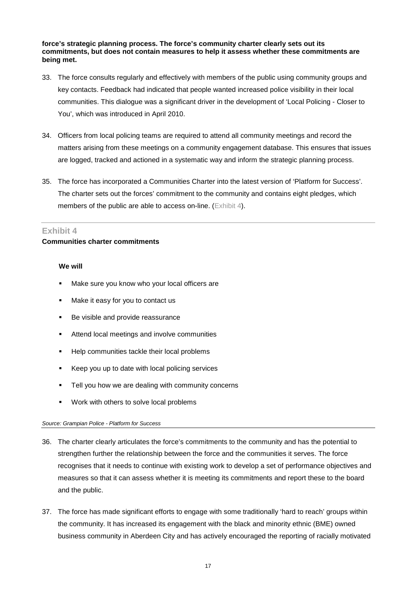#### **force's strategic planning process. The force's community charter clearly sets out its commitments, but does not contain measures to help it assess whether these commitments are being met.**

- 33. The force consults regularly and effectively with members of the public using community groups and key contacts. Feedback had indicated that people wanted increased police visibility in their local communities. This dialogue was a significant driver in the development of 'Local Policing - Closer to You', which was introduced in April 2010.
- 34. Officers from local policing teams are required to attend all community meetings and record the matters arising from these meetings on a community engagement database. This ensures that issues are logged, tracked and actioned in a systematic way and inform the strategic planning process.
- 35. The force has incorporated a Communities Charter into the latest version of 'Platform for Success'. The charter sets out the forces' commitment to the community and contains eight pledges, which members of the public are able to access on-line. (Exhibit 4).

### **Exhibit 4**

## **Communities charter commitments**

### **We will**

- Make sure you know who your local officers are
- Make it easy for you to contact us
- Be visible and provide reassurance
- Attend local meetings and involve communities
- Help communities tackle their local problems
- Keep you up to date with local policing services
- Tell you how we are dealing with community concerns
- Work with others to solve local problems

### *Source: Grampian Police - Platform for Success*

- 36. The charter clearly articulates the force's commitments to the community and has the potential to strengthen further the relationship between the force and the communities it serves. The force recognises that it needs to continue with existing work to develop a set of performance objectives and measures so that it can assess whether it is meeting its commitments and report these to the board and the public.
- 37. The force has made significant efforts to engage with some traditionally 'hard to reach' groups within the community. It has increased its engagement with the black and minority ethnic (BME) owned business community in Aberdeen City and has actively encouraged the reporting of racially motivated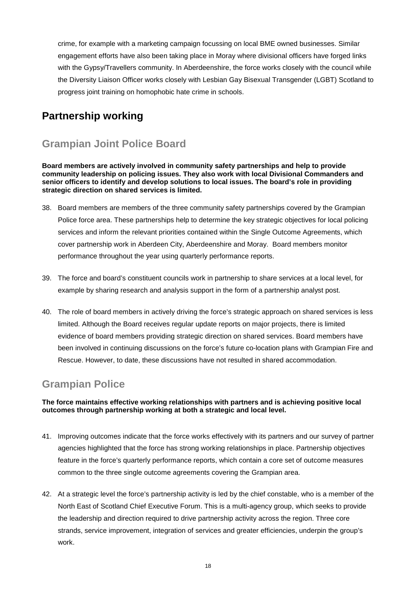crime, for example with a marketing campaign focussing on local BME owned businesses. Similar engagement efforts have also been taking place in Moray where divisional officers have forged links with the Gypsy/Travellers community. In Aberdeenshire, the force works closely with the council while the Diversity Liaison Officer works closely with Lesbian Gay Bisexual Transgender (LGBT) Scotland to progress joint training on homophobic hate crime in schools.

# **Partnership working**

# **Grampian Joint Police Board**

**Board members are actively involved in community safety partnerships and help to provide community leadership on policing issues. They also work with local Divisional Commanders and senior officers to identify and develop solutions to local issues. The board's role in providing strategic direction on shared services is limited.** 

- 38. Board members are members of the three community safety partnerships covered by the Grampian Police force area. These partnerships help to determine the key strategic objectives for local policing services and inform the relevant priorities contained within the Single Outcome Agreements, which cover partnership work in Aberdeen City, Aberdeenshire and Moray. Board members monitor performance throughout the year using quarterly performance reports.
- 39. The force and board's constituent councils work in partnership to share services at a local level, for example by sharing research and analysis support in the form of a partnership analyst post.
- 40. The role of board members in actively driving the force's strategic approach on shared services is less limited. Although the Board receives regular update reports on major projects, there is limited evidence of board members providing strategic direction on shared services. Board members have been involved in continuing discussions on the force's future co-location plans with Grampian Fire and Rescue. However, to date, these discussions have not resulted in shared accommodation.

## **Grampian Police**

## **The force maintains effective working relationships with partners and is achieving positive local outcomes through partnership working at both a strategic and local level.**

- 41. Improving outcomes indicate that the force works effectively with its partners and our survey of partner agencies highlighted that the force has strong working relationships in place. Partnership objectives feature in the force's quarterly performance reports, which contain a core set of outcome measures common to the three single outcome agreements covering the Grampian area.
- 42. At a strategic level the force's partnership activity is led by the chief constable, who is a member of the North East of Scotland Chief Executive Forum. This is a multi-agency group, which seeks to provide the leadership and direction required to drive partnership activity across the region. Three core strands, service improvement, integration of services and greater efficiencies, underpin the group's work.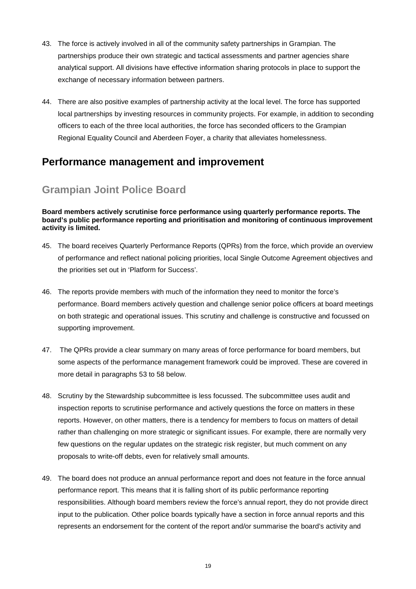- 43. The force is actively involved in all of the community safety partnerships in Grampian. The partnerships produce their own strategic and tactical assessments and partner agencies share analytical support. All divisions have effective information sharing protocols in place to support the exchange of necessary information between partners.
- 44. There are also positive examples of partnership activity at the local level. The force has supported local partnerships by investing resources in community projects. For example, in addition to seconding officers to each of the three local authorities, the force has seconded officers to the Grampian Regional Equality Council and Aberdeen Foyer, a charity that alleviates homelessness.

# **Performance management and improvement**

# **Grampian Joint Police Board**

#### **Board members actively scrutinise force performance using quarterly performance reports. The board's public performance reporting and prioritisation and monitoring of continuous improvement activity is limited.**

- 45. The board receives Quarterly Performance Reports (QPRs) from the force, which provide an overview of performance and reflect national policing priorities, local Single Outcome Agreement objectives and the priorities set out in 'Platform for Success'.
- 46. The reports provide members with much of the information they need to monitor the force's performance. Board members actively question and challenge senior police officers at board meetings on both strategic and operational issues. This scrutiny and challenge is constructive and focussed on supporting improvement.
- 47. The QPRs provide a clear summary on many areas of force performance for board members, but some aspects of the performance management framework could be improved. These are covered in more detail in paragraphs 53 to 58 below.
- 48. Scrutiny by the Stewardship subcommittee is less focussed. The subcommittee uses audit and inspection reports to scrutinise performance and actively questions the force on matters in these reports. However, on other matters, there is a tendency for members to focus on matters of detail rather than challenging on more strategic or significant issues. For example, there are normally very few questions on the regular updates on the strategic risk register, but much comment on any proposals to write-off debts, even for relatively small amounts.
- 49. The board does not produce an annual performance report and does not feature in the force annual performance report. This means that it is falling short of its public performance reporting responsibilities. Although board members review the force's annual report, they do not provide direct input to the publication. Other police boards typically have a section in force annual reports and this represents an endorsement for the content of the report and/or summarise the board's activity and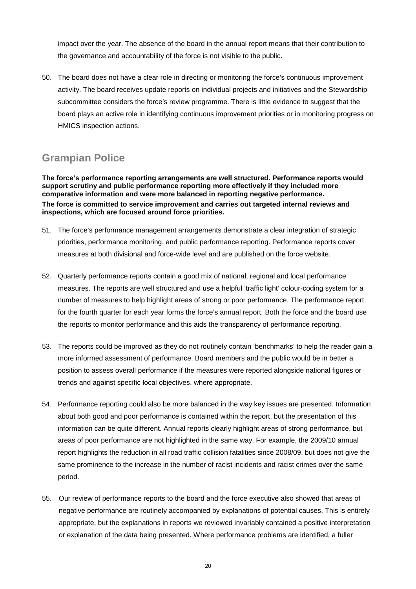impact over the year. The absence of the board in the annual report means that their contribution to the governance and accountability of the force is not visible to the public.

50. The board does not have a clear role in directing or monitoring the force's continuous improvement activity. The board receives update reports on individual projects and initiatives and the Stewardship subcommittee considers the force's review programme. There is little evidence to suggest that the board plays an active role in identifying continuous improvement priorities or in monitoring progress on HMICS inspection actions.

# **Grampian Police**

**The force's performance reporting arrangements are well structured. Performance reports would support scrutiny and public performance reporting more effectively if they included more comparative information and were more balanced in reporting negative performance. The force is committed to service improvement and carries out targeted internal reviews and inspections, which are focused around force priorities.** 

- 51. The force's performance management arrangements demonstrate a clear integration of strategic priorities, performance monitoring, and public performance reporting. Performance reports cover measures at both divisional and force-wide level and are published on the force website.
- 52. Quarterly performance reports contain a good mix of national, regional and local performance measures. The reports are well structured and use a helpful 'traffic light' colour-coding system for a number of measures to help highlight areas of strong or poor performance. The performance report for the fourth quarter for each year forms the force's annual report. Both the force and the board use the reports to monitor performance and this aids the transparency of performance reporting.
- 53. The reports could be improved as they do not routinely contain 'benchmarks' to help the reader gain a more informed assessment of performance. Board members and the public would be in better a position to assess overall performance if the measures were reported alongside national figures or trends and against specific local objectives, where appropriate.
- 54. Performance reporting could also be more balanced in the way key issues are presented. Information about both good and poor performance is contained within the report, but the presentation of this information can be quite different. Annual reports clearly highlight areas of strong performance, but areas of poor performance are not highlighted in the same way. For example, the 2009/10 annual report highlights the reduction in all road traffic collision fatalities since 2008/09, but does not give the same prominence to the increase in the number of racist incidents and racist crimes over the same period.
- 55. Our review of performance reports to the board and the force executive also showed that areas of negative performance are routinely accompanied by explanations of potential causes. This is entirely appropriate, but the explanations in reports we reviewed invariably contained a positive interpretation or explanation of the data being presented. Where performance problems are identified, a fuller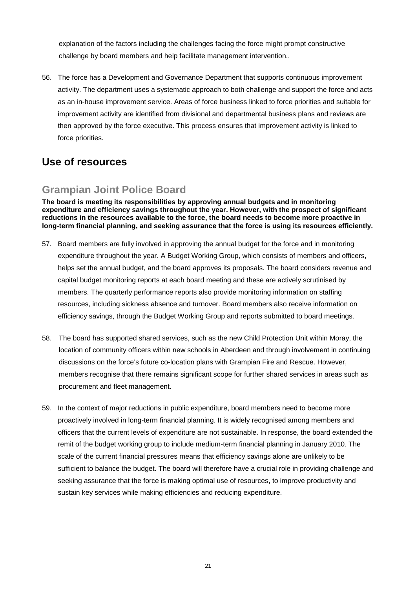explanation of the factors including the challenges facing the force might prompt constructive challenge by board members and help facilitate management intervention..

56. The force has a Development and Governance Department that supports continuous improvement activity. The department uses a systematic approach to both challenge and support the force and acts as an in-house improvement service. Areas of force business linked to force priorities and suitable for improvement activity are identified from divisional and departmental business plans and reviews are then approved by the force executive. This process ensures that improvement activity is linked to force priorities.

# **Use of resources**

## **Grampian Joint Police Board**

**The board is meeting its responsibilities by approving annual budgets and in monitoring expenditure and efficiency savings throughout the year. However, with the prospect of significant reductions in the resources available to the force, the board needs to become more proactive in long-term financial planning, and seeking assurance that the force is using its resources efficiently.** 

- 57. Board members are fully involved in approving the annual budget for the force and in monitoring expenditure throughout the year. A Budget Working Group, which consists of members and officers, helps set the annual budget, and the board approves its proposals. The board considers revenue and capital budget monitoring reports at each board meeting and these are actively scrutinised by members. The quarterly performance reports also provide monitoring information on staffing resources, including sickness absence and turnover. Board members also receive information on efficiency savings, through the Budget Working Group and reports submitted to board meetings.
- 58. The board has supported shared services, such as the new Child Protection Unit within Moray, the location of community officers within new schools in Aberdeen and through involvement in continuing discussions on the force's future co-location plans with Grampian Fire and Rescue. However, members recognise that there remains significant scope for further shared services in areas such as procurement and fleet management.
- 59. In the context of major reductions in public expenditure, board members need to become more proactively involved in long-term financial planning. It is widely recognised among members and officers that the current levels of expenditure are not sustainable. In response, the board extended the remit of the budget working group to include medium-term financial planning in January 2010. The scale of the current financial pressures means that efficiency savings alone are unlikely to be sufficient to balance the budget. The board will therefore have a crucial role in providing challenge and seeking assurance that the force is making optimal use of resources, to improve productivity and sustain key services while making efficiencies and reducing expenditure.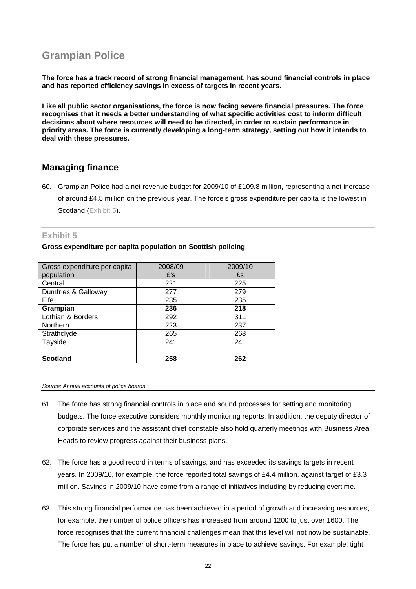# **Grampian Police**

**The force has a track record of strong financial management, has sound financial controls in place and has reported efficiency savings in excess of targets in recent years.** 

**Like all public sector organisations, the force is now facing severe financial pressures. The force recognises that it needs a better understanding of what specific activities cost to inform difficult decisions about where resources will need to be directed, in order to sustain performance in priority areas. The force is currently developing a long-term strategy, setting out how it intends to deal with these pressures.** 

## **Managing finance**

60. Grampian Police had a net revenue budget for 2009/10 of £109.8 million, representing a net increase of around £4.5 million on the previous year. The force's gross expenditure per capita is the lowest in Scotland (Exhibit 5).

### **Exhibit 5**

#### **Gross expenditure per capita population on Scottish policing**

| Gross expenditure per capita | 2008/09 | 2009/10<br>£s |  |
|------------------------------|---------|---------------|--|
| population                   | £'s     |               |  |
| Central                      | 221     | 225           |  |
| Dumfries & Galloway          | 277     | 279           |  |
| Fife                         | 235     | 235           |  |
| Grampian                     | 236     | 218           |  |
| Lothian & Borders            | 292     | 311           |  |
| Northern                     | 223     | 237           |  |
| Strathclyde                  | 265     | 268           |  |
| Tayside                      | 241     | 241           |  |
|                              |         |               |  |
| <b>Scotland</b>              | 258     | 262           |  |

*Source: Annual accounts of police boards* 

- 61. The force has strong financial controls in place and sound processes for setting and monitoring budgets. The force executive considers monthly monitoring reports. In addition, the deputy director of corporate services and the assistant chief constable also hold quarterly meetings with Business Area Heads to review progress against their business plans.
- 62. The force has a good record in terms of savings, and has exceeded its savings targets in recent years. In 2009/10, for example, the force reported total savings of £4.4 million, against target of £3.3 million. Savings in 2009/10 have come from a range of initiatives including by reducing overtime.
- 63. This strong financial performance has been achieved in a period of growth and increasing resources, for example, the number of police officers has increased from around 1200 to just over 1600. The force recognises that the current financial challenges mean that this level will not now be sustainable. The force has put a number of short-term measures in place to achieve savings. For example, tight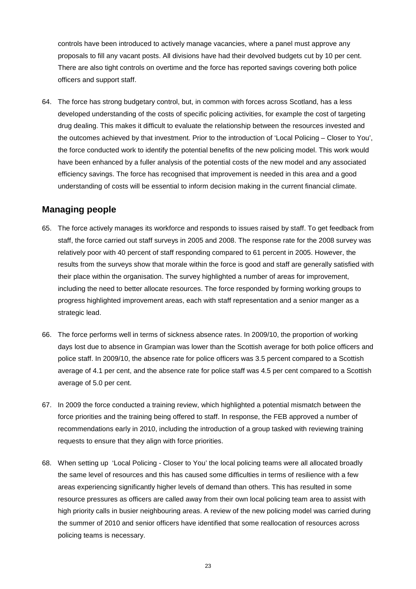controls have been introduced to actively manage vacancies, where a panel must approve any proposals to fill any vacant posts. All divisions have had their devolved budgets cut by 10 per cent. There are also tight controls on overtime and the force has reported savings covering both police officers and support staff.

64. The force has strong budgetary control, but, in common with forces across Scotland, has a less developed understanding of the costs of specific policing activities, for example the cost of targeting drug dealing. This makes it difficult to evaluate the relationship between the resources invested and the outcomes achieved by that investment. Prior to the introduction of 'Local Policing – Closer to You', the force conducted work to identify the potential benefits of the new policing model. This work would have been enhanced by a fuller analysis of the potential costs of the new model and any associated efficiency savings. The force has recognised that improvement is needed in this area and a good understanding of costs will be essential to inform decision making in the current financial climate.

## **Managing people**

- 65. The force actively manages its workforce and responds to issues raised by staff. To get feedback from staff, the force carried out staff surveys in 2005 and 2008. The response rate for the 2008 survey was relatively poor with 40 percent of staff responding compared to 61 percent in 2005. However, the results from the surveys show that morale within the force is good and staff are generally satisfied with their place within the organisation. The survey highlighted a number of areas for improvement, including the need to better allocate resources. The force responded by forming working groups to progress highlighted improvement areas, each with staff representation and a senior manger as a strategic lead.
- 66. The force performs well in terms of sickness absence rates. In 2009/10, the proportion of working days lost due to absence in Grampian was lower than the Scottish average for both police officers and police staff. In 2009/10, the absence rate for police officers was 3.5 percent compared to a Scottish average of 4.1 per cent, and the absence rate for police staff was 4.5 per cent compared to a Scottish average of 5.0 per cent.
- 67. In 2009 the force conducted a training review, which highlighted a potential mismatch between the force priorities and the training being offered to staff. In response, the FEB approved a number of recommendations early in 2010, including the introduction of a group tasked with reviewing training requests to ensure that they align with force priorities.
- 68. When setting up 'Local Policing Closer to You' the local policing teams were all allocated broadly the same level of resources and this has caused some difficulties in terms of resilience with a few areas experiencing significantly higher levels of demand than others. This has resulted in some resource pressures as officers are called away from their own local policing team area to assist with high priority calls in busier neighbouring areas. A review of the new policing model was carried during the summer of 2010 and senior officers have identified that some reallocation of resources across policing teams is necessary.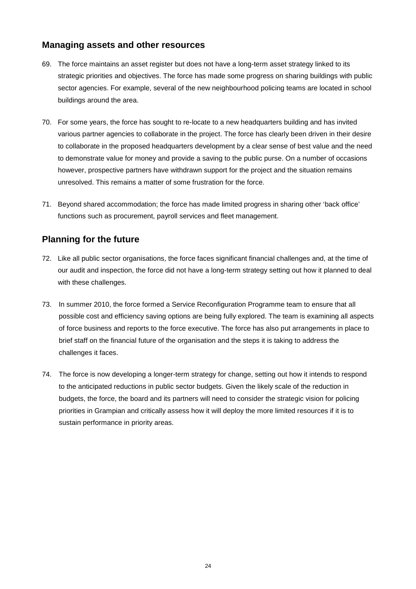## **Managing assets and other resources**

- 69. The force maintains an asset register but does not have a long-term asset strategy linked to its strategic priorities and objectives. The force has made some progress on sharing buildings with public sector agencies. For example, several of the new neighbourhood policing teams are located in school buildings around the area.
- 70. For some years, the force has sought to re-locate to a new headquarters building and has invited various partner agencies to collaborate in the project. The force has clearly been driven in their desire to collaborate in the proposed headquarters development by a clear sense of best value and the need to demonstrate value for money and provide a saving to the public purse. On a number of occasions however, prospective partners have withdrawn support for the project and the situation remains unresolved. This remains a matter of some frustration for the force.
- 71. Beyond shared accommodation; the force has made limited progress in sharing other 'back office' functions such as procurement, payroll services and fleet management.

## **Planning for the future**

- 72. Like all public sector organisations, the force faces significant financial challenges and, at the time of our audit and inspection, the force did not have a long-term strategy setting out how it planned to deal with these challenges.
- 73. In summer 2010, the force formed a Service Reconfiguration Programme team to ensure that all possible cost and efficiency saving options are being fully explored. The team is examining all aspects of force business and reports to the force executive. The force has also put arrangements in place to brief staff on the financial future of the organisation and the steps it is taking to address the challenges it faces.
- 74. The force is now developing a longer-term strategy for change, setting out how it intends to respond to the anticipated reductions in public sector budgets. Given the likely scale of the reduction in budgets, the force, the board and its partners will need to consider the strategic vision for policing priorities in Grampian and critically assess how it will deploy the more limited resources if it is to sustain performance in priority areas.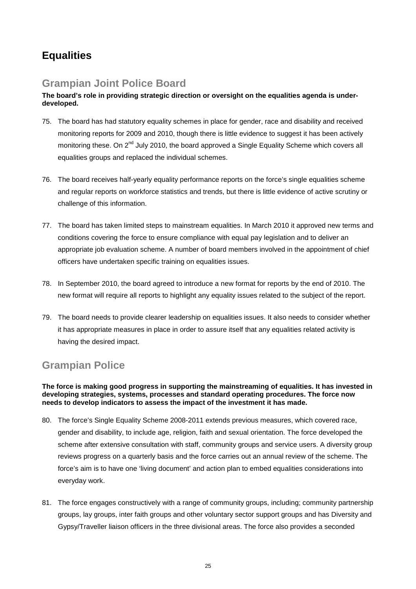# **Equalities**

# **Grampian Joint Police Board**

## **The board's role in providing strategic direction or oversight on the equalities agenda is underdeveloped.**

- 75. The board has had statutory equality schemes in place for gender, race and disability and received monitoring reports for 2009 and 2010, though there is little evidence to suggest it has been actively monitoring these. On 2<sup>nd</sup> July 2010, the board approved a Single Equality Scheme which covers all equalities groups and replaced the individual schemes.
- 76. The board receives half-yearly equality performance reports on the force's single equalities scheme and regular reports on workforce statistics and trends, but there is little evidence of active scrutiny or challenge of this information.
- 77. The board has taken limited steps to mainstream equalities. In March 2010 it approved new terms and conditions covering the force to ensure compliance with equal pay legislation and to deliver an appropriate job evaluation scheme. A number of board members involved in the appointment of chief officers have undertaken specific training on equalities issues.
- 78. In September 2010, the board agreed to introduce a new format for reports by the end of 2010. The new format will require all reports to highlight any equality issues related to the subject of the report.
- 79. The board needs to provide clearer leadership on equalities issues. It also needs to consider whether it has appropriate measures in place in order to assure itself that any equalities related activity is having the desired impact.

# **Grampian Police**

**The force is making good progress in supporting the mainstreaming of equalities. It has invested in developing strategies, systems, processes and standard operating procedures. The force now needs to develop indicators to assess the impact of the investment it has made.** 

- 80. The force's Single Equality Scheme 2008-2011 extends previous measures, which covered race, gender and disability, to include age, religion, faith and sexual orientation. The force developed the scheme after extensive consultation with staff, community groups and service users. A diversity group reviews progress on a quarterly basis and the force carries out an annual review of the scheme. The force's aim is to have one 'living document' and action plan to embed equalities considerations into everyday work.
- 81. The force engages constructively with a range of community groups, including; community partnership groups, lay groups, inter faith groups and other voluntary sector support groups and has Diversity and Gypsy/Traveller liaison officers in the three divisional areas. The force also provides a seconded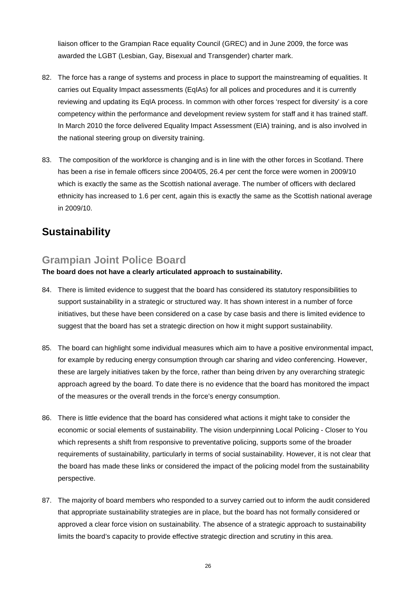liaison officer to the Grampian Race equality Council (GREC) and in June 2009, the force was awarded the LGBT (Lesbian, Gay, Bisexual and Transgender) charter mark.

- 82. The force has a range of systems and process in place to support the mainstreaming of equalities. It carries out Equality Impact assessments (EqIAs) for all polices and procedures and it is currently reviewing and updating its EqIA process. In common with other forces 'respect for diversity' is a core competency within the performance and development review system for staff and it has trained staff. In March 2010 the force delivered Equality Impact Assessment (EIA) training, and is also involved in the national steering group on diversity training.
- 83. The composition of the workforce is changing and is in line with the other forces in Scotland. There has been a rise in female officers since 2004/05, 26.4 per cent the force were women in 2009/10 which is exactly the same as the Scottish national average. The number of officers with declared ethnicity has increased to 1.6 per cent, again this is exactly the same as the Scottish national average in 2009/10.

# **Sustainability**

## **Grampian Joint Police Board**

## **The board does not have a clearly articulated approach to sustainability.**

- 84. There is limited evidence to suggest that the board has considered its statutory responsibilities to support sustainability in a strategic or structured way. It has shown interest in a number of force initiatives, but these have been considered on a case by case basis and there is limited evidence to suggest that the board has set a strategic direction on how it might support sustainability.
- 85. The board can highlight some individual measures which aim to have a positive environmental impact, for example by reducing energy consumption through car sharing and video conferencing. However, these are largely initiatives taken by the force, rather than being driven by any overarching strategic approach agreed by the board. To date there is no evidence that the board has monitored the impact of the measures or the overall trends in the force's energy consumption.
- 86. There is little evidence that the board has considered what actions it might take to consider the economic or social elements of sustainability. The vision underpinning Local Policing - Closer to You which represents a shift from responsive to preventative policing, supports some of the broader requirements of sustainability, particularly in terms of social sustainability. However, it is not clear that the board has made these links or considered the impact of the policing model from the sustainability perspective.
- 87. The majority of board members who responded to a survey carried out to inform the audit considered that appropriate sustainability strategies are in place, but the board has not formally considered or approved a clear force vision on sustainability. The absence of a strategic approach to sustainability limits the board's capacity to provide effective strategic direction and scrutiny in this area.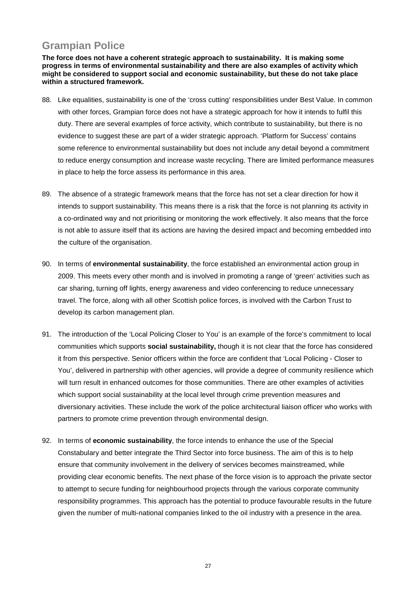# **Grampian Police**

**The force does not have a coherent strategic approach to sustainability. It is making some progress in terms of environmental sustainability and there are also examples of activity which might be considered to support social and economic sustainability, but these do not take place within a structured framework.** 

- 88. Like equalities, sustainability is one of the 'cross cutting' responsibilities under Best Value. In common with other forces, Grampian force does not have a strategic approach for how it intends to fulfil this duty. There are several examples of force activity, which contribute to sustainability, but there is no evidence to suggest these are part of a wider strategic approach. 'Platform for Success' contains some reference to environmental sustainability but does not include any detail beyond a commitment to reduce energy consumption and increase waste recycling. There are limited performance measures in place to help the force assess its performance in this area.
- 89. The absence of a strategic framework means that the force has not set a clear direction for how it intends to support sustainability. This means there is a risk that the force is not planning its activity in a co-ordinated way and not prioritising or monitoring the work effectively. It also means that the force is not able to assure itself that its actions are having the desired impact and becoming embedded into the culture of the organisation.
- 90. In terms of **environmental sustainability**, the force established an environmental action group in 2009. This meets every other month and is involved in promoting a range of 'green' activities such as car sharing, turning off lights, energy awareness and video conferencing to reduce unnecessary travel. The force, along with all other Scottish police forces, is involved with the Carbon Trust to develop its carbon management plan.
- 91. The introduction of the 'Local Policing Closer to You' is an example of the force's commitment to local communities which supports **social sustainability,** though it is not clear that the force has considered it from this perspective. Senior officers within the force are confident that 'Local Policing - Closer to You', delivered in partnership with other agencies, will provide a degree of community resilience which will turn result in enhanced outcomes for those communities. There are other examples of activities which support social sustainability at the local level through crime prevention measures and diversionary activities. These include the work of the police architectural liaison officer who works with partners to promote crime prevention through environmental design.
- 92. In terms of **economic sustainability**, the force intends to enhance the use of the Special Constabulary and better integrate the Third Sector into force business. The aim of this is to help ensure that community involvement in the delivery of services becomes mainstreamed, while providing clear economic benefits. The next phase of the force vision is to approach the private sector to attempt to secure funding for neighbourhood projects through the various corporate community responsibility programmes. This approach has the potential to produce favourable results in the future given the number of multi-national companies linked to the oil industry with a presence in the area.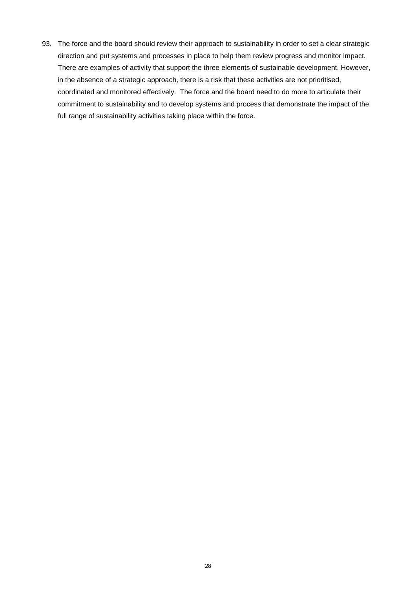93. The force and the board should review their approach to sustainability in order to set a clear strategic direction and put systems and processes in place to help them review progress and monitor impact. There are examples of activity that support the three elements of sustainable development. However, in the absence of a strategic approach, there is a risk that these activities are not prioritised, coordinated and monitored effectively. The force and the board need to do more to articulate their commitment to sustainability and to develop systems and process that demonstrate the impact of the full range of sustainability activities taking place within the force.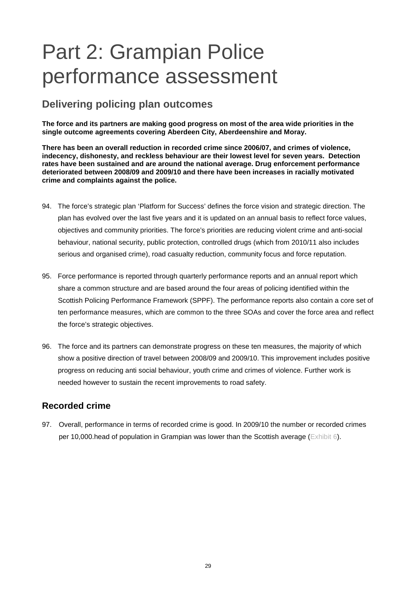# Part 2: Grampian Police performance assessment

# **Delivering policing plan outcomes**

**The force and its partners are making good progress on most of the area wide priorities in the single outcome agreements covering Aberdeen City, Aberdeenshire and Moray.** 

**There has been an overall reduction in recorded crime since 2006/07, and crimes of violence, indecency, dishonesty, and reckless behaviour are their lowest level for seven years. Detection rates have been sustained and are around the national average. Drug enforcement performance deteriorated between 2008/09 and 2009/10 and there have been increases in racially motivated crime and complaints against the police.** 

- 94. The force's strategic plan 'Platform for Success' defines the force vision and strategic direction. The plan has evolved over the last five years and it is updated on an annual basis to reflect force values, objectives and community priorities. The force's priorities are reducing violent crime and anti-social behaviour, national security, public protection, controlled drugs (which from 2010/11 also includes serious and organised crime), road casualty reduction, community focus and force reputation.
- 95. Force performance is reported through quarterly performance reports and an annual report which share a common structure and are based around the four areas of policing identified within the Scottish Policing Performance Framework (SPPF). The performance reports also contain a core set of ten performance measures, which are common to the three SOAs and cover the force area and reflect the force's strategic objectives.
- 96. The force and its partners can demonstrate progress on these ten measures, the majority of which show a positive direction of travel between 2008/09 and 2009/10. This improvement includes positive progress on reducing anti social behaviour, youth crime and crimes of violence. Further work is needed however to sustain the recent improvements to road safety.

## **Recorded crime**

97. Overall, performance in terms of recorded crime is good. In 2009/10 the number or recorded crimes per 10,000.head of population in Grampian was lower than the Scottish average (Exhibit 6).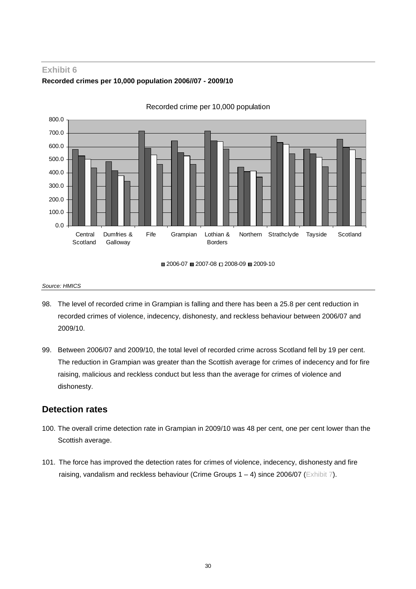## **Exhibit 6 Recorded crimes per 10,000 population 2006//07 - 2009/10**



Recorded crime per 10,000 population

■ 2006-07 ■ 2007-08 □ 2008-09 ■ 2009-10

#### *Source: HMICS*

- 98. The level of recorded crime in Grampian is falling and there has been a 25.8 per cent reduction in recorded crimes of violence, indecency, dishonesty, and reckless behaviour between 2006/07 and 2009/10.
- 99. Between 2006/07 and 2009/10, the total level of recorded crime across Scotland fell by 19 per cent. The reduction in Grampian was greater than the Scottish average for crimes of indecency and for fire raising, malicious and reckless conduct but less than the average for crimes of violence and dishonesty.

## **Detection rates**

- 100. The overall crime detection rate in Grampian in 2009/10 was 48 per cent, one per cent lower than the Scottish average.
- 101. The force has improved the detection rates for crimes of violence, indecency, dishonesty and fire raising, vandalism and reckless behaviour (Crime Groups  $1 - 4$ ) since 2006/07 (Exhibit 7).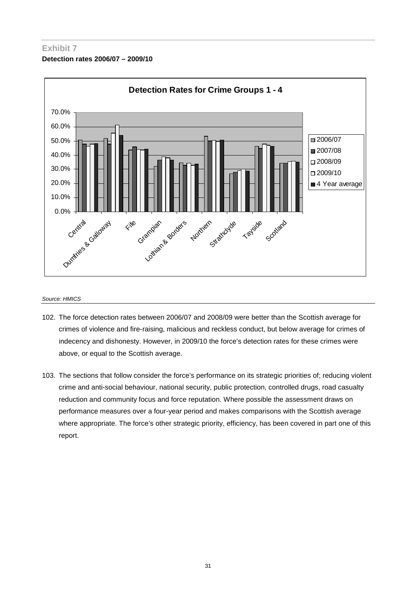## **Exhibit 7 Detection rates 2006/07 – 2009/10**



#### *Source: HMICS*

- 102. The force detection rates between 2006/07 and 2008/09 were better than the Scottish average for crimes of violence and fire-raising, malicious and reckless conduct, but below average for crimes of indecency and dishonesty. However, in 2009/10 the force's detection rates for these crimes were above, or equal to the Scottish average.
- 103. The sections that follow consider the force's performance on its strategic priorities of; reducing violent crime and anti-social behaviour, national security, public protection, controlled drugs, road casualty reduction and community focus and force reputation. Where possible the assessment draws on performance measures over a four-year period and makes comparisons with the Scottish average where appropriate. The force's other strategic priority, efficiency, has been covered in part one of this report.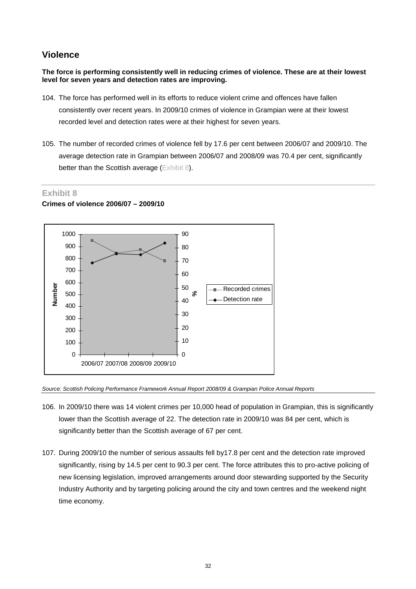## **Violence**

**The force is performing consistently well in reducing crimes of violence. These are at their lowest level for seven years and detection rates are improving.** 

- 104. The force has performed well in its efforts to reduce violent crime and offences have fallen consistently over recent years. In 2009/10 crimes of violence in Grampian were at their lowest recorded level and detection rates were at their highest for seven years.
- 105. The number of recorded crimes of violence fell by 17.6 per cent between 2006/07 and 2009/10. The average detection rate in Grampian between 2006/07 and 2008/09 was 70.4 per cent, significantly better than the Scottish average (Exhibit 8).

## **Exhibit 8**

## **Crimes of violence 2006/07 – 2009/10**



*Source: Scottish Policing Performance Framework Annual Report 2008/09 & Grampian Police Annual Reports* 

- 106. In 2009/10 there was 14 violent crimes per 10,000 head of population in Grampian, this is significantly lower than the Scottish average of 22. The detection rate in 2009/10 was 84 per cent, which is significantly better than the Scottish average of 67 per cent.
- 107. During 2009/10 the number of serious assaults fell by17.8 per cent and the detection rate improved significantly, rising by 14.5 per cent to 90.3 per cent. The force attributes this to pro-active policing of new licensing legislation, improved arrangements around door stewarding supported by the Security Industry Authority and by targeting policing around the city and town centres and the weekend night time economy.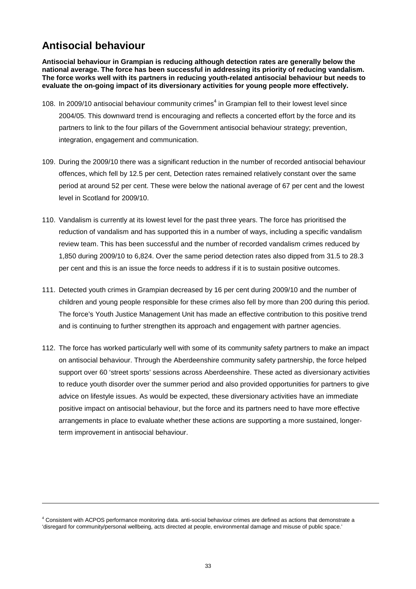# **Antisocial behaviour**

**Antisocial behaviour in Grampian is reducing although detection rates are generally below the national average. The force has been successful in addressing its priority of reducing vandalism. The force works well with its partners in reducing youth-related antisocial behaviour but needs to evaluate the on-going impact of its diversionary activities for young people more effectively.** 

- 108. In 2009/10 antisocial behaviour community crimes<sup>4</sup> in Grampian fell to their lowest level since 2004/05. This downward trend is encouraging and reflects a concerted effort by the force and its partners to link to the four pillars of the Government antisocial behaviour strategy; prevention, integration, engagement and communication.
- 109. During the 2009/10 there was a significant reduction in the number of recorded antisocial behaviour offences, which fell by 12.5 per cent, Detection rates remained relatively constant over the same period at around 52 per cent. These were below the national average of 67 per cent and the lowest level in Scotland for 2009/10.
- 110. Vandalism is currently at its lowest level for the past three years. The force has prioritised the reduction of vandalism and has supported this in a number of ways, including a specific vandalism review team. This has been successful and the number of recorded vandalism crimes reduced by 1,850 during 2009/10 to 6,824. Over the same period detection rates also dipped from 31.5 to 28.3 per cent and this is an issue the force needs to address if it is to sustain positive outcomes.
- 111. Detected youth crimes in Grampian decreased by 16 per cent during 2009/10 and the number of children and young people responsible for these crimes also fell by more than 200 during this period. The force's Youth Justice Management Unit has made an effective contribution to this positive trend and is continuing to further strengthen its approach and engagement with partner agencies.
- 112. The force has worked particularly well with some of its community safety partners to make an impact on antisocial behaviour. Through the Aberdeenshire community safety partnership, the force helped support over 60 'street sports' sessions across Aberdeenshire. These acted as diversionary activities to reduce youth disorder over the summer period and also provided opportunities for partners to give advice on lifestyle issues. As would be expected, these diversionary activities have an immediate positive impact on antisocial behaviour, but the force and its partners need to have more effective arrangements in place to evaluate whether these actions are supporting a more sustained, longerterm improvement in antisocial behaviour.

<sup>4</sup> Consistent with ACPOS performance monitoring data. anti-social behaviour crimes are defined as actions that demonstrate a 'disregard for community/personal wellbeing, acts directed at people, environmental damage and misuse of public space.'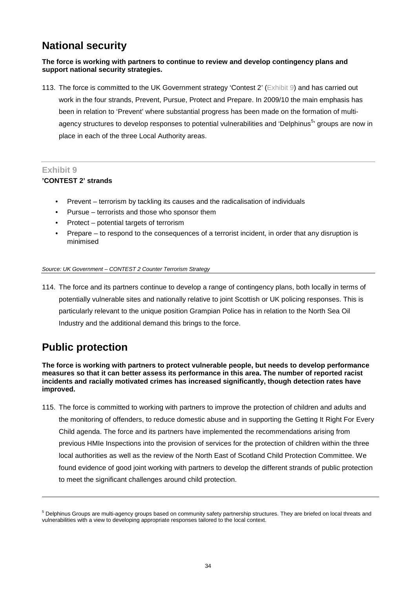# **National security**

## **The force is working with partners to continue to review and develop contingency plans and support national security strategies.**

113. The force is committed to the UK Government strategy 'Contest 2' (Exhibit 9) and has carried out work in the four strands, Prevent, Pursue, Protect and Prepare. In 2009/10 the main emphasis has been in relation to 'Prevent' where substantial progress has been made on the formation of multiagency structures to develop responses to potential vulnerabilities and 'Delphinus<sup>5,</sup> groups are now in place in each of the three Local Authority areas.

## **Exhibit 9**

## **'CONTEST 2' strands**

- Prevent terrorism by tackling its causes and the radicalisation of individuals
- Pursue terrorists and those who sponsor them
- Protect potential targets of terrorism
- Prepare to respond to the consequences of a terrorist incident, in order that any disruption is minimised

#### *Source: UK Government – CONTEST 2 Counter Terrorism Strategy*

114. The force and its partners continue to develop a range of contingency plans, both locally in terms of potentially vulnerable sites and nationally relative to joint Scottish or UK policing responses. This is particularly relevant to the unique position Grampian Police has in relation to the North Sea Oil Industry and the additional demand this brings to the force.

# **Public protection**

**The force is working with partners to protect vulnerable people, but needs to develop performance measures so that it can better assess its performance in this area. The number of reported racist incidents and racially motivated crimes has increased significantly, though detection rates have improved.** 

115. The force is committed to working with partners to improve the protection of children and adults and the monitoring of offenders, to reduce domestic abuse and in supporting the Getting It Right For Every Child agenda. The force and its partners have implemented the recommendations arising from previous HMIe Inspections into the provision of services for the protection of children within the three local authorities as well as the review of the North East of Scotland Child Protection Committee. We found evidence of good joint working with partners to develop the different strands of public protection to meet the significant challenges around child protection.

<sup>&</sup>lt;sup>5</sup> Delphinus Groups are multi-agency groups based on community safety partnership structures. They are briefed on local threats and vulnerabilities with a view to developing appropriate responses tailored to the local context.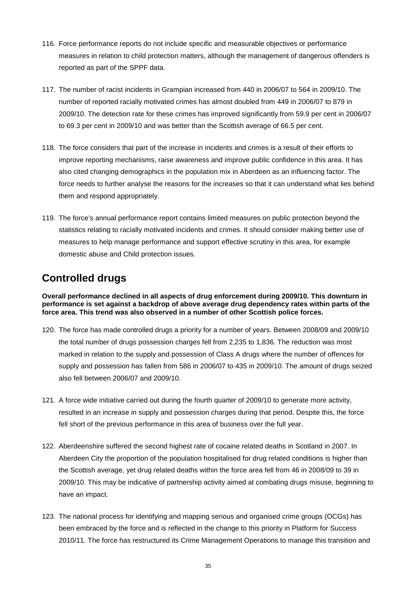- 116. Force performance reports do not include specific and measurable objectives or performance measures in relation to child protection matters, although the management of dangerous offenders is reported as part of the SPPF data.
- 117. The number of racist incidents in Grampian increased from 440 in 2006/07 to 564 in 2009/10. The number of reported racially motivated crimes has almost doubled from 449 in 2006/07 to 879 in 2009/10. The detection rate for these crimes has improved significantly from 59.9 per cent in 2006/07 to 69.3 per cent in 2009/10 and was better than the Scottish average of 66.5 per cent.
- 118. The force considers that part of the increase in incidents and crimes is a result of their efforts to improve reporting mechanisms, raise awareness and improve public confidence in this area. It has also cited changing demographics in the population mix in Aberdeen as an influencing factor. The force needs to further analyse the reasons for the increases so that it can understand what lies behind them and respond appropriately.
- 119. The force's annual performance report contains limited measures on public protection beyond the statistics relating to racially motivated incidents and crimes. It should consider making better use of measures to help manage performance and support effective scrutiny in this area, for example domestic abuse and Child protection issues.

# **Controlled drugs**

**Overall performance declined in all aspects of drug enforcement during 2009/10. This downturn in performance is set against a backdrop of above average drug dependency rates within parts of the force area. This trend was also observed in a number of other Scottish police forces.** 

- 120. The force has made controlled drugs a priority for a number of years. Between 2008/09 and 2009/10 the total number of drugs possession charges fell from 2,235 to 1,836. The reduction was most marked in relation to the supply and possession of Class A drugs where the number of offences for supply and possession has fallen from 586 in 2006/07 to 435 in 2009/10. The amount of drugs seized also fell between 2006/07 and 2009/10.
- 121. A force wide initiative carried out during the fourth quarter of 2009/10 to generate more activity, resulted in an increase in supply and possession charges during that period. Despite this, the force fell short of the previous performance in this area of business over the full year.
- 122. Aberdeenshire suffered the second highest rate of cocaine related deaths in Scotland in 2007. In Aberdeen City the proportion of the population hospitalised for drug related conditions is higher than the Scottish average, yet drug related deaths within the force area fell from 46 in 2008/09 to 39 in 2009/10. This may be indicative of partnership activity aimed at combating drugs misuse, beginning to have an impact.
- 123. The national process for identifying and mapping serious and organised crime groups (OCGs) has been embraced by the force and is reflected in the change to this priority in Platform for Success 2010/11. The force has restructured its Crime Management Operations to manage this transition and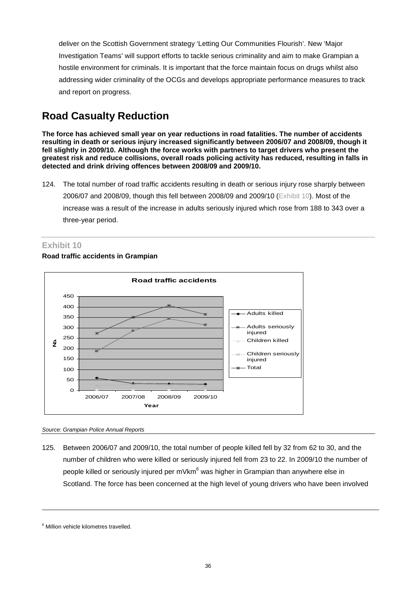deliver on the Scottish Government strategy 'Letting Our Communities Flourish'. New 'Major Investigation Teams' will support efforts to tackle serious criminality and aim to make Grampian a hostile environment for criminals. It is important that the force maintain focus on drugs whilst also addressing wider criminality of the OCGs and develops appropriate performance measures to track and report on progress.

# **Road Casualty Reduction**

**The force has achieved small year on year reductions in road fatalities. The number of accidents resulting in death or serious injury increased significantly between 2006/07 and 2008/09, though it fell slightly in 2009/10. Although the force works with partners to target drivers who present the greatest risk and reduce collisions, overall roads policing activity has reduced, resulting in falls in detected and drink driving offences between 2008/09 and 2009/10.** 

124. The total number of road traffic accidents resulting in death or serious injury rose sharply between 2006/07 and 2008/09, though this fell between 2008/09 and 2009/10 (Exhibit 10). Most of the increase was a result of the increase in adults seriously injured which rose from 188 to 343 over a three-year period.

## **Exhibit 10**

### **Road traffic accidents in Grampian**



*Source: Grampian Police Annual Reports* 

125. Between 2006/07 and 2009/10, the total number of people killed fell by 32 from 62 to 30, and the number of children who were killed or seriously injured fell from 23 to 22. In 2009/10 the number of people killed or seriously injured per mVkm $^6$  was higher in Grampian than anywhere else in Scotland. The force has been concerned at the high level of young drivers who have been involved

<sup>6</sup> Million vehicle kilometres travelled.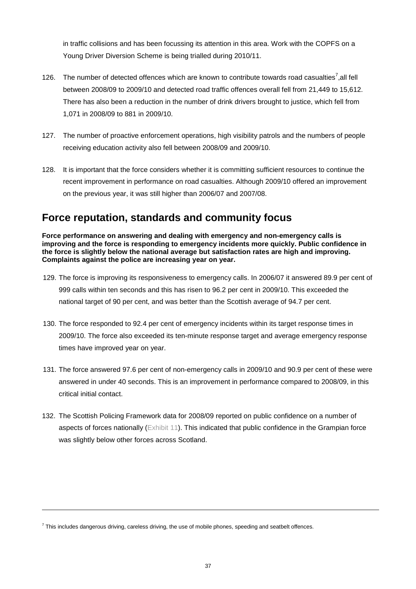in traffic collisions and has been focussing its attention in this area. Work with the COPFS on a Young Driver Diversion Scheme is being trialled during 2010/11.

- 126. The number of detected offences which are known to contribute towards road casualties<sup>7</sup>, all fell between 2008/09 to 2009/10 and detected road traffic offences overall fell from 21,449 to 15,612. There has also been a reduction in the number of drink drivers brought to justice, which fell from 1,071 in 2008/09 to 881 in 2009/10.
- 127. The number of proactive enforcement operations, high visibility patrols and the numbers of people receiving education activity also fell between 2008/09 and 2009/10.
- 128. It is important that the force considers whether it is committing sufficient resources to continue the recent improvement in performance on road casualties. Although 2009/10 offered an improvement on the previous year, it was still higher than 2006/07 and 2007/08.

# **Force reputation, standards and community focus**

**Force performance on answering and dealing with emergency and non-emergency calls is improving and the force is responding to emergency incidents more quickly. Public confidence in the force is slightly below the national average but satisfaction rates are high and improving. Complaints against the police are increasing year on year.** 

- 129. The force is improving its responsiveness to emergency calls. In 2006/07 it answered 89.9 per cent of 999 calls within ten seconds and this has risen to 96.2 per cent in 2009/10. This exceeded the national target of 90 per cent, and was better than the Scottish average of 94.7 per cent.
- 130. The force responded to 92.4 per cent of emergency incidents within its target response times in 2009/10. The force also exceeded its ten-minute response target and average emergency response times have improved year on year.
- 131. The force answered 97.6 per cent of non-emergency calls in 2009/10 and 90.9 per cent of these were answered in under 40 seconds. This is an improvement in performance compared to 2008/09, in this critical initial contact.
- 132. The Scottish Policing Framework data for 2008/09 reported on public confidence on a number of aspects of forces nationally (Exhibit 11). This indicated that public confidence in the Grampian force was slightly below other forces across Scotland.

 $^7$  This includes dangerous driving, careless driving, the use of mobile phones, speeding and seatbelt offences.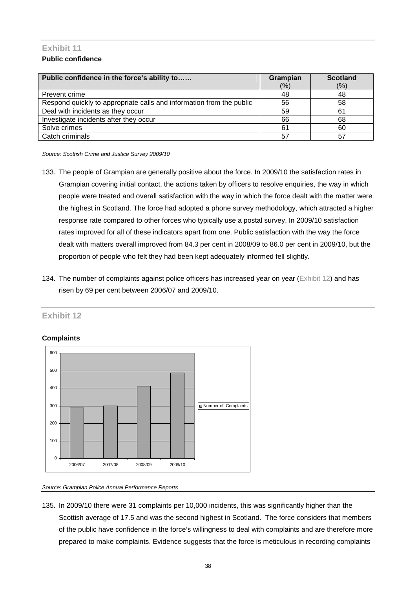## **Exhibit 11 Public confidence**

| Public confidence in the force's ability to                          | Grampian | <b>Scotland</b> |
|----------------------------------------------------------------------|----------|-----------------|
|                                                                      | (%)      | (%)             |
| Prevent crime                                                        | 48       | 48              |
| Respond quickly to appropriate calls and information from the public | 56       | 58              |
| Deal with incidents as they occur                                    | 59       | 61              |
| Investigate incidents after they occur                               | 66       | 68              |
| Solve crimes                                                         | 61       | 60              |
| Catch criminals                                                      | 57       | 57              |

*Source: Scottish Crime and Justice Survey 2009/10* 

- 133. The people of Grampian are generally positive about the force. In 2009/10 the satisfaction rates in Grampian covering initial contact, the actions taken by officers to resolve enquiries, the way in which people were treated and overall satisfaction with the way in which the force dealt with the matter were the highest in Scotland. The force had adopted a phone survey methodology, which attracted a higher response rate compared to other forces who typically use a postal survey. In 2009/10 satisfaction rates improved for all of these indicators apart from one. Public satisfaction with the way the force dealt with matters overall improved from 84.3 per cent in 2008/09 to 86.0 per cent in 2009/10, but the proportion of people who felt they had been kept adequately informed fell slightly.
- 134. The number of complaints against police officers has increased year on year (Exhibit 12) and has risen by 69 per cent between 2006/07 and 2009/10.

## **Exhibit 12**

## **Complaints**



#### *Source: Grampian Police Annual Performance Reports*

135. In 2009/10 there were 31 complaints per 10,000 incidents, this was significantly higher than the Scottish average of 17.5 and was the second highest in Scotland. The force considers that members of the public have confidence in the force's willingness to deal with complaints and are therefore more prepared to make complaints. Evidence suggests that the force is meticulous in recording complaints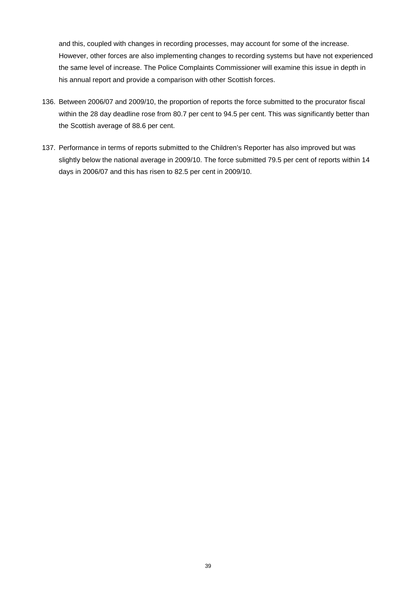and this, coupled with changes in recording processes, may account for some of the increase. However, other forces are also implementing changes to recording systems but have not experienced the same level of increase. The Police Complaints Commissioner will examine this issue in depth in his annual report and provide a comparison with other Scottish forces.

- 136. Between 2006/07 and 2009/10, the proportion of reports the force submitted to the procurator fiscal within the 28 day deadline rose from 80.7 per cent to 94.5 per cent. This was significantly better than the Scottish average of 88.6 per cent.
- 137. Performance in terms of reports submitted to the Children's Reporter has also improved but was slightly below the national average in 2009/10. The force submitted 79.5 per cent of reports within 14 days in 2006/07 and this has risen to 82.5 per cent in 2009/10.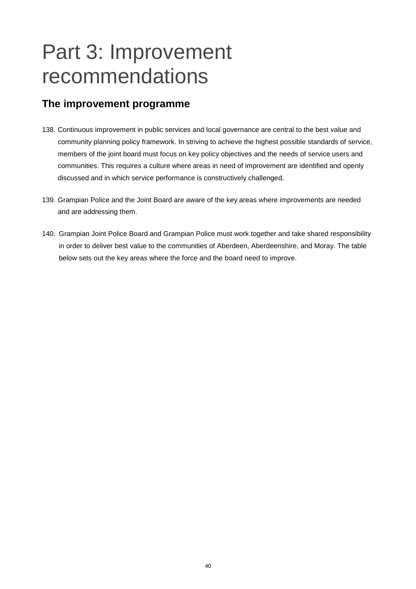# Part 3: Improvement recommendations

# **The improvement programme**

- 138. Continuous improvement in public services and local governance are central to the best value and community planning policy framework. In striving to achieve the highest possible standards of service, members of the joint board must focus on key policy objectives and the needs of service users and communities. This requires a culture where areas in need of improvement are identified and openly discussed and in which service performance is constructively challenged.
- 139. Grampian Police and the Joint Board are aware of the key areas where improvements are needed and are addressing them.
- 140. Grampian Joint Police Board and Grampian Police must work together and take shared responsibility in order to deliver best value to the communities of Aberdeen, Aberdeenshire, and Moray. The table below sets out the key areas where the force and the board need to improve.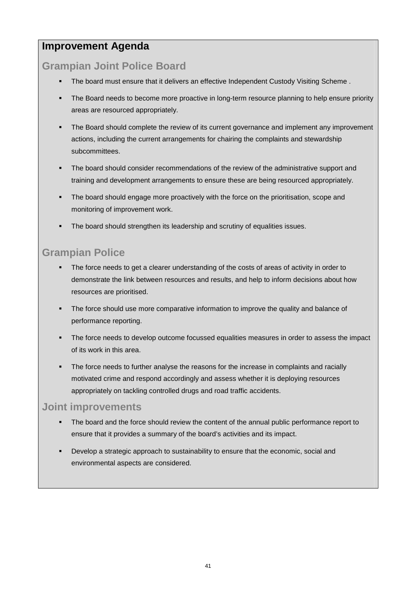# **Improvement Agenda**

# **Grampian Joint Police Board**

- The board must ensure that it delivers an effective Independent Custody Visiting Scheme .
- The Board needs to become more proactive in long-term resource planning to help ensure priority areas are resourced appropriately.
- The Board should complete the review of its current governance and implement any improvement actions, including the current arrangements for chairing the complaints and stewardship subcommittees.
- The board should consider recommendations of the review of the administrative support and training and development arrangements to ensure these are being resourced appropriately.
- The board should engage more proactively with the force on the prioritisation, scope and monitoring of improvement work.
- The board should strengthen its leadership and scrutiny of equalities issues.

# **Grampian Police**

- The force needs to get a clearer understanding of the costs of areas of activity in order to demonstrate the link between resources and results, and help to inform decisions about how resources are prioritised.
- The force should use more comparative information to improve the quality and balance of performance reporting.
- The force needs to develop outcome focussed equalities measures in order to assess the impact of its work in this area.
- The force needs to further analyse the reasons for the increase in complaints and racially motivated crime and respond accordingly and assess whether it is deploying resources appropriately on tackling controlled drugs and road traffic accidents.

# **Joint improvements**

- The board and the force should review the content of the annual public performance report to ensure that it provides a summary of the board's activities and its impact.
- Develop a strategic approach to sustainability to ensure that the economic, social and environmental aspects are considered.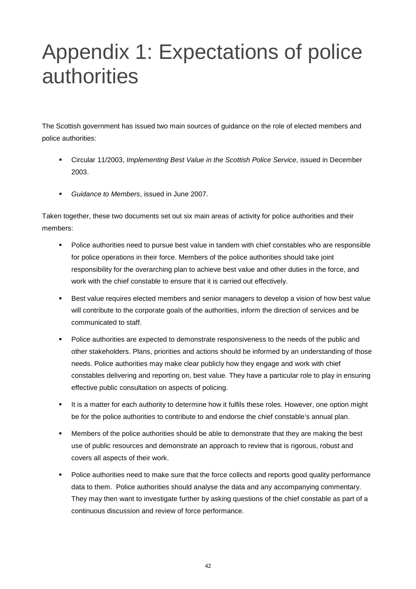# Appendix 1: Expectations of police authorities

The Scottish government has issued two main sources of guidance on the role of elected members and police authorities:

- Circular 11/2003, *Implementing Best Value in the Scottish Police Service*, issued in December 2003.
- *Guidance to Members*, issued in June 2007.

Taken together, these two documents set out six main areas of activity for police authorities and their members:

- **Police authorities need to pursue best value in tandem with chief constables who are responsible** for police operations in their force. Members of the police authorities should take joint responsibility for the overarching plan to achieve best value and other duties in the force, and work with the chief constable to ensure that it is carried out effectively.
- Best value requires elected members and senior managers to develop a vision of how best value will contribute to the corporate goals of the authorities, inform the direction of services and be communicated to staff.
- Police authorities are expected to demonstrate responsiveness to the needs of the public and other stakeholders. Plans, priorities and actions should be informed by an understanding of those needs. Police authorities may make clear publicly how they engage and work with chief constables delivering and reporting on, best value. They have a particular role to play in ensuring effective public consultation on aspects of policing.
- It is a matter for each authority to determine how it fulfils these roles. However, one option might be for the police authorities to contribute to and endorse the chief constable's annual plan.
- Members of the police authorities should be able to demonstrate that they are making the best use of public resources and demonstrate an approach to review that is rigorous, robust and covers all aspects of their work.
- Police authorities need to make sure that the force collects and reports good quality performance data to them. Police authorities should analyse the data and any accompanying commentary. They may then want to investigate further by asking questions of the chief constable as part of a continuous discussion and review of force performance.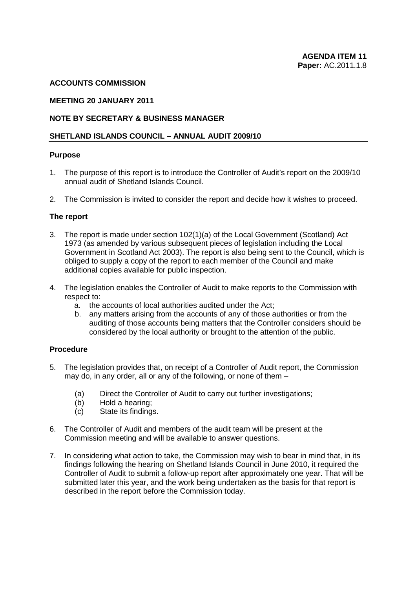#### **ACCOUNTS COMMISSION**

#### **MEETING 20 JANUARY 2011**

### **NOTE BY SECRETARY & BUSINESS MANAGER**

#### **SHETLAND ISLANDS COUNCIL – ANNUAL AUDIT 2009/10**

#### **Purpose**

- 1. The purpose of this report is to introduce the Controller of Audit's report on the 2009/10 annual audit of Shetland Islands Council.
- 2. The Commission is invited to consider the report and decide how it wishes to proceed.

#### **The report**

- 3. The report is made under section 102(1)(a) of the Local Government (Scotland) Act 1973 (as amended by various subsequent pieces of legislation including the Local Government in Scotland Act 2003). The report is also being sent to the Council, which is obliged to supply a copy of the report to each member of the Council and make additional copies available for public inspection.
- 4. The legislation enables the Controller of Audit to make reports to the Commission with respect to:
	- a. the accounts of local authorities audited under the Act;
	- b. any matters arising from the accounts of any of those authorities or from the auditing of those accounts being matters that the Controller considers should be considered by the local authority or brought to the attention of the public.

# **Procedure**

- 5. The legislation provides that, on receipt of a Controller of Audit report, the Commission may do, in any order, all or any of the following, or none of them –
	- (a) Direct the Controller of Audit to carry out further investigations;
	- (b) Hold a hearing;
	- (c) State its findings.
- 6. The Controller of Audit and members of the audit team will be present at the Commission meeting and will be available to answer questions.
- 7. In considering what action to take, the Commission may wish to bear in mind that, in its findings following the hearing on Shetland Islands Council in June 2010, it required the Controller of Audit to submit a follow-up report after approximately one year. That will be submitted later this year, and the work being undertaken as the basis for that report is described in the report before the Commission today.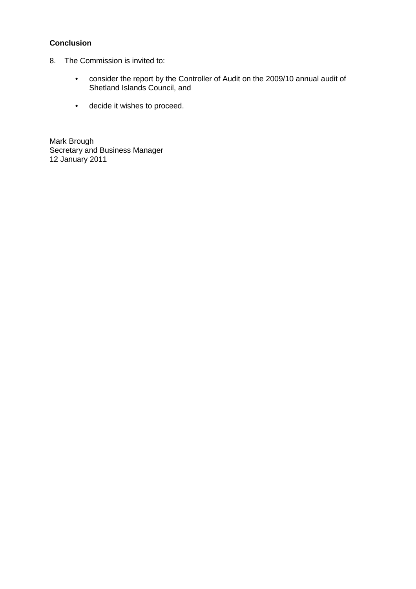# **Conclusion**

- 8. The Commission is invited to:
	- consider the report by the Controller of Audit on the 2009/10 annual audit of Shetland Islands Council, and
	- decide it wishes to proceed.

Mark Brough Secretary and Business Manager 12 January 2011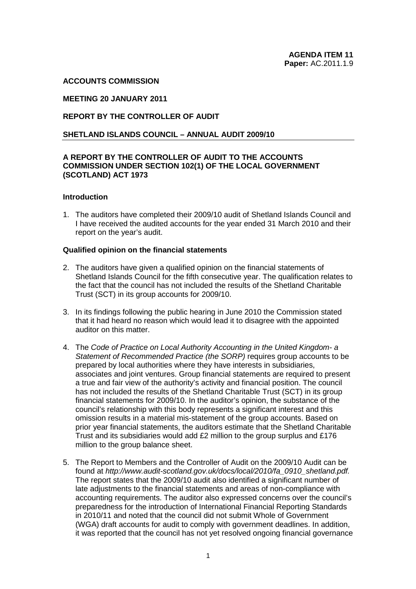#### **ACCOUNTS COMMISSION**

### **MEETING 20 JANUARY 2011**

### **REPORT BY THE CONTROLLER OF AUDIT**

#### **SHETLAND ISLANDS COUNCIL – ANNUAL AUDIT 2009/10**

### **A REPORT BY THE CONTROLLER OF AUDIT TO THE ACCOUNTS COMMISSION UNDER SECTION 102(1) OF THE LOCAL GOVERNMENT (SCOTLAND) ACT 1973**

#### **Introduction**

1. The auditors have completed their 2009/10 audit of Shetland Islands Council and I have received the audited accounts for the year ended 31 March 2010 and their report on the year's audit.

#### **Qualified opinion on the financial statements**

- 2. The auditors have given a qualified opinion on the financial statements of Shetland Islands Council for the fifth consecutive year. The qualification relates to the fact that the council has not included the results of the Shetland Charitable Trust (SCT) in its group accounts for 2009/10.
- 3. In its findings following the public hearing in June 2010 the Commission stated that it had heard no reason which would lead it to disagree with the appointed auditor on this matter.
- 4. The *Code of Practice on Local Authority Accounting in the United Kingdom- a Statement of Recommended Practice (the SORP)* requires group accounts to be prepared by local authorities where they have interests in subsidiaries, associates and joint ventures. Group financial statements are required to present a true and fair view of the authority's activity and financial position. The council has not included the results of the Shetland Charitable Trust (SCT) in its group financial statements for 2009/10. In the auditor's opinion, the substance of the council's relationship with this body represents a significant interest and this omission results in a material mis-statement of the group accounts. Based on prior year financial statements, the auditors estimate that the Shetland Charitable Trust and its subsidiaries would add £2 million to the group surplus and £176 million to the group balance sheet.
- 5. The Report to Members and the Controller of Audit on the 2009/10 Audit can be found at *http://www.audit-scotland.gov.uk/docs/local/2010/fa\_0910\_shetland.pdf.*  The report states that the 2009/10 audit also identified a significant number of late adjustments to the financial statements and areas of non-compliance with accounting requirements. The auditor also expressed concerns over the council's preparedness for the introduction of International Financial Reporting Standards in 2010/11 and noted that the council did not submit Whole of Government (WGA) draft accounts for audit to comply with government deadlines. In addition, it was reported that the council has not yet resolved ongoing financial governance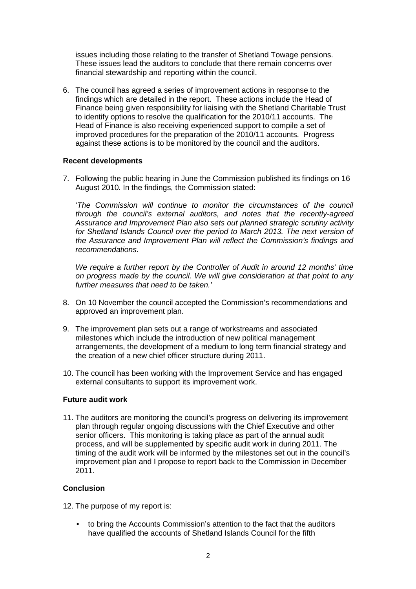issues including those relating to the transfer of Shetland Towage pensions. These issues lead the auditors to conclude that there remain concerns over financial stewardship and reporting within the council.

6. The council has agreed a series of improvement actions in response to the findings which are detailed in the report. These actions include the Head of Finance being given responsibility for liaising with the Shetland Charitable Trust to identify options to resolve the qualification for the 2010/11 accounts. The Head of Finance is also receiving experienced support to compile a set of improved procedures for the preparation of the 2010/11 accounts. Progress against these actions is to be monitored by the council and the auditors.

#### **Recent developments**

7. Following the public hearing in June the Commission published its findings on 16 August 2010. In the findings, the Commission stated:

'*The Commission will continue to monitor the circumstances of the council through the council's external auditors, and notes that the recently-agreed Assurance and Improvement Plan also sets out planned strategic scrutiny activity*  for Shetland Islands Council over the period to March 2013. The next version of *the Assurance and Improvement Plan will reflect the Commission's findings and recommendations.* 

*We require a further report by the Controller of Audit in around 12 months' time on progress made by the council. We will give consideration at that point to any further measures that need to be taken.'*

- 8. On 10 November the council accepted the Commission's recommendations and approved an improvement plan.
- 9. The improvement plan sets out a range of workstreams and associated milestones which include the introduction of new political management arrangements, the development of a medium to long term financial strategy and the creation of a new chief officer structure during 2011.
- 10. The council has been working with the Improvement Service and has engaged external consultants to support its improvement work.

#### **Future audit work**

11. The auditors are monitoring the council's progress on delivering its improvement plan through regular ongoing discussions with the Chief Executive and other senior officers. This monitoring is taking place as part of the annual audit process, and will be supplemented by specific audit work in during 2011. The timing of the audit work will be informed by the milestones set out in the council's improvement plan and I propose to report back to the Commission in December 2011.

# **Conclusion**

12. The purpose of my report is:

• to bring the Accounts Commission's attention to the fact that the auditors have qualified the accounts of Shetland Islands Council for the fifth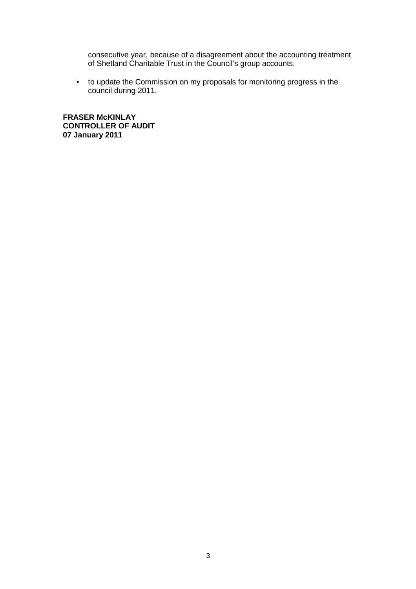consecutive year, because of a disagreement about the accounting treatment of Shetland Charitable Trust in the Council's group accounts.

• to update the Commission on my proposals for monitoring progress in the council during 2011.

**FRASER McKINLAY CONTROLLER OF AUDIT 07 January 2011**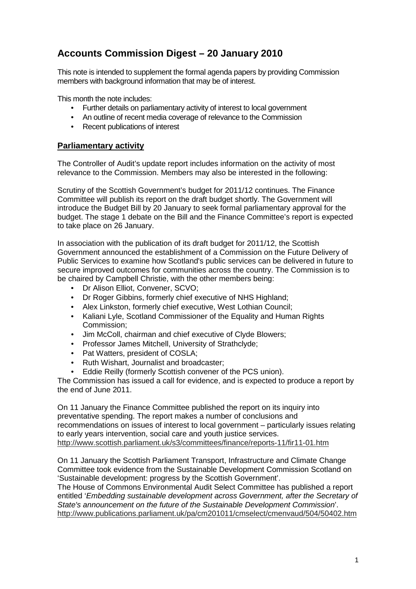# **Accounts Commission Digest – 20 January 2010**

This note is intended to supplement the formal agenda papers by providing Commission members with background information that may be of interest.

This month the note includes:

- Further details on parliamentary activity of interest to local government
- An outline of recent media coverage of relevance to the Commission
- Recent publications of interest

# **Parliamentary activity**

The Controller of Audit's update report includes information on the activity of most relevance to the Commission. Members may also be interested in the following:

Scrutiny of the Scottish Government's budget for 2011/12 continues. The Finance Committee will publish its report on the draft budget shortly. The Government will introduce the Budget Bill by 20 January to seek formal parliamentary approval for the budget. The stage 1 debate on the Bill and the Finance Committee's report is expected to take place on 26 January.

In association with the publication of its draft budget for 2011/12, the Scottish Government announced the establishment of a Commission on the Future Delivery of Public Services to examine how Scotland's public services can be delivered in future to secure improved outcomes for communities across the country. The Commission is to be chaired by Campbell Christie, with the other members being:

- Dr Alison Elliot, Convener, SCVO;
- Dr Roger Gibbins, formerly chief executive of NHS Highland:
- Alex Linkston, formerly chief executive, West Lothian Council;
- Kaliani Lyle, Scotland Commissioner of the Equality and Human Rights Commission;
- Jim McColl, chairman and chief executive of Clyde Blowers;
- Professor James Mitchell, University of Strathclyde;
- Pat Watters, president of COSLA;
- Ruth Wishart, Journalist and broadcaster;
- Eddie Reilly (formerly Scottish convener of the PCS union).

The Commission has issued a call for evidence, and is expected to produce a report by the end of June 2011.

On 11 January the Finance Committee published the report on its inquiry into preventative spending. The report makes a number of conclusions and recommendations on issues of interest to local government – particularly issues relating to early years intervention, social care and youth justice services. http://www.scottish.parliament.uk/s3/committees/finance/reports-11/fir11-01.htm

On 11 January the Scottish Parliament Transport, Infrastructure and Climate Change Committee took evidence from the Sustainable Development Commission Scotland on 'Sustainable development: progress by the Scottish Government'.

The House of Commons Environmental Audit Select Committee has published a report entitled '*Embedding sustainable development across Government, after the Secretary of State's announcement on the future of the Sustainable Development Commission*'. http://www.publications.parliament.uk/pa/cm201011/cmselect/cmenvaud/504/50402.htm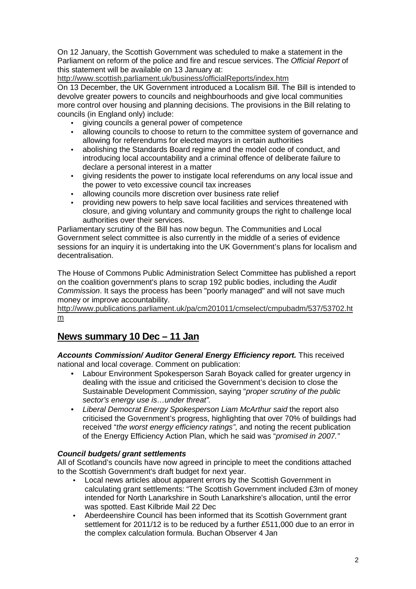On 12 January, the Scottish Government was scheduled to make a statement in the Parliament on reform of the police and fire and rescue services. The *Official Report* of this statement will be available on 13 January at:

http://www.scottish.parliament.uk/business/officialReports/index.htm

On 13 December, the UK Government introduced a Localism Bill. The Bill is intended to devolve greater powers to councils and neighbourhoods and give local communities more control over housing and planning decisions. The provisions in the Bill relating to councils (in England only) include:

- giving councils a general power of competence
- allowing councils to choose to return to the committee system of governance and allowing for referendums for elected mayors in certain authorities
- abolishing the Standards Board regime and the model code of conduct, and introducing local accountability and a criminal offence of deliberate failure to declare a personal interest in a matter
- giving residents the power to instigate local referendums on any local issue and the power to veto excessive council tax increases
- allowing councils more discretion over business rate relief
- providing new powers to help save local facilities and services threatened with closure, and giving voluntary and community groups the right to challenge local authorities over their services.

Parliamentary scrutiny of the Bill has now begun. The Communities and Local Government select committee is also currently in the middle of a series of evidence sessions for an inquiry it is undertaking into the UK Government's plans for localism and decentralisation.

The House of Commons Public Administration Select Committee has published a report on the coalition government's plans to scrap 192 public bodies, including the *Audit Commission*. It says the process has been "poorly managed" and will not save much money or improve accountability.

http://www.publications.parliament.uk/pa/cm201011/cmselect/cmpubadm/537/53702.ht m

# **News summary 10 Dec – 11 Jan**

*Accounts Commission/ Auditor General Energy Efficiency report.* This received national and local coverage. Comment on publication:

- Labour Environment Spokesperson Sarah Boyack called for greater urgency in dealing with the issue and criticised the Government's decision to close the Sustainable Development Commission, saying "*proper scrutiny of the public sector's energy use is…under threat".*
- *Liberal Democrat Energy Spokesperson Liam McArthur said* the report also criticised the Government's progress, highlighting that over 70% of buildings had received "*the worst energy efficiency ratings"*, and noting the recent publication of the Energy Efficiency Action Plan, which he said was "*promised in 2007."*

# *Council budgets/ grant settlements*

All of Scotland's councils have now agreed in principle to meet the conditions attached to the Scottish Government's draft budget for next year.

- Local news articles about apparent errors by the Scottish Government in calculating grant settlements: "The Scottish Government included £3m of money intended for North Lanarkshire in South Lanarkshire's allocation, until the error was spotted. East Kilbride Mail 22 Dec
- Aberdeenshire Council has been informed that its Scottish Government grant settlement for 2011/12 is to be reduced by a further £511,000 due to an error in the complex calculation formula. Buchan Observer 4 Jan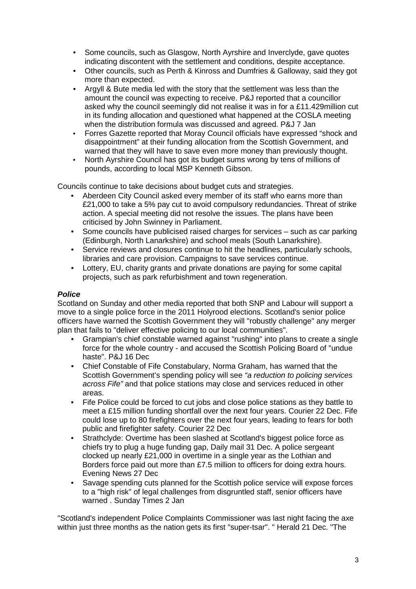- Some councils, such as Glasgow, North Ayrshire and Inverclyde, gave quotes indicating discontent with the settlement and conditions, despite acceptance.
- Other councils, such as Perth & Kinross and Dumfries & Galloway, said they got more than expected.
- Argyll & Bute media led with the story that the settlement was less than the amount the council was expecting to receive. P&J reported that a councillor asked why the council seemingly did not realise it was in for a £11.429million cut in its funding allocation and questioned what happened at the COSLA meeting when the distribution formula was discussed and agreed. P&J 7 Jan
- Forres Gazette reported that Moray Council officials have expressed "shock and disappointment" at their funding allocation from the Scottish Government, and warned that they will have to save even more money than previously thought.
- North Ayrshire Council has got its budget sums wrong by tens of millions of pounds, according to local MSP Kenneth Gibson.

Councils continue to take decisions about budget cuts and strategies.

- Aberdeen City Council asked every member of its staff who earns more than £21,000 to take a 5% pay cut to avoid compulsory redundancies. Threat of strike action. A special meeting did not resolve the issues. The plans have been criticised by John Swinney in Parliament.
- Some councils have publicised raised charges for services such as car parking (Edinburgh, North Lanarkshire) and school meals (South Lanarkshire).
- Service reviews and closures continue to hit the headlines, particularly schools, libraries and care provision. Campaigns to save services continue.
- Lottery, EU, charity grants and private donations are paying for some capital projects, such as park refurbishment and town regeneration.

#### *Police*

Scotland on Sunday and other media reported that both SNP and Labour will support a move to a single police force in the 2011 Holyrood elections. Scotland's senior police officers have warned the Scottish Government they will "robustly challenge" any merger plan that fails to "deliver effective policing to our local communities".

- Grampian's chief constable warned against "rushing" into plans to create a single force for the whole country - and accused the Scottish Policing Board of "undue haste". P&J 16 Dec
- Chief Constable of Fife Constabulary, Norma Graham, has warned that the Scottish Government's spending policy will see *"a reduction to policing services across Fife"* and that police stations may close and services reduced in other areas.
- Fife Police could be forced to cut jobs and close police stations as they battle to meet a £15 million funding shortfall over the next four years. Courier 22 Dec. Fife could lose up to 80 firefighters over the next four years, leading to fears for both public and firefighter safety. Courier 22 Dec
- Strathclyde: Overtime has been slashed at Scotland's biggest police force as chiefs try to plug a huge funding gap, Daily mail 31 Dec. A police sergeant clocked up nearly £21,000 in overtime in a single year as the Lothian and Borders force paid out more than £7.5 million to officers for doing extra hours. Evening News 27 Dec
- Savage spending cuts planned for the Scottish police service will expose forces to a "high risk" of legal challenges from disgruntled staff, senior officers have warned . Sunday Times 2 Jan

"Scotland's independent Police Complaints Commissioner was last night facing the axe within just three months as the nation gets its first "super-tsar". " Herald 21 Dec. "The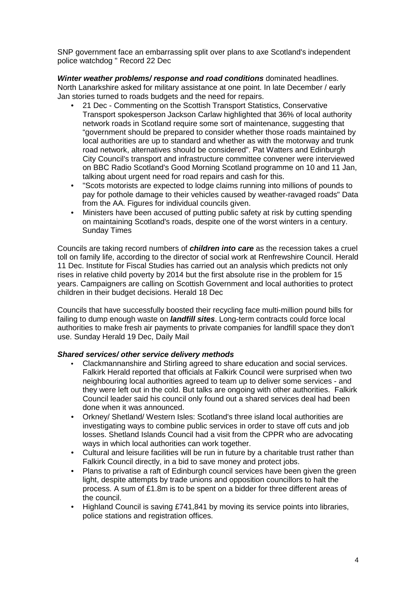SNP government face an embarrassing split over plans to axe Scotland's independent police watchdog " Record 22 Dec

*Winter weather problems/ response and road conditions* dominated headlines. North Lanarkshire asked for military assistance at one point. In late December / early Jan stories turned to roads budgets and the need for repairs.

- 21 Dec Commenting on the Scottish Transport Statistics, Conservative Transport spokesperson Jackson Carlaw highlighted that 36% of local authority network roads in Scotland require some sort of maintenance, suggesting that "government should be prepared to consider whether those roads maintained by local authorities are up to standard and whether as with the motorway and trunk road network, alternatives should be considered". Pat Watters and Edinburgh City Council's transport and infrastructure committee convener were interviewed on BBC Radio Scotland's Good Morning Scotland programme on 10 and 11 Jan, talking about urgent need for road repairs and cash for this.
- "Scots motorists are expected to lodge claims running into millions of pounds to pay for pothole damage to their vehicles caused by weather-ravaged roads" Data from the AA. Figures for individual councils given.
- Ministers have been accused of putting public safety at risk by cutting spending on maintaining Scotland's roads, despite one of the worst winters in a century. Sunday Times

Councils are taking record numbers of *children into care* as the recession takes a cruel toll on family life, according to the director of social work at Renfrewshire Council. Herald 11 Dec. Institute for Fiscal Studies has carried out an analysis which predicts not only rises in relative child poverty by 2014 but the first absolute rise in the problem for 15 years. Campaigners are calling on Scottish Government and local authorities to protect children in their budget decisions. Herald 18 Dec

Councils that have successfully boosted their recycling face multi-million pound bills for failing to dump enough waste on *landfill sites*. Long-term contracts could force local authorities to make fresh air payments to private companies for landfill space they don't use. Sunday Herald 19 Dec, Daily Mail

# *Shared services/ other service delivery methods*

- Clackmannanshire and Stirling agreed to share education and social services. Falkirk Herald reported that officials at Falkirk Council were surprised when two neighbouring local authorities agreed to team up to deliver some services - and they were left out in the cold. But talks are ongoing with other authorities. Falkirk Council leader said his council only found out a shared services deal had been done when it was announced.
- Orkney/ Shetland/ Western Isles: Scotland's three island local authorities are investigating ways to combine public services in order to stave off cuts and job losses. Shetland Islands Council had a visit from the CPPR who are advocating ways in which local authorities can work together.
- Cultural and leisure facilities will be run in future by a charitable trust rather than Falkirk Council directly, in a bid to save money and protect jobs.
- Plans to privatise a raft of Edinburgh council services have been given the green light, despite attempts by trade unions and opposition councillors to halt the process. A sum of £1.8m is to be spent on a bidder for three different areas of the council.
- Highland Council is saving £741,841 by moving its service points into libraries, police stations and registration offices.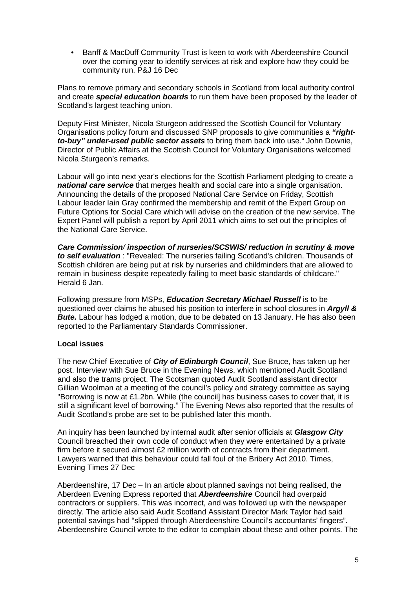• Banff & MacDuff Community Trust is keen to work with Aberdeenshire Council over the coming year to identify services at risk and explore how they could be community run. P&J 16 Dec

Plans to remove primary and secondary schools in Scotland from local authority control and create *special education boards* to run them have been proposed by the leader of Scotland's largest teaching union.

Deputy First Minister, Nicola Sturgeon addressed the Scottish Council for Voluntary Organisations policy forum and discussed SNP proposals to give communities a *"rightto-buy" under-used public sector assets* to bring them back into use." John Downie, Director of Public Affairs at the Scottish Council for Voluntary Organisations welcomed Nicola Sturgeon's remarks.

Labour will go into next year's elections for the Scottish Parliament pledging to create a *national care service* that merges health and social care into a single organisation. Announcing the details of the proposed National Care Service on Friday, Scottish Labour leader Iain Gray confirmed the membership and remit of the Expert Group on Future Options for Social Care which will advise on the creation of the new service. The Expert Panel will publish a report by April 2011 which aims to set out the principles of the National Care Service.

*Care Commission/ inspection of nurseries/SCSWIS/ reduction in scrutiny & move to self evaluation* : "Revealed: The nurseries failing Scotland's children. Thousands of Scottish children are being put at risk by nurseries and childminders that are allowed to remain in business despite repeatedly failing to meet basic standards of childcare." Herald 6 Jan.

Following pressure from MSPs, *Education Secretary Michael Russell* is to be questioned over claims he abused his position to interfere in school closures in *Argyll & Bute.* Labour has lodged a motion, due to be debated on 13 January. He has also been reported to the Parliamentary Standards Commissioner.

# **Local issues**

The new Chief Executive of *City of Edinburgh Council*, Sue Bruce, has taken up her post. Interview with Sue Bruce in the Evening News, which mentioned Audit Scotland and also the trams project. The Scotsman quoted Audit Scotland assistant director Gillian Woolman at a meeting of the council's policy and strategy committee as saying "Borrowing is now at £1.2bn. While (the council] has business cases to cover that, it is still a significant level of borrowing." The Evening News also reported that the results of Audit Scotland's probe are set to be published later this month.

An inquiry has been launched by internal audit after senior officials at *Glasgow City* Council breached their own code of conduct when they were entertained by a private firm before it secured almost £2 million worth of contracts from their department. Lawyers warned that this behaviour could fall foul of the Bribery Act 2010. Times, Evening Times 27 Dec

Aberdeenshire, 17 Dec – In an article about planned savings not being realised, the Aberdeen Evening Express reported that *Aberdeenshire* Council had overpaid contractors or suppliers. This was incorrect, and was followed up with the newspaper directly. The article also said Audit Scotland Assistant Director Mark Taylor had said potential savings had "slipped through Aberdeenshire Council's accountants' fingers". Aberdeenshire Council wrote to the editor to complain about these and other points. The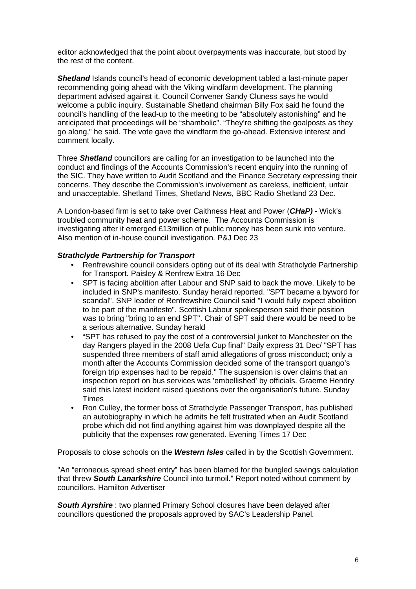editor acknowledged that the point about overpayments was inaccurate, but stood by the rest of the content.

*Shetland* Islands council's head of economic development tabled a last-minute paper recommending going ahead with the Viking windfarm development. The planning department advised against it. Council Convener Sandy Cluness says he would welcome a public inquiry. Sustainable Shetland chairman Billy Fox said he found the council's handling of the lead-up to the meeting to be "absolutely astonishing" and he anticipated that proceedings will be "shambolic". "They're shifting the goalposts as they go along," he said. The vote gave the windfarm the go-ahead. Extensive interest and comment locally.

Three *Shetland* councillors are calling for an investigation to be launched into the conduct and findings of the Accounts Commission's recent enquiry into the running of the SIC. They have written to Audit Scotland and the Finance Secretary expressing their concerns. They describe the Commission's involvement as careless, inefficient, unfair and unacceptable. Shetland Times, Shetland News, BBC Radio Shetland 23 Dec.

A London-based firm is set to take over Caithness Heat and Power (*CHaP)* - Wick's troubled community heat and power scheme. The Accounts Commission is investigating after it emerged £13million of public money has been sunk into venture. Also mention of in-house council investigation. P&J Dec 23

# *Strathclyde Partnership for Transport*

- Renfrewshire council considers opting out of its deal with Strathclyde Partnership for Transport. Paisley & Renfrew Extra 16 Dec
- SPT is facing abolition after Labour and SNP said to back the move. Likely to be included in SNP's manifesto. Sunday herald reported. "SPT became a byword for scandal". SNP leader of Renfrewshire Council said "I would fully expect abolition to be part of the manifesto". Scottish Labour spokesperson said their position was to bring "bring to an end SPT". Chair of SPT said there would be need to be a serious alternative. Sunday herald
- "SPT has refused to pay the cost of a controversial junket to Manchester on the day Rangers played in the 2008 Uefa Cup final" Daily express 31 Dec/ "SPT has suspended three members of staff amid allegations of gross misconduct; only a month after the Accounts Commission decided some of the transport quango's foreign trip expenses had to be repaid." The suspension is over claims that an inspection report on bus services was 'embellished' by officials. Graeme Hendry said this latest incident raised questions over the organisation's future. Sunday **Times**
- Ron Culley, the former boss of Strathclyde Passenger Transport, has published an autobiography in which he admits he felt frustrated when an Audit Scotland probe which did not find anything against him was downplayed despite all the publicity that the expenses row generated. Evening Times 17 Dec

Proposals to close schools on the *Western Isles* called in by the Scottish Government.

"An "erroneous spread sheet entry" has been blamed for the bungled savings calculation that threw *South Lanarkshire* Council into turmoil." Report noted without comment by councillors. Hamilton Advertiser

*South Ayrshire* : two planned Primary School closures have been delayed after councillors questioned the proposals approved by SAC's Leadership Panel.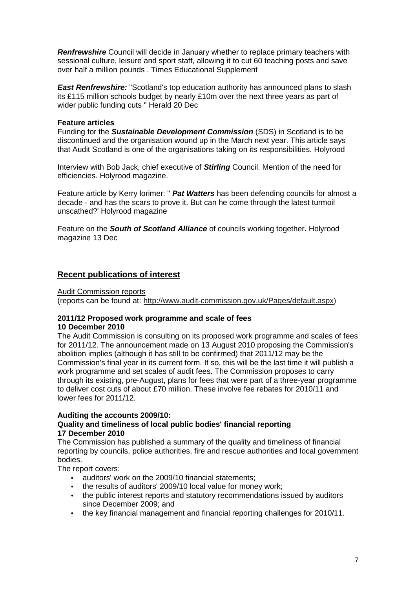*Renfrewshire* Council will decide in January whether to replace primary teachers with sessional culture, leisure and sport staff, allowing it to cut 60 teaching posts and save over half a million pounds . Times Educational Supplement

**East Renfrewshire:** "Scotland's top education authority has announced plans to slash its £115 million schools budget by nearly £10m over the next three years as part of wider public funding cuts " Herald 20 Dec

#### **Feature articles**

Funding for the *Sustainable Development Commission* (SDS) in Scotland is to be discontinued and the organisation wound up in the March next year. This article says that Audit Scotland is one of the organisations taking on its responsibilities. Holyrood

Interview with Bob Jack, chief executive of *Stirling* Council. Mention of the need for efficiencies. Holyrood magazine.

Feature article by Kerry lorimer: " *Pat Watters* has been defending councils for almost a decade - and has the scars to prove it. But can he come through the latest turmoil unscathed?' Holyrood magazine

Feature on the *South of Scotland Alliance* of councils working together**.** Holyrood magazine 13 Dec

# **Recent publications of interest**

Audit Commission reports

(reports can be found at: http://www.audit-commission.gov.uk/Pages/default.aspx)

#### **2011/12 Proposed work programme and scale of fees 10 December 2010**

The Audit Commission is consulting on its proposed work programme and scales of fees for 2011/12. The announcement made on 13 August 2010 proposing the Commission's abolition implies (although it has still to be confirmed) that 2011/12 may be the Commission's final year in its current form. If so, this will be the last time it will publish a work programme and set scales of audit fees. The Commission proposes to carry through its existing, pre-August, plans for fees that were part of a three-year programme to deliver cost cuts of about £70 million. These involve fee rebates for 2010/11 and lower fees for 2011/12.

# **Auditing the accounts 2009/10:**

# **Quality and timeliness of local public bodies' financial reporting 17 December 2010**

The Commission has published a summary of the quality and timeliness of financial reporting by councils, police authorities, fire and rescue authorities and local government bodies.

The report covers:

- auditors' work on the 2009/10 financial statements;
- the results of auditors' 2009/10 local value for money work:
- the public interest reports and statutory recommendations issued by auditors since December 2009; and
- the key financial management and financial reporting challenges for 2010/11.